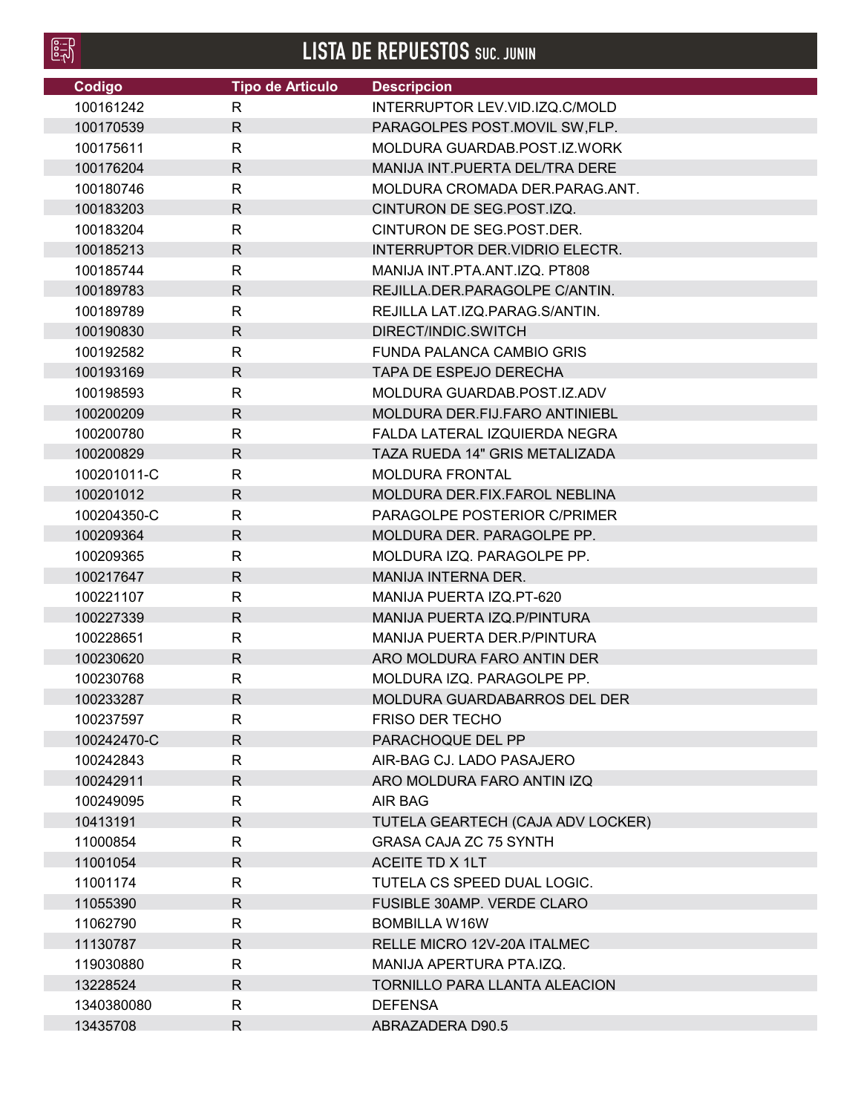| ۰       |
|---------|
| æ<br>-  |
| ۰<br>-- |
|         |
|         |

**LISTA DE REPUESTOS** SUC. JUNIN

| Codigo      | <b>Tipo de Articulo</b> | <b>Descripcion</b>                |
|-------------|-------------------------|-----------------------------------|
| 100161242   | R                       | INTERRUPTOR LEV.VID.IZQ.C/MOLD    |
| 100170539   | $\mathsf{R}$            | PARAGOLPES POST.MOVIL SW, FLP.    |
| 100175611   | $\mathsf{R}$            | MOLDURA GUARDAB.POST.IZ.WORK      |
| 100176204   | $\mathsf{R}$            | MANIJA INT. PUERTA DEL/TRA DERE   |
| 100180746   | $\mathsf{R}$            | MOLDURA CROMADA DER PARAG ANT.    |
| 100183203   | $\mathsf{R}$            | CINTURON DE SEG.POST.IZQ.         |
| 100183204   | R                       | CINTURON DE SEG.POST.DER.         |
| 100185213   | $\mathsf{R}$            | INTERRUPTOR DER. VIDRIO ELECTR.   |
| 100185744   | $\mathsf{R}$            | MANIJA INT.PTA.ANT.IZQ. PT808     |
| 100189783   | $\mathsf{R}$            | REJILLA.DER.PARAGOLPE C/ANTIN.    |
| 100189789   | R                       | REJILLA LAT.IZQ.PARAG.S/ANTIN.    |
| 100190830   | $\mathsf{R}$            | DIRECT/INDIC.SWITCH               |
| 100192582   | $\mathsf{R}$            | FUNDA PALANCA CAMBIO GRIS         |
| 100193169   | $\mathsf{R}$            | <b>TAPA DE ESPEJO DERECHA</b>     |
| 100198593   | R                       | MOLDURA GUARDAB.POST.IZ.ADV       |
| 100200209   | $\mathsf{R}$            | MOLDURA DER.FIJ.FARO ANTINIEBL    |
| 100200780   | $\mathsf{R}$            | FALDA LATERAL IZQUIERDA NEGRA     |
| 100200829   | $\mathsf{R}$            | TAZA RUEDA 14" GRIS METALIZADA    |
| 100201011-C | R                       | <b>MOLDURA FRONTAL</b>            |
| 100201012   | R.                      | MOLDURA DER.FIX.FAROL NEBLINA     |
| 100204350-C | $\mathsf{R}$            | PARAGOLPE POSTERIOR C/PRIMER      |
| 100209364   | $\mathsf{R}$            | MOLDURA DER. PARAGOLPE PP.        |
| 100209365   | $\mathsf{R}$            | MOLDURA IZQ. PARAGOLPE PP.        |
| 100217647   | $\mathsf{R}$            | <b>MANIJA INTERNA DER.</b>        |
| 100221107   | R                       | MANIJA PUERTA IZQ.PT-620          |
| 100227339   | $\mathsf{R}$            | MANIJA PUERTA IZQ.P/PINTURA       |
| 100228651   | $\mathsf{R}$            | MANIJA PUERTA DER. P/PINTURA      |
| 100230620   | $\mathsf{R}$            | ARO MOLDURA FARO ANTIN DER        |
| 100230768   | $\mathsf{R}$            | MOLDURA IZQ. PARAGOLPE PP.        |
| 100233287   | R.                      | MOLDURA GUARDABARROS DEL DER      |
| 100237597   | R                       | <b>FRISO DER TECHO</b>            |
| 100242470-C | $\mathsf{R}$            | PARACHOQUE DEL PP                 |
| 100242843   | R                       | AIR-BAG CJ. LADO PASAJERO         |
| 100242911   | $\mathsf{R}$            | ARO MOLDURA FARO ANTIN IZQ        |
| 100249095   | $\mathsf{R}$            | AIR BAG                           |
| 10413191    | $\mathsf{R}$            | TUTELA GEARTECH (CAJA ADV LOCKER) |
| 11000854    | R                       | <b>GRASA CAJA ZC 75 SYNTH</b>     |
| 11001054    | $\mathsf{R}$            | ACEITE TD X 1LT                   |
| 11001174    | R                       | TUTELA CS SPEED DUAL LOGIC.       |
| 11055390    | $\mathsf{R}$            | FUSIBLE 30AMP. VERDE CLARO        |
|             |                         |                                   |
| 11062790    | R                       | <b>BOMBILLA W16W</b>              |
| 11130787    | $\mathsf{R}$            | RELLE MICRO 12V-20A ITALMEC       |
| 119030880   | R                       | MANIJA APERTURA PTA.IZQ.          |
| 13228524    | $\mathsf{R}$            | TORNILLO PARA LLANTA ALEACION     |
| 1340380080  | R                       | <b>DEFENSA</b>                    |
| 13435708    | $\mathsf{R}$            | ABRAZADERA D90.5                  |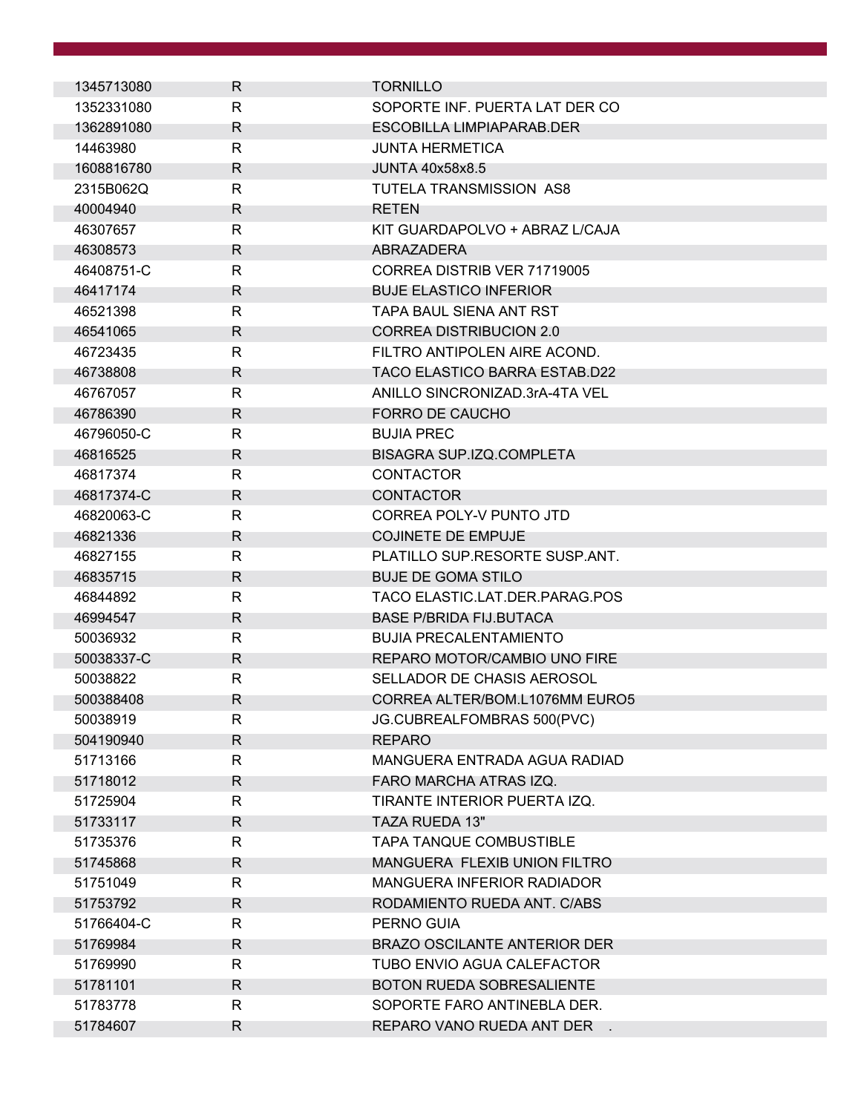| 1345713080 | R            | <b>TORNILLO</b>                   |
|------------|--------------|-----------------------------------|
| 1352331080 | R            | SOPORTE INF. PUERTA LAT DER CO    |
| 1362891080 | R            | ESCOBILLA LIMPIAPARAB.DER         |
| 14463980   | R            | <b>JUNTA HERMETICA</b>            |
| 1608816780 | R            | <b>JUNTA 40x58x8.5</b>            |
| 2315B062Q  | R            | <b>TUTELA TRANSMISSION AS8</b>    |
| 40004940   | R            | <b>RETEN</b>                      |
| 46307657   | R            | KIT GUARDAPOLVO + ABRAZ L/CAJA    |
| 46308573   | R            | ABRAZADERA                        |
| 46408751-C | R            | CORREA DISTRIB VER 71719005       |
| 46417174   | R            | <b>BUJE ELASTICO INFERIOR</b>     |
| 46521398   | R            | TAPA BAUL SIENA ANT RST           |
| 46541065   | R            | <b>CORREA DISTRIBUCION 2.0</b>    |
| 46723435   | R            | FILTRO ANTIPOLEN AIRE ACOND.      |
| 46738808   | R            | TACO ELASTICO BARRA ESTAB.D22     |
| 46767057   | R            | ANILLO SINCRONIZAD.3rA-4TA VEL    |
| 46786390   | R.           | FORRO DE CAUCHO                   |
| 46796050-C | R            | <b>BUJIA PREC</b>                 |
| 46816525   | R            | BISAGRA SUP.IZQ.COMPLETA          |
| 46817374   | R            | <b>CONTACTOR</b>                  |
| 46817374-C | R            | <b>CONTACTOR</b>                  |
| 46820063-C | R            | CORREA POLY-V PUNTO JTD           |
| 46821336   | R            | <b>COJINETE DE EMPUJE</b>         |
| 46827155   | R            | PLATILLO SUP.RESORTE SUSP.ANT.    |
| 46835715   | R            | <b>BUJE DE GOMA STILO</b>         |
| 46844892   | $\mathsf{R}$ | TACO ELASTIC.LAT.DER.PARAG.POS    |
| 46994547   | R            | <b>BASE P/BRIDA FIJ.BUTACA</b>    |
| 50036932   | R            | <b>BUJIA PRECALENTAMIENTO</b>     |
| 50038337-C | R            | REPARO MOTOR/CAMBIO UNO FIRE      |
| 50038822   | R            | SELLADOR DE CHASIS AEROSOL        |
| 500388408  | R            | CORREA ALTER/BOM.L1076MM EURO5    |
| 50038919   | R            | JG.CUBREALFOMBRAS 500(PVC)        |
| 504190940  | $\mathsf{R}$ | <b>REPARO</b>                     |
| 51713166   | R            | MANGUERA ENTRADA AGUA RADIAD      |
| 51718012   | R            | FARO MARCHA ATRAS IZQ.            |
| 51725904   | R            | TIRANTE INTERIOR PUERTA IZQ.      |
| 51733117   | R            | TAZA RUEDA 13"                    |
| 51735376   | R            | TAPA TANQUE COMBUSTIBLE           |
| 51745868   | R            | MANGUERA FLEXIB UNION FILTRO      |
| 51751049   | R            | <b>MANGUERA INFERIOR RADIADOR</b> |
| 51753792   | $\mathsf{R}$ | RODAMIENTO RUEDA ANT. C/ABS       |
| 51766404-C | R            | PERNO GUIA                        |
| 51769984   | R            | BRAZO OSCILANTE ANTERIOR DER      |
| 51769990   | R            | TUBO ENVIO AGUA CALEFACTOR        |
| 51781101   | $\mathsf{R}$ | BOTON RUEDA SOBRESALIENTE         |
| 51783778   | R            | SOPORTE FARO ANTINEBLA DER.       |
| 51784607   | R            | REPARO VANO RUEDA ANT DER .       |
|            |              |                                   |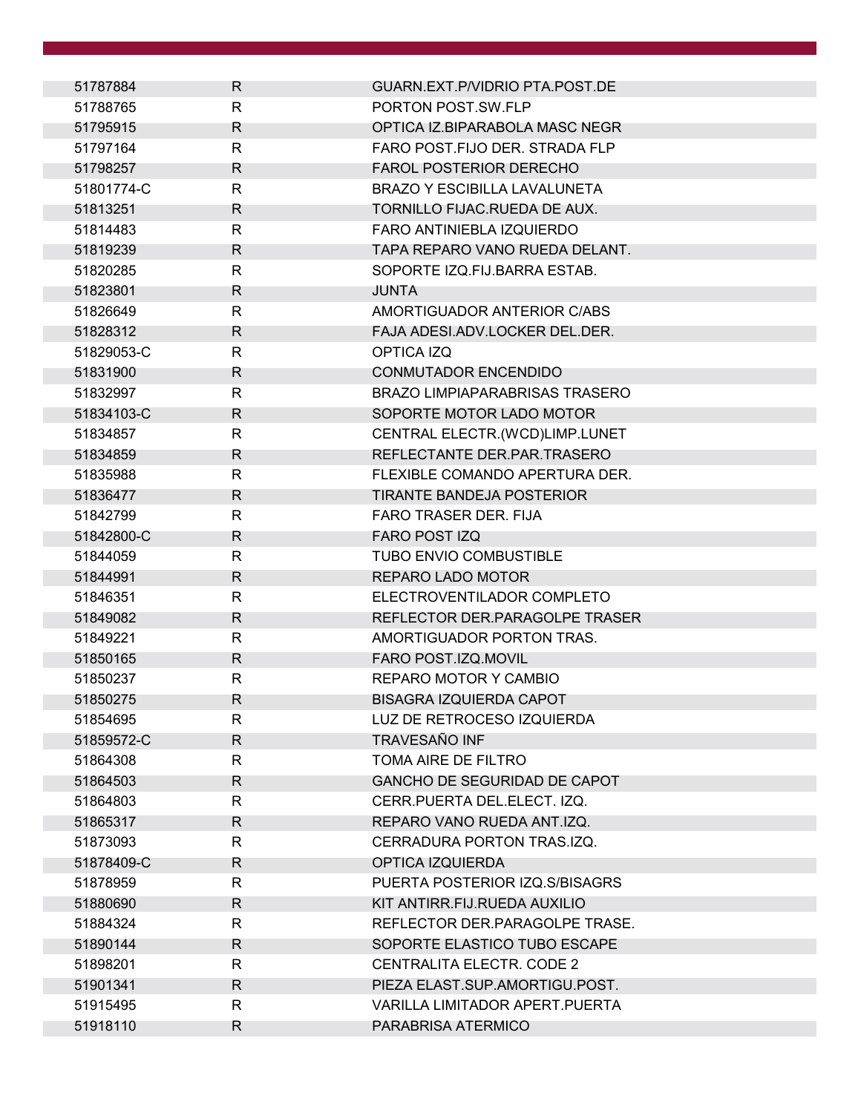| 51787884   | R.           | GUARN.EXT.P/VIDRIO PTA.POST.DE        |
|------------|--------------|---------------------------------------|
| 51788765   | R            | PORTON POST.SW.FLP                    |
| 51795915   | R            | OPTICA IZ.BIPARABOLA MASC NEGR        |
| 51797164   | R            | FARO POST.FIJO DER. STRADA FLP        |
| 51798257   | R            | <b>FAROL POSTERIOR DERECHO</b>        |
| 51801774-C | R            | <b>BRAZO Y ESCIBILLA LAVALUNETA</b>   |
| 51813251   | R            | TORNILLO FIJAC.RUEDA DE AUX.          |
| 51814483   | R            | FARO ANTINIEBLA IZQUIERDO             |
| 51819239   | R            | TAPA REPARO VANO RUEDA DELANT.        |
| 51820285   | R            | SOPORTE IZQ.FIJ.BARRA ESTAB.          |
| 51823801   | R            | <b>JUNTA</b>                          |
| 51826649   | R            | AMORTIGUADOR ANTERIOR C/ABS           |
| 51828312   | R            | FAJA ADESI.ADV.LOCKER DEL.DER.        |
| 51829053-C | R            | OPTICA IZQ                            |
| 51831900   | R            | <b>CONMUTADOR ENCENDIDO</b>           |
| 51832997   | R            | <b>BRAZO LIMPIAPARABRISAS TRASERO</b> |
| 51834103-C | $\mathsf{R}$ | SOPORTE MOTOR LADO MOTOR              |
| 51834857   | R            | CENTRAL ELECTR.(WCD)LIMP.LUNET        |
| 51834859   | R            | REFLECTANTE DER PAR TRASERO           |
| 51835988   | R            | FLEXIBLE COMANDO APERTURA DER.        |
| 51836477   | R            | <b>TIRANTE BANDEJA POSTERIOR</b>      |
| 51842799   | $\mathsf{R}$ | FARO TRASER DER. FIJA                 |
| 51842800-C | R            | <b>FARO POST IZQ</b>                  |
| 51844059   | R            | TUBO ENVIO COMBUSTIBLE                |
| 51844991   | $\mathsf{R}$ | REPARO LADO MOTOR                     |
| 51846351   | R            | ELECTROVENTILADOR COMPLETO            |
| 51849082   | R            | REFLECTOR DER.PARAGOLPE TRASER        |
| 51849221   | R            | AMORTIGUADOR PORTON TRAS.             |
| 51850165   | $\mathsf{R}$ | FARO POST.IZQ.MOVIL                   |
| 51850237   | $\mathsf{R}$ | REPARO MOTOR Y CAMBIO                 |
| 51850275   | R            | BISAGRA IZQUIERDA CAPOT               |
| 51854695   | R            | LUZ DE RETROCESO IZQUIERDA            |
| 51859572-C | $\mathsf{R}$ | TRAVESAÑO INF                         |
| 51864308   | $\mathsf{R}$ | TOMA AIRE DE FILTRO                   |
| 51864503   | R            | GANCHO DE SEGURIDAD DE CAPOT          |
| 51864803   | R            | CERR.PUERTA DEL.ELECT. IZQ.           |
| 51865317   | $\mathsf{R}$ | REPARO VANO RUEDA ANT.IZQ.            |
| 51873093   | R            | CERRADURA PORTON TRAS.IZQ.            |
| 51878409-C | R            | OPTICA IZQUIERDA                      |
| 51878959   | R            | PUERTA POSTERIOR IZQ.S/BISAGRS        |
| 51880690   | $\mathsf{R}$ | KIT ANTIRR.FIJ.RUEDA AUXILIO          |
| 51884324   | R            | REFLECTOR DER.PARAGOLPE TRASE.        |
| 51890144   | R            | SOPORTE ELASTICO TUBO ESCAPE          |
| 51898201   | R            | CENTRALITA ELECTR. CODE 2             |
| 51901341   | R.           | PIEZA ELAST.SUP.AMORTIGU.POST.        |
| 51915495   | R            | VARILLA LIMITADOR APERT. PUERTA       |
| 51918110   | R            | PARABRISA ATERMICO                    |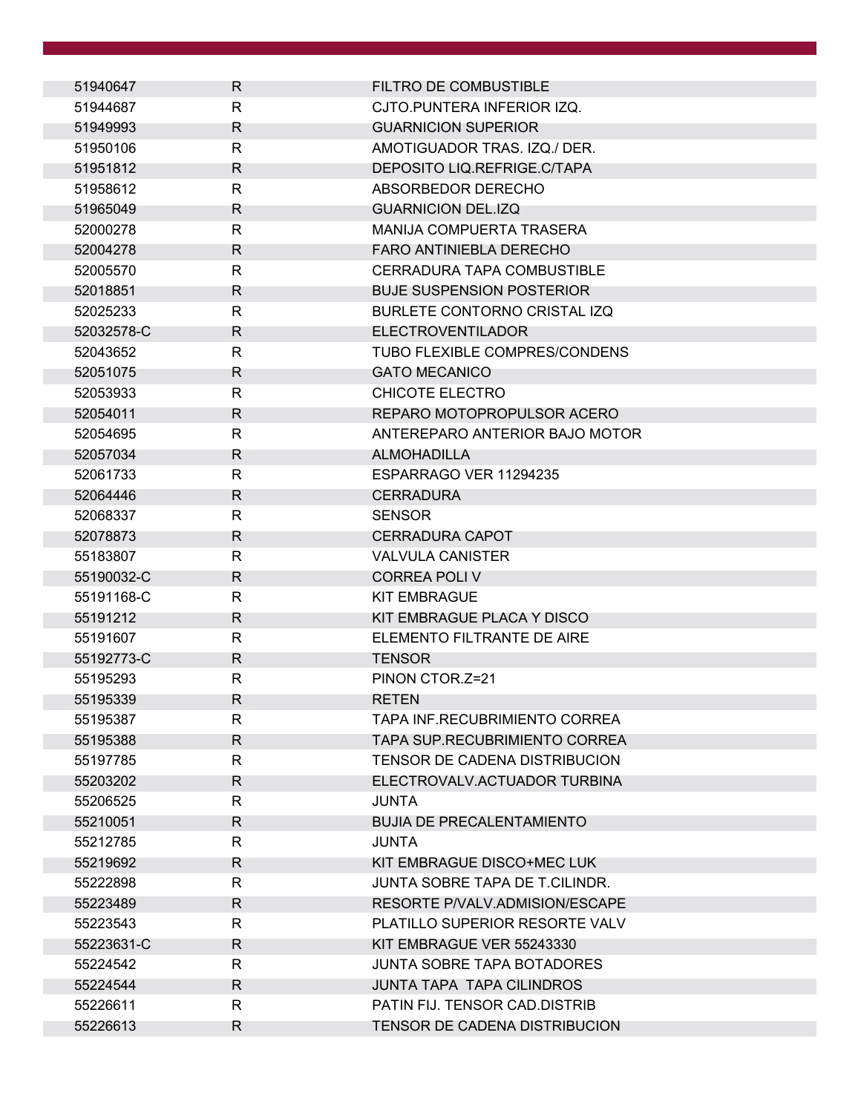| 51940647   | R            | FILTRO DE COMBUSTIBLE                 |
|------------|--------------|---------------------------------------|
| 51944687   | R            | CJTO.PUNTERA INFERIOR IZQ.            |
| 51949993   | R            | <b>GUARNICION SUPERIOR</b>            |
| 51950106   | R            | AMOTIGUADOR TRAS. IZQ./ DER.          |
| 51951812   | R            | DEPOSITO LIQ.REFRIGE.C/TAPA           |
| 51958612   | R            | ABSORBEDOR DERECHO                    |
| 51965049   | R            | <b>GUARNICION DEL.IZQ</b>             |
| 52000278   | R            | MANIJA COMPUERTA TRASERA              |
| 52004278   | R            | <b>FARO ANTINIEBLA DERECHO</b>        |
| 52005570   | $\mathsf{R}$ | CERRADURA TAPA COMBUSTIBLE            |
| 52018851   | R            | <b>BUJE SUSPENSION POSTERIOR</b>      |
| 52025233   | R            | BURLETE CONTORNO CRISTAL IZQ          |
| 52032578-C | R.           | <b>ELECTROVENTILADOR</b>              |
| 52043652   | R            | <b>TUBO FLEXIBLE COMPRES/CONDENS</b>  |
| 52051075   | R            | <b>GATO MECANICO</b>                  |
| 52053933   | R            | CHICOTE ELECTRO                       |
| 52054011   | $\mathsf{R}$ | REPARO MOTOPROPULSOR ACERO            |
| 52054695   | R            | ANTEREPARO ANTERIOR BAJO MOTOR        |
| 52057034   | R            | <b>ALMOHADILLA</b>                    |
| 52061733   | R            | ESPARRAGO VER 11294235                |
| 52064446   | R            | <b>CERRADURA</b>                      |
| 52068337   | R            | <b>SENSOR</b>                         |
| 52078873   | R            | <b>CERRADURA CAPOT</b>                |
| 55183807   | R            | <b>VALVULA CANISTER</b>               |
| 55190032-C | $\mathsf{R}$ | <b>CORREA POLI V</b>                  |
| 55191168-C | R            | <b>KIT EMBRAGUE</b>                   |
| 55191212   | R            | KIT EMBRAGUE PLACA Y DISCO            |
| 55191607   | R            | ELEMENTO FILTRANTE DE AIRE            |
| 55192773-C | $\mathsf{R}$ | <b>TENSOR</b>                         |
| 55195293   | R            | PINON CTOR.Z=21                       |
| 55195339   | R            | <b>RETEN</b>                          |
| 55195387   | R            | TAPA INF.RECUBRIMIENTO CORREA         |
| 55195388   | $\mathsf{R}$ | TAPA SUP.RECUBRIMIENTO CORREA         |
| 55197785   | $\mathsf{R}$ | TENSOR DE CADENA DISTRIBUCION         |
| 55203202   | R            | ELECTROVALV.ACTUADOR TURBINA          |
| 55206525   | R            | JUNTA                                 |
| 55210051   | R            | <b>BUJIA DE PRECALENTAMIENTO</b>      |
| 55212785   | R            | <b>JUNTA</b>                          |
| 55219692   | R            | KIT EMBRAGUE DISCO+MEC LUK            |
| 55222898   | R            | <b>JUNTA SOBRE TAPA DE T.CILINDR.</b> |
| 55223489   | $\mathsf{R}$ | RESORTE P/VALV.ADMISION/ESCAPE        |
| 55223543   | R            | PLATILLO SUPERIOR RESORTE VALV        |
| 55223631-C | R            | KIT EMBRAGUE VER 55243330             |
| 55224542   | R            | <b>JUNTA SOBRE TAPA BOTADORES</b>     |
| 55224544   | R            | <b>JUNTA TAPA TAPA CILINDROS</b>      |
| 55226611   | R            | PATIN FIJ. TENSOR CAD.DISTRIB         |
| 55226613   | R            | TENSOR DE CADENA DISTRIBUCION         |
|            |              |                                       |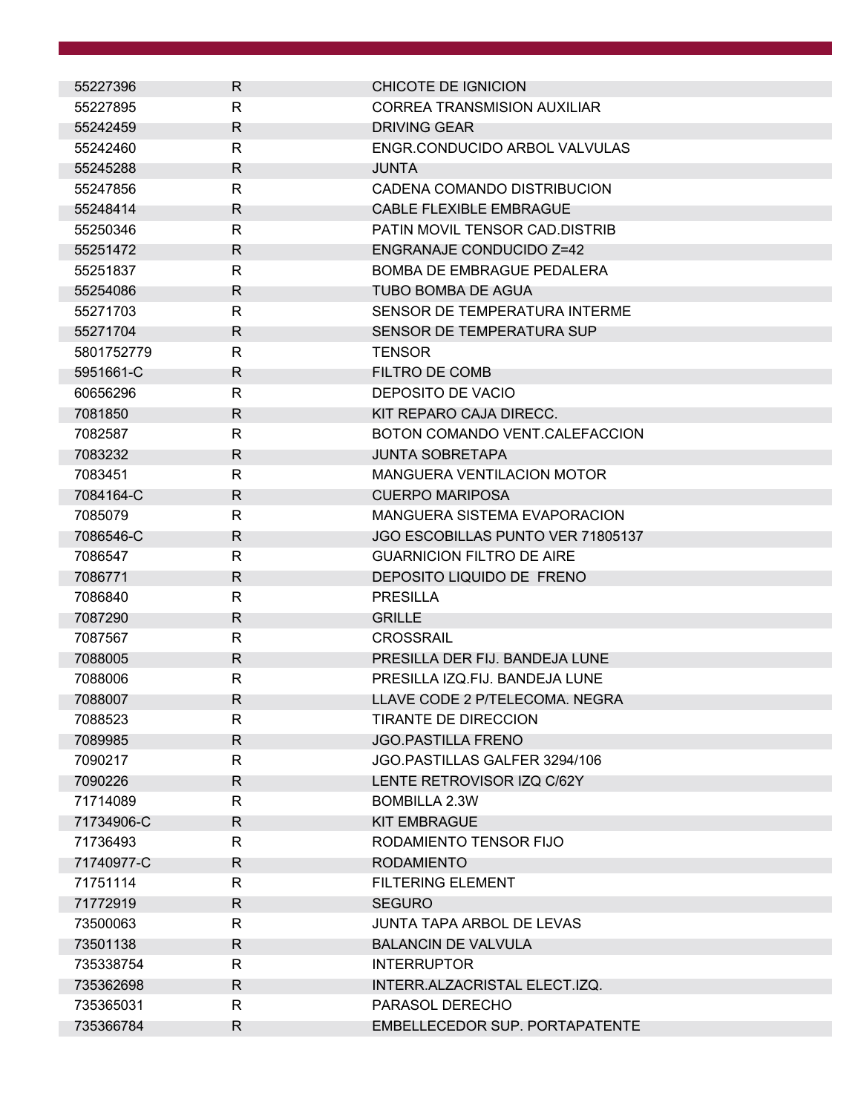| 55227396   | R            | CHICOTE DE IGNICION                |
|------------|--------------|------------------------------------|
| 55227895   | R            | <b>CORREA TRANSMISION AUXILIAR</b> |
| 55242459   | R            | <b>DRIVING GEAR</b>                |
| 55242460   | R            | ENGR.CONDUCIDO ARBOL VALVULAS      |
| 55245288   | R            | <b>JUNTA</b>                       |
| 55247856   | R            | CADENA COMANDO DISTRIBUCION        |
| 55248414   | R            | <b>CABLE FLEXIBLE EMBRAGUE</b>     |
| 55250346   | R            | PATIN MOVIL TENSOR CAD.DISTRIB     |
| 55251472   | R            | <b>ENGRANAJE CONDUCIDO Z=42</b>    |
| 55251837   | $\mathsf{R}$ | <b>BOMBA DE EMBRAGUE PEDALERA</b>  |
| 55254086   | R            | TUBO BOMBA DE AGUA                 |
| 55271703   | R            | SENSOR DE TEMPERATURA INTERME      |
| 55271704   | R            | SENSOR DE TEMPERATURA SUP          |
| 5801752779 | R            | <b>TENSOR</b>                      |
| 5951661-C  | R            | <b>FILTRO DE COMB</b>              |
| 60656296   | R            | DEPOSITO DE VACIO                  |
| 7081850    | $\mathsf{R}$ | KIT REPARO CAJA DIRECC.            |
| 7082587    | R            | BOTON COMANDO VENT.CALEFACCION     |
| 7083232    | R            | <b>JUNTA SOBRETAPA</b>             |
| 7083451    | $\mathsf{R}$ | <b>MANGUERA VENTILACION MOTOR</b>  |
| 7084164-C  | R            | <b>CUERPO MARIPOSA</b>             |
| 7085079    | R            | MANGUERA SISTEMA EVAPORACION       |
| 7086546-C  | R            | JGO ESCOBILLAS PUNTO VER 71805137  |
| 7086547    | R            | <b>GUARNICION FILTRO DE AIRE</b>   |
| 7086771    | $\mathsf{R}$ | DEPOSITO LIQUIDO DE FRENO          |
| 7086840    | R            | <b>PRESILLA</b>                    |
| 7087290    | R            | <b>GRILLE</b>                      |
| 7087567    | R            | <b>CROSSRAIL</b>                   |
| 7088005    | $\mathsf{R}$ | PRESILLA DER FIJ. BANDEJA LUNE     |
| 7088006    | $\mathsf{R}$ | PRESILLA IZQ.FIJ. BANDEJA LUNE     |
| 7088007    | R            | LLAVE CODE 2 P/TELECOMA. NEGRA     |
| 7088523    | R            | <b>TIRANTE DE DIRECCION</b>        |
| 7089985    | R.           | <b>JGO.PASTILLA FRENO</b>          |
| 7090217    | $\mathsf{R}$ | JGO.PASTILLAS GALFER 3294/106      |
| 7090226    | R            | LENTE RETROVISOR IZQ C/62Y         |
| 71714089   | R            | <b>BOMBILLA 2.3W</b>               |
| 71734906-C | R            | <b>KIT EMBRAGUE</b>                |
| 71736493   | R            | RODAMIENTO TENSOR FIJO             |
| 71740977-C | R            | <b>RODAMIENTO</b>                  |
| 71751114   | R            | <b>FILTERING ELEMENT</b>           |
| 71772919   | $\mathsf{R}$ | <b>SEGURO</b>                      |
| 73500063   | R            | <b>JUNTA TAPA ARBOL DE LEVAS</b>   |
| 73501138   | R            | <b>BALANCIN DE VALVULA</b>         |
| 735338754  | R            | <b>INTERRUPTOR</b>                 |
| 735362698  | R            | INTERR.ALZACRISTAL ELECT.IZQ.      |
| 735365031  | $\mathsf{R}$ | PARASOL DERECHO                    |
| 735366784  | R            | EMBELLECEDOR SUP. PORTAPATENTE     |
|            |              |                                    |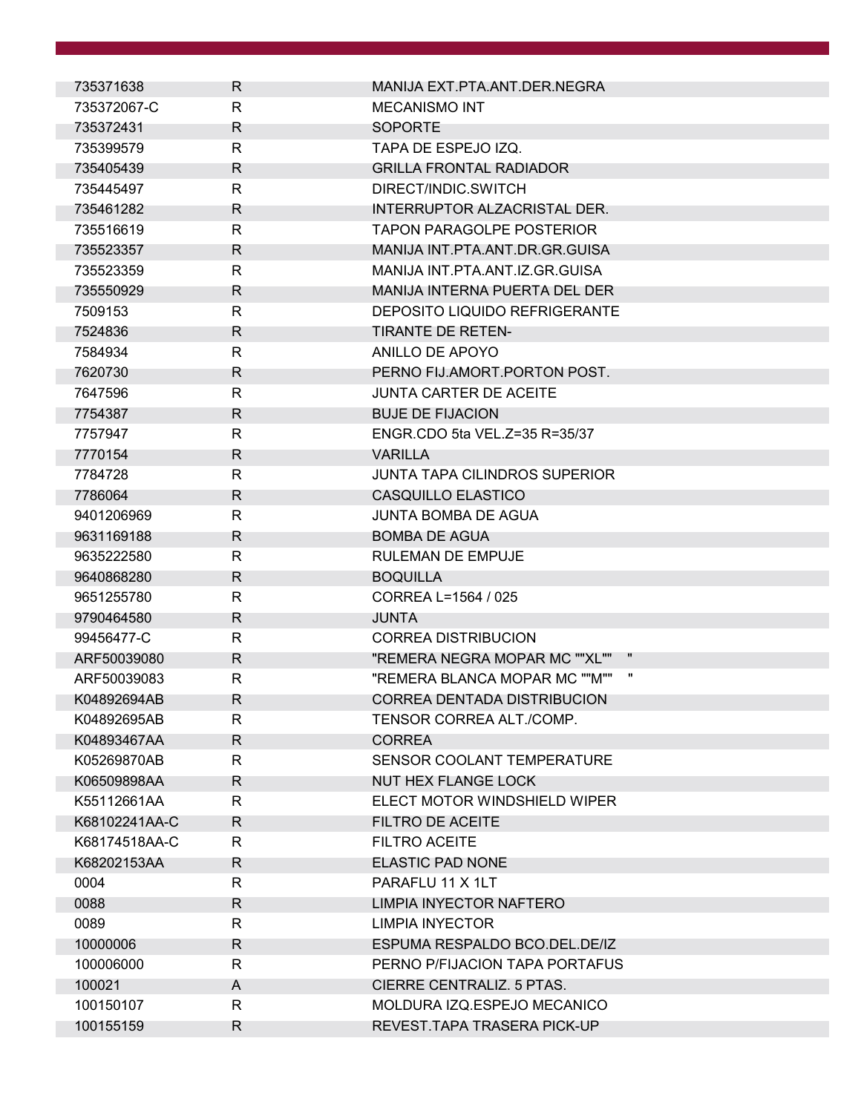| 735371638     | R.           | MANIJA EXT.PTA.ANT.DER.NEGRA         |  |
|---------------|--------------|--------------------------------------|--|
| 735372067-C   | R            | <b>MECANISMO INT</b>                 |  |
| 735372431     | R            | <b>SOPORTE</b>                       |  |
| 735399579     | R            | TAPA DE ESPEJO IZQ.                  |  |
| 735405439     | R            | <b>GRILLA FRONTAL RADIADOR</b>       |  |
| 735445497     | R            | DIRECT/INDIC.SWITCH                  |  |
| 735461282     | R            | INTERRUPTOR ALZACRISTAL DER.         |  |
| 735516619     | R            | <b>TAPON PARAGOLPE POSTERIOR</b>     |  |
| 735523357     | R.           | MANIJA INT.PTA.ANT.DR.GR.GUISA       |  |
| 735523359     | R            | MANIJA INT.PTA.ANT.IZ.GR.GUISA       |  |
| 735550929     | R            | <b>MANIJA INTERNA PUERTA DEL DER</b> |  |
| 7509153       | R            | <b>DEPOSITO LIQUIDO REFRIGERANTE</b> |  |
| 7524836       | R            | <b>TIRANTE DE RETEN-</b>             |  |
| 7584934       | R            | ANILLO DE APOYO                      |  |
| 7620730       | R            | PERNO FIJ.AMORT.PORTON POST.         |  |
| 7647596       | R            | <b>JUNTA CARTER DE ACEITE</b>        |  |
| 7754387       | R.           | <b>BUJE DE FIJACION</b>              |  |
| 7757947       | R            | ENGR.CDO 5ta VEL.Z=35 R=35/37        |  |
| 7770154       | R            | <b>VARILLA</b>                       |  |
| 7784728       | R            | JUNTA TAPA CILINDROS SUPERIOR        |  |
| 7786064       | R            | CASQUILLO ELASTICO                   |  |
| 9401206969    | $\mathsf{R}$ | <b>JUNTA BOMBA DE AGUA</b>           |  |
| 9631169188    | R            | <b>BOMBA DE AGUA</b>                 |  |
| 9635222580    | R            | <b>RULEMAN DE EMPUJE</b>             |  |
| 9640868280    | R.           | <b>BOQUILLA</b>                      |  |
| 9651255780    | R            | CORREA L=1564 / 025                  |  |
| 9790464580    | R            | <b>JUNTA</b>                         |  |
| 99456477-C    | R            | <b>CORREA DISTRIBUCION</b>           |  |
| ARF50039080   | R.           | "REMERA NEGRA MOPAR MC ""XL""        |  |
| ARF50039083   | R            | "REMERA BLANCA MOPAR MC ""M""        |  |
| K04892694AB   | R            | CORREA DENTADA DISTRIBUCION          |  |
| K04892695AB   | R            | TENSOR CORREA ALT./COMP.             |  |
| K04893467AA   | $\mathsf{R}$ | <b>CORREA</b>                        |  |
| K05269870AB   | $\mathsf{R}$ | SENSOR COOLANT TEMPERATURE           |  |
| K06509898AA   | R            | <b>NUT HEX FLANGE LOCK</b>           |  |
| K55112661AA   | R            | ELECT MOTOR WINDSHIELD WIPER         |  |
| K68102241AA-C | R            | <b>FILTRO DE ACEITE</b>              |  |
| K68174518AA-C | R            | <b>FILTRO ACEITE</b>                 |  |
| K68202153AA   | R            | <b>ELASTIC PAD NONE</b>              |  |
| 0004          | R            | PARAFLU 11 X 1LT                     |  |
| 0088          | $\mathsf{R}$ | LIMPIA INYECTOR NAFTERO              |  |
| 0089          | R            | <b>LIMPIA INYECTOR</b>               |  |
| 10000006      | R            | ESPUMA RESPALDO BCO.DEL.DE/IZ        |  |
| 100006000     | R            | PERNO P/FIJACION TAPA PORTAFUS       |  |
| 100021        | A            | CIERRE CENTRALIZ. 5 PTAS.            |  |
| 100150107     | R            | MOLDURA IZQ.ESPEJO MECANICO          |  |
| 100155159     | R            | REVEST.TAPA TRASERA PICK-UP          |  |
|               |              |                                      |  |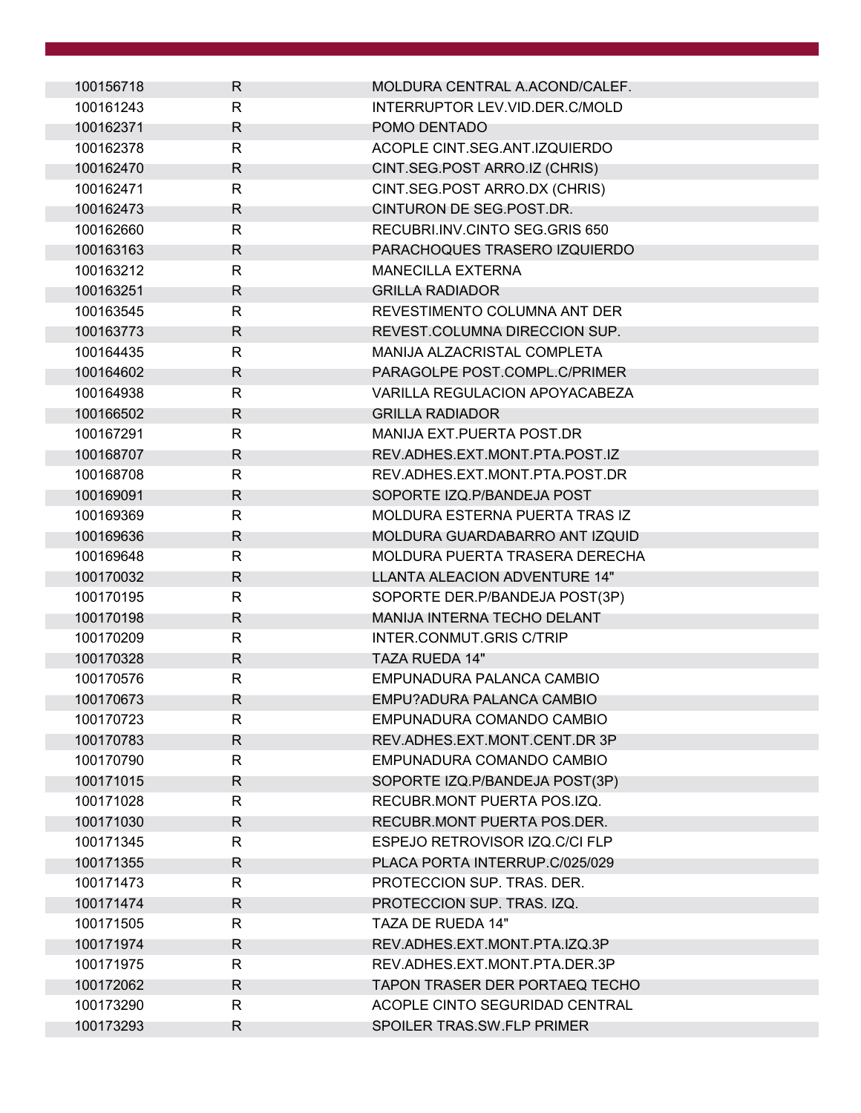| 100156718 | R. | MOLDURA CENTRAL A.ACOND/CALEF.     |
|-----------|----|------------------------------------|
| 100161243 | R  | INTERRUPTOR LEV.VID.DER.C/MOLD     |
| 100162371 | R  | POMO DENTADO                       |
| 100162378 | R  | ACOPLE CINT.SEG.ANT.IZQUIERDO      |
| 100162470 | R  | CINT.SEG.POST ARRO.IZ (CHRIS)      |
| 100162471 | R  | CINT.SEG.POST ARRO.DX (CHRIS)      |
| 100162473 | R  | CINTURON DE SEG.POST.DR.           |
| 100162660 | R  | RECUBRI.INV.CINTO SEG.GRIS 650     |
| 100163163 | R  | PARACHOQUES TRASERO IZQUIERDO      |
| 100163212 | R  | <b>MANECILLA EXTERNA</b>           |
| 100163251 | R  | <b>GRILLA RADIADOR</b>             |
| 100163545 | R  | REVESTIMENTO COLUMNA ANT DER       |
| 100163773 | R  | REVEST.COLUMNA DIRECCION SUP.      |
| 100164435 | R  | MANIJA ALZACRISTAL COMPLETA        |
| 100164602 | R  | PARAGOLPE POST.COMPL.C/PRIMER      |
| 100164938 | R  | VARILLA REGULACION APOYACABEZA     |
| 100166502 | R  | <b>GRILLA RADIADOR</b>             |
| 100167291 | R  | MANIJA EXT.PUERTA POST.DR          |
| 100168707 | R  | REV.ADHES.EXT.MONT.PTA.POST.IZ     |
| 100168708 | R  | REV.ADHES.EXT.MONT.PTA.POST.DR     |
| 100169091 | R  | SOPORTE IZQ.P/BANDEJA POST         |
| 100169369 | R  | MOLDURA ESTERNA PUERTA TRAS IZ     |
| 100169636 | R  | MOLDURA GUARDABARRO ANT IZQUID     |
| 100169648 | R  | MOLDURA PUERTA TRASERA DERECHA     |
| 100170032 | R  | LLANTA ALEACION ADVENTURE 14"      |
| 100170195 | R  | SOPORTE DER.P/BANDEJA POST(3P)     |
| 100170198 | R  | <b>MANIJA INTERNA TECHO DELANT</b> |
| 100170209 | R  | INTER.CONMUT.GRIS C/TRIP           |
| 100170328 | R  | <b>TAZA RUEDA 14"</b>              |
| 100170576 | R  | EMPUNADURA PALANCA CAMBIO          |
| 100170673 | R  | EMPU?ADURA PALANCA CAMBIO          |
| 100170723 | R  | EMPUNADURA COMANDO CAMBIO          |
| 100170783 | R  | REV.ADHES.EXT.MONT.CENT.DR 3P      |
| 100170790 | R  | EMPUNADURA COMANDO CAMBIO          |
| 100171015 | R  | SOPORTE IZQ.P/BANDEJA POST(3P)     |
| 100171028 | R  | RECUBR.MONT PUERTA POS.IZQ.        |
| 100171030 | R  | RECUBR.MONT PUERTA POS.DER.        |
| 100171345 | R  | ESPEJO RETROVISOR IZQ.C/CI FLP     |
| 100171355 | R  | PLACA PORTA INTERRUP.C/025/029     |
| 100171473 | R  | PROTECCION SUP. TRAS. DER.         |
| 100171474 | R  | PROTECCION SUP. TRAS. IZQ.         |
| 100171505 | R  | TAZA DE RUEDA 14"                  |
| 100171974 | R  | REV.ADHES.EXT.MONT.PTA.IZQ.3P      |
| 100171975 | R  | REV.ADHES.EXT.MONT.PTA.DER.3P      |
| 100172062 | R  | TAPON TRASER DER PORTAEQ TECHO     |
| 100173290 | R  | ACOPLE CINTO SEGURIDAD CENTRAL     |
| 100173293 |    | SPOILER TRAS.SW.FLP PRIMER         |
|           | R  |                                    |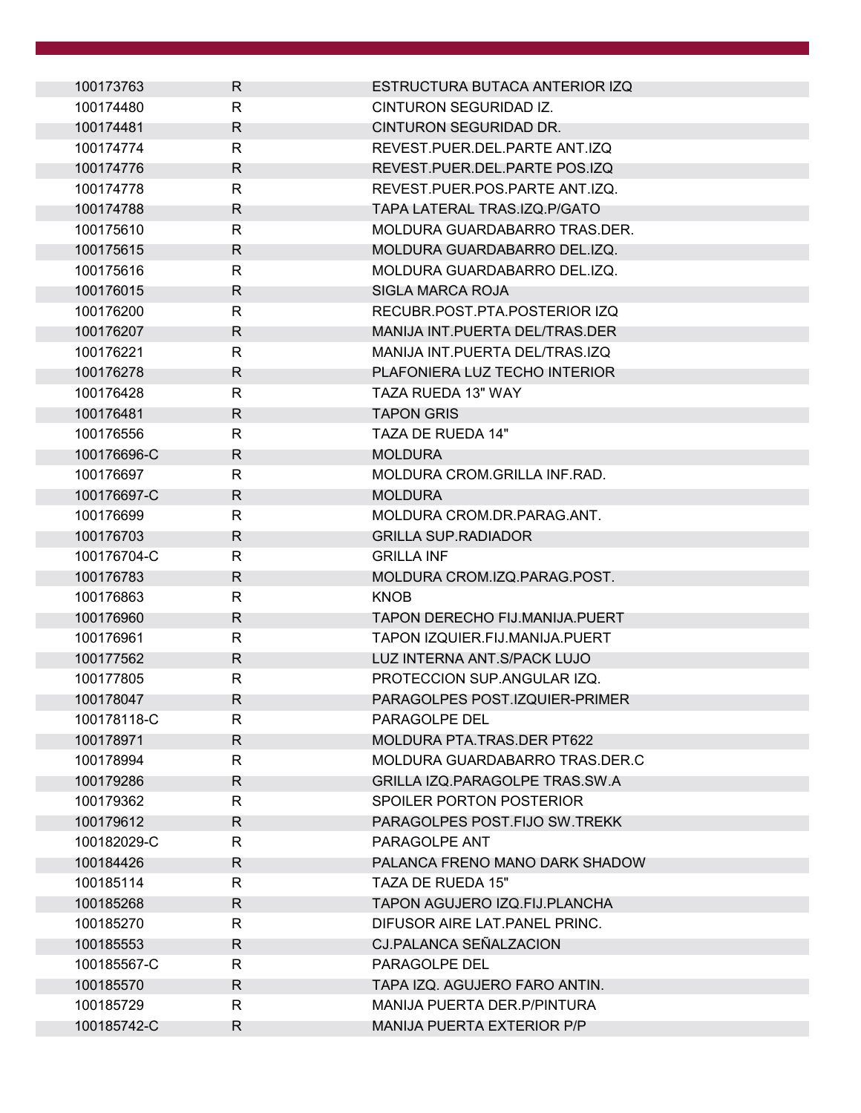| 100173763   | R            | ESTRUCTURA BUTACA ANTERIOR IZQ   |
|-------------|--------------|----------------------------------|
| 100174480   | $\mathsf{R}$ | CINTURON SEGURIDAD IZ.           |
| 100174481   | R            | CINTURON SEGURIDAD DR.           |
| 100174774   | R            | REVEST.PUER.DEL.PARTE ANT.IZQ    |
| 100174776   | R            | REVEST.PUER.DEL.PARTE POS.IZQ    |
| 100174778   | R            | REVEST.PUER.POS.PARTE ANT.IZQ.   |
| 100174788   | R            | TAPA LATERAL TRAS.IZQ.P/GATO     |
| 100175610   | R            | MOLDURA GUARDABARRO TRAS.DER.    |
| 100175615   | R.           | MOLDURA GUARDABARRO DEL.IZQ.     |
| 100175616   | $\mathsf{R}$ | MOLDURA GUARDABARRO DEL.IZQ.     |
| 100176015   | R            | SIGLA MARCA ROJA                 |
| 100176200   | R            | RECUBR.POST.PTA.POSTERIOR IZQ    |
| 100176207   | R            | MANIJA INT. PUERTA DEL/TRAS. DER |
| 100176221   | R            | MANIJA INT. PUERTA DEL/TRAS. IZQ |
| 100176278   | R            | PLAFONIERA LUZ TECHO INTERIOR    |
| 100176428   | R.           | TAZA RUEDA 13" WAY               |
| 100176481   | R.           | <b>TAPON GRIS</b>                |
| 100176556   | R            | TAZA DE RUEDA 14"                |
| 100176696-C | R            | <b>MOLDURA</b>                   |
| 100176697   | R            | MOLDURA CROM.GRILLA INF.RAD.     |
| 100176697-C | R            | <b>MOLDURA</b>                   |
| 100176699   | $\mathsf{R}$ | MOLDURA CROM.DR.PARAG.ANT.       |
| 100176703   | R            | <b>GRILLA SUP.RADIADOR</b>       |
| 100176704-C | R.           | <b>GRILLA INF</b>                |
| 100176783   | R.           | MOLDURA CROM.IZQ.PARAG.POST.     |
| 100176863   | R            | <b>KNOB</b>                      |
| 100176960   | R            | TAPON DERECHO FIJ.MANIJA.PUERT   |
| 100176961   | R            | TAPON IZQUIER.FIJ.MANIJA.PUERT   |
| 100177562   | R.           | LUZ INTERNA ANT. S/PACK LUJO     |
| 100177805   | $\mathsf{R}$ | PROTECCION SUP.ANGULAR IZQ.      |
| 100178047   | R            | PARAGOLPES POST.IZQUIER-PRIMER   |
| 100178118-C | R            | <b>PARAGOLPE DEL</b>             |
| 100178971   | $\mathsf{R}$ | MOLDURA PTA.TRAS.DER PT622       |
| 100178994   | $\mathsf{R}$ | MOLDURA GUARDABARRO TRAS.DER.C   |
| 100179286   | R            | GRILLA IZQ.PARAGOLPE TRAS.SW.A   |
| 100179362   | R            | <b>SPOILER PORTON POSTERIOR</b>  |
| 100179612   | R.           | PARAGOLPES POST.FIJO SW.TREKK    |
| 100182029-C | R            | PARAGOLPE ANT                    |
| 100184426   | R            | PALANCA FRENO MANO DARK SHADOW   |
| 100185114   | R            | TAZA DE RUEDA 15"                |
| 100185268   | $\mathsf{R}$ | TAPON AGUJERO IZQ.FIJ.PLANCHA    |
| 100185270   | R            | DIFUSOR AIRE LAT. PANEL PRINC.   |
| 100185553   | R            | CJ.PALANCA SEÑALZACION           |
| 100185567-C | R            | PARAGOLPE DEL                    |
| 100185570   | R.           | TAPA IZQ. AGUJERO FARO ANTIN.    |
| 100185729   | $\mathsf{R}$ | MANIJA PUERTA DER. P/PINTURA     |
| 100185742-C | R            | MANIJA PUERTA EXTERIOR P/P       |
|             |              |                                  |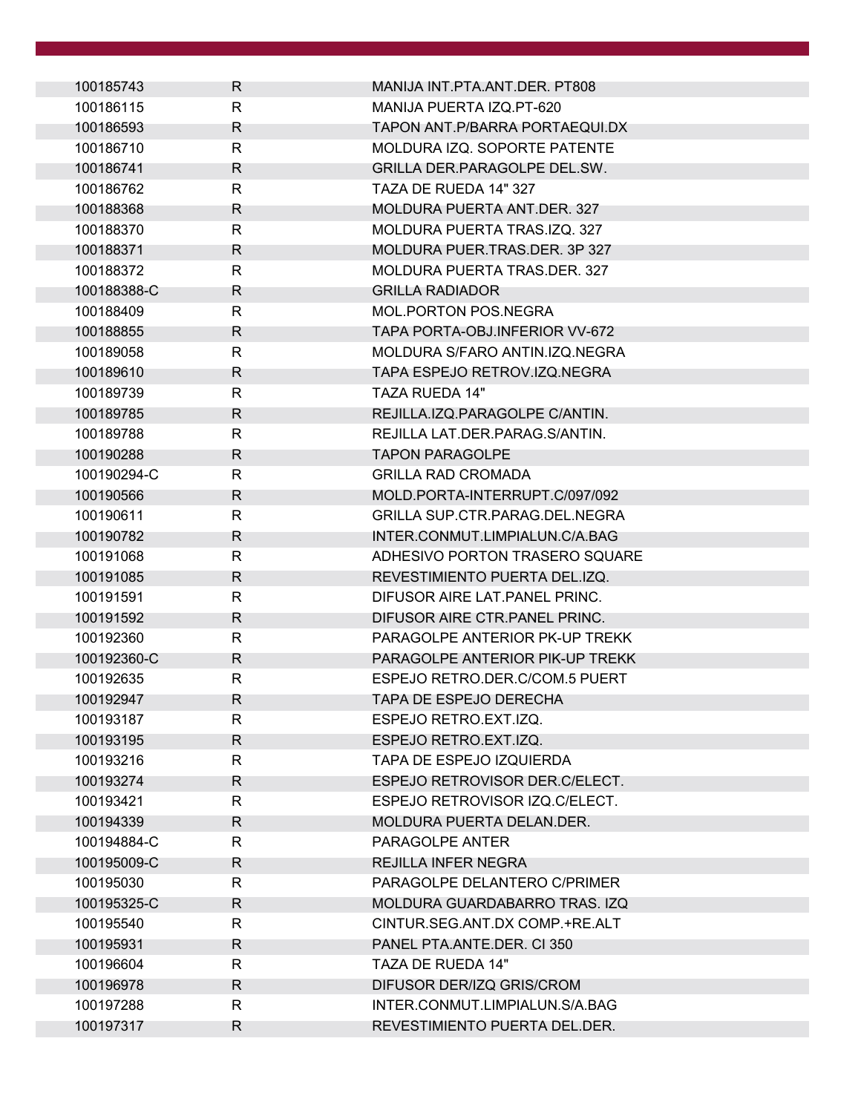| 100185743   | R.           | MANIJA INT.PTA.ANT.DER. PT808   |
|-------------|--------------|---------------------------------|
| 100186115   | R            | MANIJA PUERTA IZQ.PT-620        |
| 100186593   | R            | TAPON ANT. P/BARRA PORTAEQUI.DX |
| 100186710   | R            | MOLDURA IZQ. SOPORTE PATENTE    |
| 100186741   | R            | GRILLA DER PARAGOLPE DEL SW.    |
| 100186762   | R            | TAZA DE RUEDA 14" 327           |
| 100188368   | R            | MOLDURA PUERTA ANT.DER. 327     |
| 100188370   | R.           | MOLDURA PUERTA TRAS.IZQ. 327    |
| 100188371   | R            | MOLDURA PUER.TRAS.DER. 3P 327   |
| 100188372   | R            | MOLDURA PUERTA TRAS.DER. 327    |
| 100188388-C | R            | <b>GRILLA RADIADOR</b>          |
| 100188409   | R            | MOL.PORTON POS.NEGRA            |
| 100188855   | R            | TAPA PORTA-OBJ.INFERIOR VV-672  |
| 100189058   | R            | MOLDURA S/FARO ANTIN.IZQ.NEGRA  |
| 100189610   | R            | TAPA ESPEJO RETROV.IZQ.NEGRA    |
| 100189739   | R.           | TAZA RUEDA 14"                  |
| 100189785   | R.           | REJILLA.IZQ.PARAGOLPE C/ANTIN.  |
| 100189788   | R            | REJILLA LAT.DER.PARAG.S/ANTIN.  |
| 100190288   | R            | <b>TAPON PARAGOLPE</b>          |
| 100190294-C | R            | <b>GRILLA RAD CROMADA</b>       |
| 100190566   | R.           | MOLD.PORTA-INTERRUPT.C/097/092  |
| 100190611   | R            | GRILLA SUP.CTR.PARAG.DEL.NEGRA  |
| 100190782   | R            | INTER.CONMUT.LIMPIALUN.C/A.BAG  |
| 100191068   | R.           | ADHESIVO PORTON TRASERO SQUARE  |
| 100191085   | $\mathsf{R}$ | REVESTIMIENTO PUERTA DEL.IZQ.   |
| 100191591   | R            | DIFUSOR AIRE LAT. PANEL PRINC.  |
| 100191592   | R            | DIFUSOR AIRE CTR. PANEL PRINC.  |
| 100192360   | R            | PARAGOLPE ANTERIOR PK-UP TREKK  |
| 100192360-C | R.           | PARAGOLPE ANTERIOR PIK-UP TREKK |
| 100192635   | R            | ESPEJO RETRO.DER.C/COM.5 PUERT  |
| 100192947   | R            | TAPA DE ESPEJO DERECHA          |
| 100193187   | R            | ESPEJO RETRO.EXT.IZQ.           |
| 100193195   | $\mathsf{R}$ | ESPEJO RETRO.EXT.IZQ.           |
| 100193216   | R            | TAPA DE ESPEJO IZQUIERDA        |
| 100193274   | R            | ESPEJO RETROVISOR DER.C/ELECT.  |
| 100193421   | R            | ESPEJO RETROVISOR IZQ.C/ELECT.  |
| 100194339   | R.           | MOLDURA PUERTA DELAN.DER.       |
| 100194884-C | R            | PARAGOLPE ANTER                 |
| 100195009-C | R            | <b>REJILLA INFER NEGRA</b>      |
| 100195030   | R            | PARAGOLPE DELANTERO C/PRIMER    |
| 100195325-C | $\mathsf{R}$ | MOLDURA GUARDABARRO TRAS. IZQ   |
| 100195540   | R            | CINTUR.SEG.ANT.DX COMP.+RE.ALT  |
|             |              |                                 |
| 100195931   | R            | PANEL PTA.ANTE.DER. CI 350      |
| 100196604   | R            | TAZA DE RUEDA 14"               |
| 100196978   | R.           | DIFUSOR DER/IZQ GRIS/CROM       |
| 100197288   | R            | INTER.CONMUT.LIMPIALUN.S/A.BAG  |
| 100197317   | R            | REVESTIMIENTO PUERTA DEL.DER.   |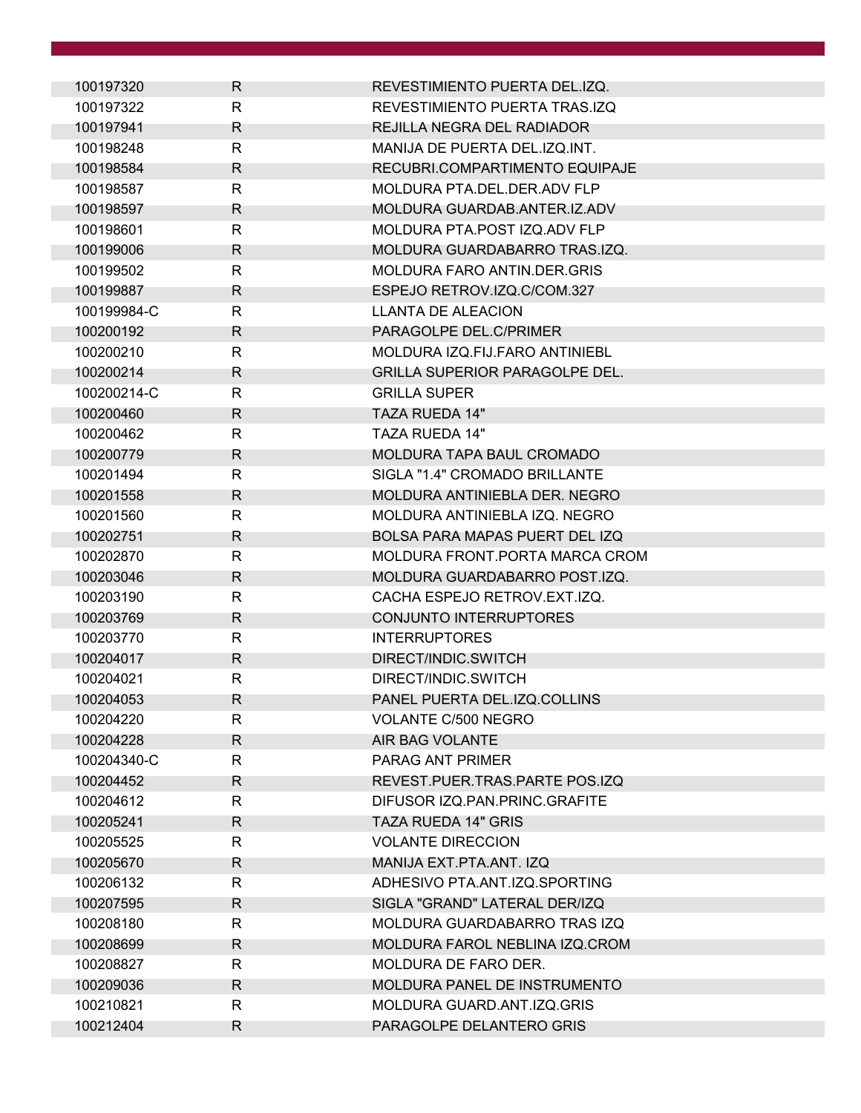| 100197320   | R            | REVESTIMIENTO PUERTA DEL.IZQ.         |
|-------------|--------------|---------------------------------------|
| 100197322   | R            | REVESTIMIENTO PUERTA TRAS.IZQ         |
| 100197941   | R            | REJILLA NEGRA DEL RADIADOR            |
| 100198248   | R            | MANIJA DE PUERTA DEL.IZQ.INT.         |
| 100198584   | R            | RECUBRI.COMPARTIMENTO EQUIPAJE        |
| 100198587   | R            | MOLDURA PTA.DEL.DER.ADV FLP           |
| 100198597   | R            | MOLDURA GUARDAB.ANTER.IZ.ADV          |
| 100198601   | $\mathsf{R}$ | MOLDURA PTA.POST IZQ.ADV FLP          |
| 100199006   | R            | MOLDURA GUARDABARRO TRAS.IZQ.         |
| 100199502   | $\mathsf{R}$ | MOLDURA FARO ANTIN.DER.GRIS           |
| 100199887   | R            | ESPEJO RETROV.IZQ.C/COM.327           |
| 100199984-C | R            | <b>LLANTA DE ALEACION</b>             |
| 100200192   | R            | PARAGOLPE DEL.C/PRIMER                |
| 100200210   | $\mathsf{R}$ | MOLDURA IZQ.FIJ.FARO ANTINIEBL        |
| 100200214   | R            | <b>GRILLA SUPERIOR PARAGOLPE DEL.</b> |
| 100200214-C | R            | <b>GRILLA SUPER</b>                   |
| 100200460   | $\mathsf{R}$ | <b>TAZA RUEDA 14"</b>                 |
| 100200462   | R            | TAZA RUEDA 14"                        |
| 100200779   | R            | <b>MOLDURA TAPA BAUL CROMADO</b>      |
| 100201494   | $\mathsf{R}$ | SIGLA "1.4" CROMADO BRILLANTE         |
| 100201558   | $\mathsf{R}$ | MOLDURA ANTINIEBLA DER. NEGRO         |
| 100201560   | $\mathsf{R}$ | MOLDURA ANTINIEBLA IZQ. NEGRO         |
| 100202751   | R            | BOLSA PARA MAPAS PUERT DEL IZQ        |
| 100202870   | R            | MOLDURA FRONT PORTA MARCA CROM        |
| 100203046   | $\mathsf{R}$ | MOLDURA GUARDABARRO POST.IZQ.         |
| 100203190   | R            | CACHA ESPEJO RETROV.EXT.IZQ.          |
| 100203769   | R            | CONJUNTO INTERRUPTORES                |
| 100203770   | R            | <b>INTERRUPTORES</b>                  |
| 100204017   | R            | DIRECT/INDIC.SWITCH                   |
| 100204021   | $\mathsf{R}$ | DIRECT/INDIC.SWITCH                   |
| 100204053   | R            | PANEL PUERTA DEL.IZQ.COLLINS          |
| 100204220   | R            | <b>VOLANTE C/500 NEGRO</b>            |
| 100204228   | $\mathsf{R}$ | AIR BAG VOLANTE                       |
| 100204340-C | $\mathsf{R}$ | PARAG ANT PRIMER                      |
| 100204452   | R            | REVEST.PUER.TRAS.PARTE POS.IZQ        |
| 100204612   | $\mathsf{R}$ | DIFUSOR IZQ.PAN.PRINC.GRAFITE         |
| 100205241   | $\mathsf{R}$ | TAZA RUEDA 14" GRIS                   |
| 100205525   | R            | <b>VOLANTE DIRECCION</b>              |
| 100205670   | R            | MANIJA EXT.PTA.ANT. IZQ               |
| 100206132   | R            | ADHESIVO PTA.ANT.IZQ.SPORTING         |
| 100207595   | $\mathsf{R}$ | SIGLA "GRAND" LATERAL DER/IZQ         |
| 100208180   | $\mathsf{R}$ | MOLDURA GUARDABARRO TRAS IZQ          |
| 100208699   | R            | MOLDURA FAROL NEBLINA IZQ.CROM        |
| 100208827   | R            | MOLDURA DE FARO DER.                  |
| 100209036   | R            | MOLDURA PANEL DE INSTRUMENTO          |
| 100210821   | $\mathsf{R}$ | MOLDURA GUARD.ANT.IZQ.GRIS            |
| 100212404   | R            | PARAGOLPE DELANTERO GRIS              |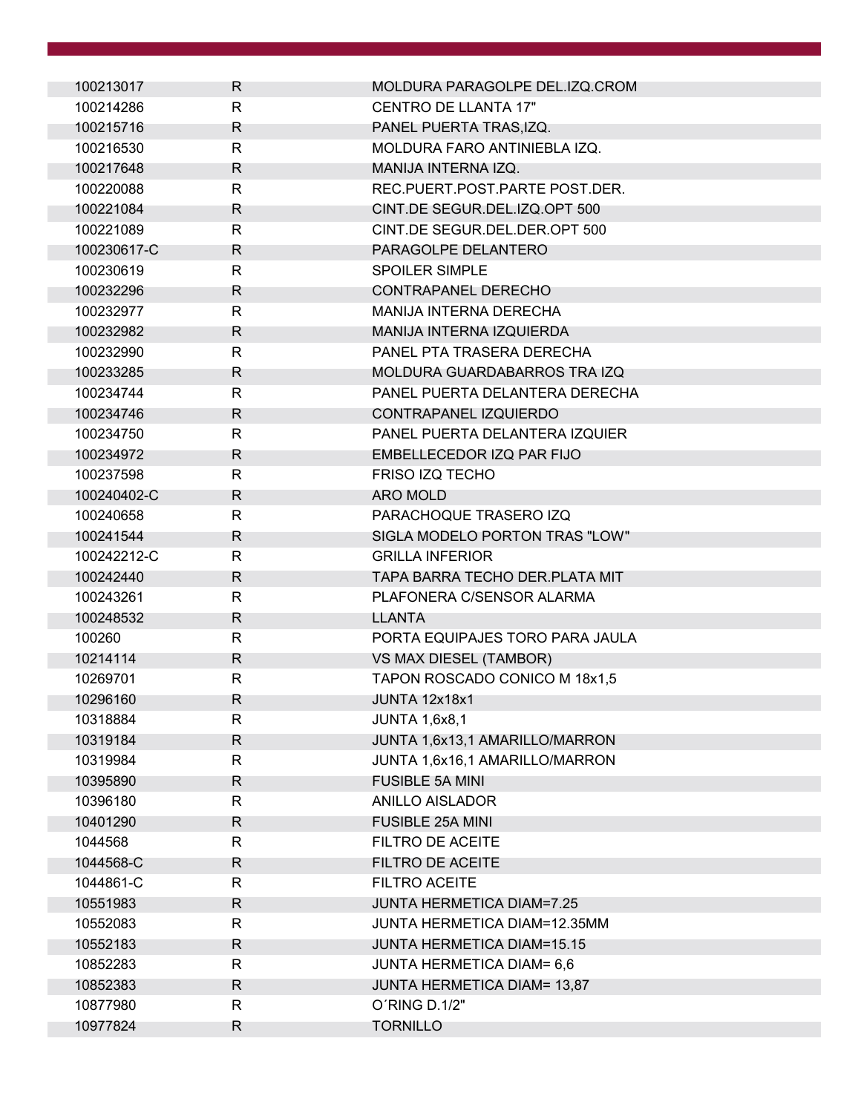| 100213017   | R            | MOLDURA PARAGOLPE DEL.IZQ.CROM    |
|-------------|--------------|-----------------------------------|
| 100214286   | R            | <b>CENTRO DE LLANTA 17"</b>       |
| 100215716   | R            | PANEL PUERTA TRAS, IZQ.           |
| 100216530   | R            | MOLDURA FARO ANTINIEBLA IZQ.      |
| 100217648   | R            | MANIJA INTERNA IZQ.               |
| 100220088   | R            | REC.PUERT.POST.PARTE POST.DER.    |
| 100221084   | R            | CINT.DE SEGUR.DEL.IZQ.OPT 500     |
| 100221089   | R            | CINT.DE SEGUR.DEL.DER.OPT 500     |
| 100230617-C | R            | PARAGOLPE DELANTERO               |
| 100230619   | R            | <b>SPOILER SIMPLE</b>             |
| 100232296   | R            | <b>CONTRAPANEL DERECHO</b>        |
| 100232977   | R            | MANIJA INTERNA DERECHA            |
| 100232982   | R            | <b>MANIJA INTERNA IZQUIERDA</b>   |
| 100232990   | R            | PANEL PTA TRASERA DERECHA         |
| 100233285   | R            | MOLDURA GUARDABARROS TRA IZQ      |
| 100234744   | R            | PANEL PUERTA DELANTERA DERECHA    |
| 100234746   | R            | CONTRAPANEL IZQUIERDO             |
| 100234750   | R            | PANEL PUERTA DELANTERA IZQUIER    |
| 100234972   | R            | EMBELLECEDOR IZQ PAR FIJO         |
| 100237598   | R            | <b>FRISO IZQ TECHO</b>            |
| 100240402-C | R            | <b>ARO MOLD</b>                   |
| 100240658   | R            | PARACHOQUE TRASERO IZQ            |
| 100241544   | R            | SIGLA MODELO PORTON TRAS "LOW"    |
| 100242212-C | R            | <b>GRILLA INFERIOR</b>            |
| 100242440   | R.           | TAPA BARRA TECHO DER.PLATA MIT    |
| 100243261   | R            | PLAFONERA C/SENSOR ALARMA         |
| 100248532   | R            | <b>LLANTA</b>                     |
| 100260      | R            | PORTA EQUIPAJES TORO PARA JAULA   |
| 10214114    | R            | VS MAX DIESEL (TAMBOR)            |
| 10269701    | $\mathsf{R}$ | TAPON ROSCADO CONICO M 18x1,5     |
| 10296160    | R            | JUNTA 12x18x1                     |
| 10318884    | R            | <b>JUNTA 1,6x8,1</b>              |
| 10319184    | $\mathsf R$  | JUNTA 1,6x13,1 AMARILLO/MARRON    |
| 10319984    | R            | JUNTA 1,6x16,1 AMARILLO/MARRON    |
| 10395890    | R            | <b>FUSIBLE 5A MINI</b>            |
| 10396180    | R            | <b>ANILLO AISLADOR</b>            |
| 10401290    | R            | <b>FUSIBLE 25A MINI</b>           |
| 1044568     | R            | FILTRO DE ACEITE                  |
| 1044568-C   | R            | <b>FILTRO DE ACEITE</b>           |
| 1044861-C   | R            | <b>FILTRO ACEITE</b>              |
| 10551983    | $\mathsf{R}$ | <b>JUNTA HERMETICA DIAM=7.25</b>  |
| 10552083    | R            | JUNTA HERMETICA DIAM=12.35MM      |
| 10552183    | R            | <b>JUNTA HERMETICA DIAM=15.15</b> |
| 10852283    | R            | <b>JUNTA HERMETICA DIAM= 6,6</b>  |
| 10852383    | R            | JUNTA HERMETICA DIAM= 13,87       |
| 10877980    | $\mathsf{R}$ | O'RING D.1/2"                     |
| 10977824    | R            | <b>TORNILLO</b>                   |
|             |              |                                   |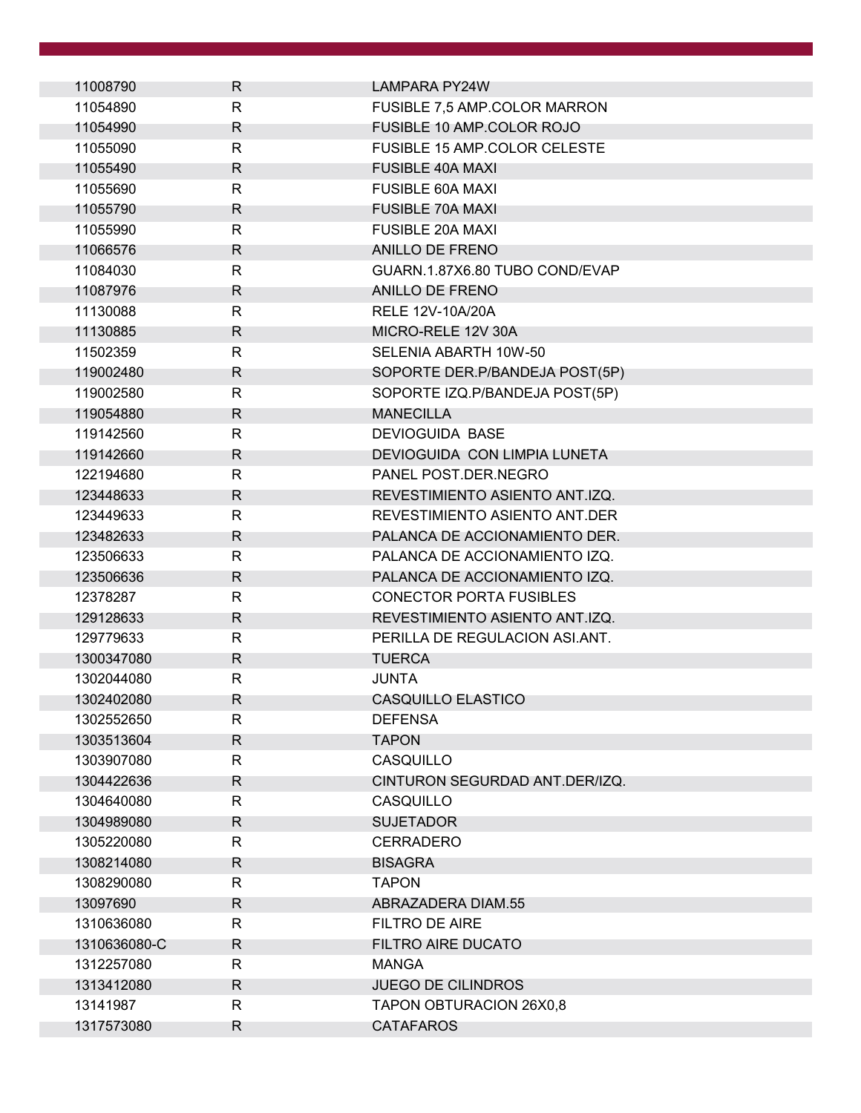| 11008790     | R            | LAMPARA PY24W                       |  |
|--------------|--------------|-------------------------------------|--|
| 11054890     | $\mathsf{R}$ | FUSIBLE 7,5 AMP.COLOR MARRON        |  |
| 11054990     | R            | FUSIBLE 10 AMP.COLOR ROJO           |  |
| 11055090     | $\mathsf{R}$ | <b>FUSIBLE 15 AMP.COLOR CELESTE</b> |  |
| 11055490     | R            | <b>FUSIBLE 40A MAXI</b>             |  |
| 11055690     | R            | <b>FUSIBLE 60A MAXI</b>             |  |
| 11055790     | R            | <b>FUSIBLE 70A MAXI</b>             |  |
| 11055990     | R            | <b>FUSIBLE 20A MAXI</b>             |  |
| 11066576     | R            | <b>ANILLO DE FRENO</b>              |  |
| 11084030     | $\mathsf{R}$ | GUARN.1.87X6.80 TUBO COND/EVAP      |  |
| 11087976     | R            | ANILLO DE FRENO                     |  |
| 11130088     | R            | RELE 12V-10A/20A                    |  |
| 11130885     | R            | MICRO-RELE 12V 30A                  |  |
| 11502359     | $\mathsf{R}$ | SELENIA ABARTH 10W-50               |  |
| 119002480    | R            | SOPORTE DER.P/BANDEJA POST(5P)      |  |
| 119002580    | R            | SOPORTE IZQ.P/BANDEJA POST(5P)      |  |
| 119054880    | R            | <b>MANECILLA</b>                    |  |
| 119142560    | R            | <b>DEVIOGUIDA BASE</b>              |  |
| 119142660    | R            | DEVIOGUIDA CON LIMPIA LUNETA        |  |
| 122194680    | $\mathsf{R}$ | PANEL POST.DER.NEGRO                |  |
| 123448633    | R            | REVESTIMIENTO ASIENTO ANT.IZQ.      |  |
| 123449633    | R            | REVESTIMIENTO ASIENTO ANT.DER       |  |
| 123482633    | R            | PALANCA DE ACCIONAMIENTO DER.       |  |
| 123506633    | R            | PALANCA DE ACCIONAMIENTO IZQ.       |  |
| 123506636    | R            | PALANCA DE ACCIONAMIENTO IZQ.       |  |
| 12378287     | $\mathsf{R}$ | <b>CONECTOR PORTA FUSIBLES</b>      |  |
| 129128633    | R            | REVESTIMIENTO ASIENTO ANT.IZQ.      |  |
| 129779633    | R            | PERILLA DE REGULACION ASI.ANT.      |  |
| 1300347080   | R            | <b>TUERCA</b>                       |  |
| 1302044080   | $\mathsf{R}$ | JUNTA                               |  |
| 1302402080   | R            | CASQUILLO ELASTICO                  |  |
| 1302552650   | R            | <b>DEFENSA</b>                      |  |
| 1303513604   | $\mathsf{R}$ | <b>TAPON</b>                        |  |
| 1303907080   | R            | CASQUILLO                           |  |
| 1304422636   | R            | CINTURON SEGURDAD ANT.DER/IZQ.      |  |
| 1304640080   | R            | CASQUILLO                           |  |
| 1304989080   | R            | <b>SUJETADOR</b>                    |  |
| 1305220080   | R.           | <b>CERRADERO</b>                    |  |
| 1308214080   | R            | <b>BISAGRA</b>                      |  |
| 1308290080   | R            | <b>TAPON</b>                        |  |
| 13097690     | R            | ABRAZADERA DIAM.55                  |  |
| 1310636080   | R            | FILTRO DE AIRE                      |  |
| 1310636080-C | R            | <b>FILTRO AIRE DUCATO</b>           |  |
| 1312257080   | R            | <b>MANGA</b>                        |  |
| 1313412080   | R            | <b>JUEGO DE CILINDROS</b>           |  |
| 13141987     | R            | TAPON OBTURACION 26X0,8             |  |
| 1317573080   | R            | <b>CATAFAROS</b>                    |  |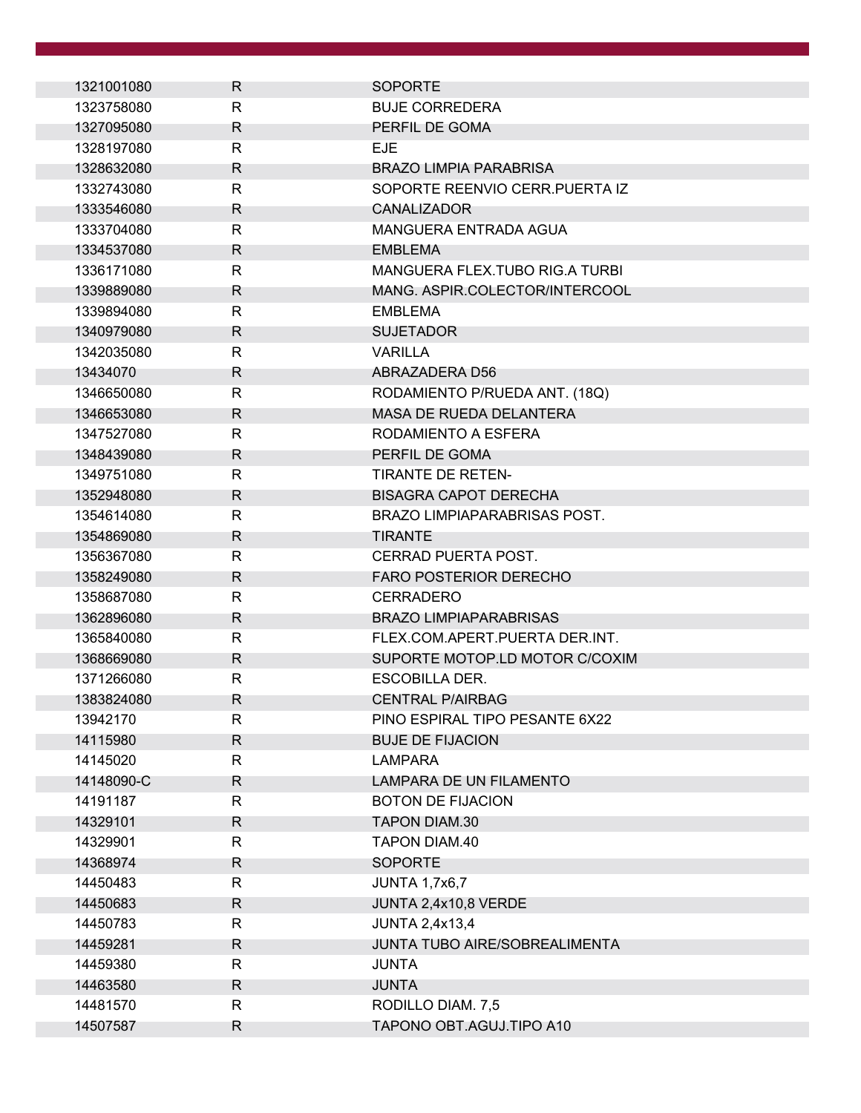| 1321001080 | R            | <b>SOPORTE</b>                   |
|------------|--------------|----------------------------------|
| 1323758080 | $\mathsf{R}$ | <b>BUJE CORREDERA</b>            |
| 1327095080 | R            | PERFIL DE GOMA                   |
| 1328197080 | $\mathsf{R}$ | <b>EJE</b>                       |
| 1328632080 | R            | <b>BRAZO LIMPIA PARABRISA</b>    |
| 1332743080 | $\mathsf{R}$ | SOPORTE REENVIO CERR. PUERTA IZ  |
| 1333546080 | R            | <b>CANALIZADOR</b>               |
| 1333704080 | $\mathsf{R}$ | <b>MANGUERA ENTRADA AGUA</b>     |
| 1334537080 | R            | <b>EMBLEMA</b>                   |
| 1336171080 | $\mathsf{R}$ | MANGUERA FLEX. TUBO RIG. A TURBI |
| 1339889080 | R            | MANG. ASPIR.COLECTOR/INTERCOOL   |
| 1339894080 | $\mathsf{R}$ | <b>EMBLEMA</b>                   |
| 1340979080 | R            | <b>SUJETADOR</b>                 |
| 1342035080 | $\mathsf{R}$ | <b>VARILLA</b>                   |
| 13434070   | R            | ABRAZADERA D56                   |
| 1346650080 | R            | RODAMIENTO P/RUEDA ANT. (18Q)    |
| 1346653080 | R            | <b>MASA DE RUEDA DELANTERA</b>   |
| 1347527080 | R            | RODAMIENTO A ESFERA              |
| 1348439080 | R            | PERFIL DE GOMA                   |
| 1349751080 | $\mathsf{R}$ | <b>TIRANTE DE RETEN-</b>         |
| 1352948080 | R            | <b>BISAGRA CAPOT DERECHA</b>     |
| 1354614080 | R            | BRAZO LIMPIAPARABRISAS POST.     |
| 1354869080 | R            | <b>TIRANTE</b>                   |
| 1356367080 | $\mathsf{R}$ | CERRAD PUERTA POST.              |
| 1358249080 | $\mathsf{R}$ | <b>FARO POSTERIOR DERECHO</b>    |
| 1358687080 | $\mathsf{R}$ | <b>CERRADERO</b>                 |
| 1362896080 | R            | <b>BRAZO LIMPIAPARABRISAS</b>    |
| 1365840080 | R            | FLEX.COM.APERT.PUERTA DER.INT.   |
| 1368669080 | R            | SUPORTE MOTOP.LD MOTOR C/COXIM   |
| 1371266080 | $\mathsf{R}$ | <b>ESCOBILLA DER.</b>            |
| 1383824080 | R            | <b>CENTRAL P/AIRBAG</b>          |
| 13942170   | R            | PINO ESPIRAL TIPO PESANTE 6X22   |
| 14115980   | $\mathsf{R}$ | <b>BUJE DE FIJACION</b>          |
| 14145020   | R            | <b>LAMPARA</b>                   |
| 14148090-C | R            | LAMPARA DE UN FILAMENTO          |
| 14191187   | R            | <b>BOTON DE FIJACION</b>         |
| 14329101   | R            | <b>TAPON DIAM.30</b>             |
| 14329901   | $\mathsf{R}$ | TAPON DIAM.40                    |
| 14368974   | R            | <b>SOPORTE</b>                   |
| 14450483   | R            | <b>JUNTA 1,7x6,7</b>             |
| 14450683   | $\mathsf{R}$ | JUNTA 2,4x10,8 VERDE             |
| 14450783   | $\mathsf{R}$ | <b>JUNTA 2,4x13,4</b>            |
| 14459281   | R            | JUNTA TUBO AIRE/SOBREALIMENTA    |
| 14459380   | R            | <b>JUNTA</b>                     |
| 14463580   | R            | <b>JUNTA</b>                     |
| 14481570   | R            | RODILLO DIAM. 7,5                |
| 14507587   | R            | TAPONO OBT.AGUJ.TIPO A10         |
|            |              |                                  |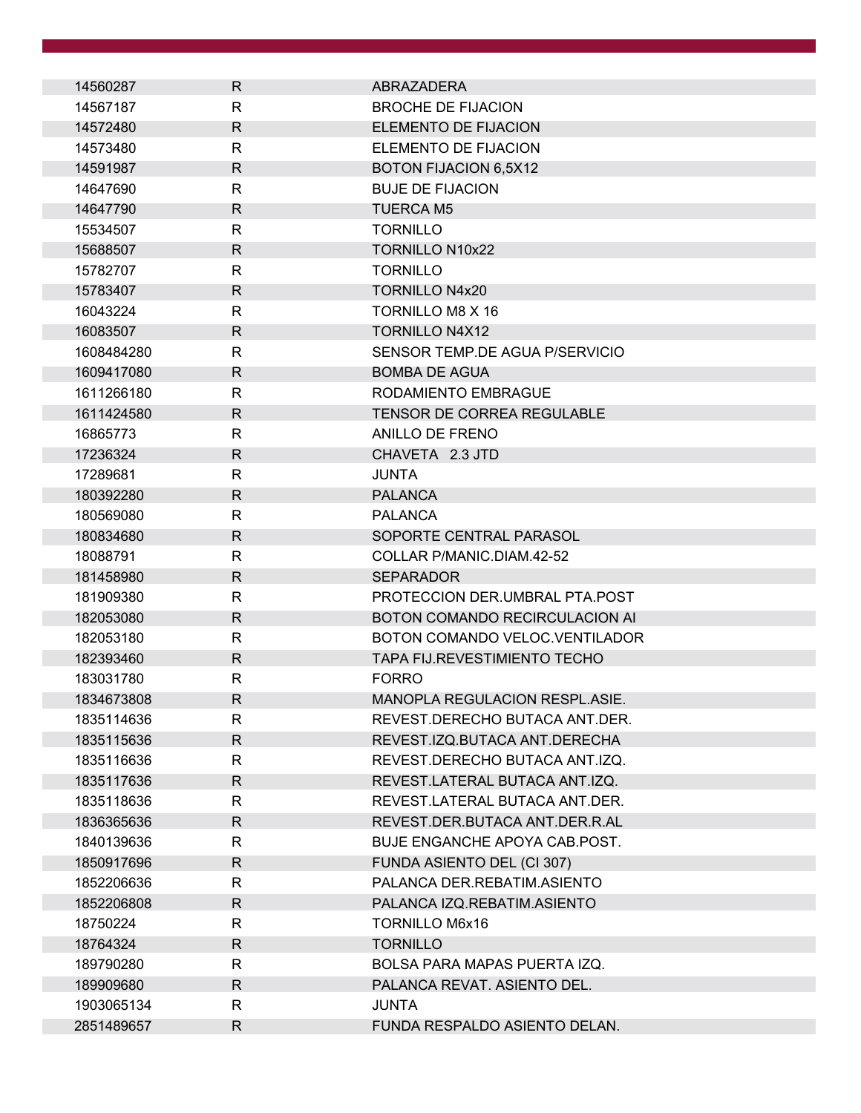| 14560287   | R            | ABRAZADERA                          |
|------------|--------------|-------------------------------------|
| 14567187   | $\mathsf{R}$ | <b>BROCHE DE FIJACION</b>           |
| 14572480   | $\mathsf{R}$ | <b>ELEMENTO DE FIJACION</b>         |
| 14573480   | $\mathsf{R}$ | ELEMENTO DE FIJACION                |
| 14591987   | R.           | BOTON FIJACION 6,5X12               |
| 14647690   | R            | <b>BUJE DE FIJACION</b>             |
| 14647790   | R.           | <b>TUERCA M5</b>                    |
| 15534507   | R            | <b>TORNILLO</b>                     |
| 15688507   | $\mathsf{R}$ | <b>TORNILLO N10x22</b>              |
| 15782707   | R            | <b>TORNILLO</b>                     |
| 15783407   | $\mathsf{R}$ | <b>TORNILLO N4x20</b>               |
| 16043224   | R            | TORNILLO M8 X 16                    |
| 16083507   | R            | <b>TORNILLO N4X12</b>               |
| 1608484280 | R            | SENSOR TEMP DE AGUA P/SERVICIO      |
| 1609417080 | $\mathsf{R}$ | <b>BOMBA DE AGUA</b>                |
| 1611266180 | R            | RODAMIENTO EMBRAGUE                 |
| 1611424580 | R            | <b>TENSOR DE CORREA REGULABLE</b>   |
| 16865773   | R            | ANILLO DE FRENO                     |
| 17236324   | $\mathsf{R}$ | CHAVETA 2.3 JTD                     |
| 17289681   | R            | <b>JUNTA</b>                        |
| 180392280  | $\mathsf{R}$ | <b>PALANCA</b>                      |
| 180569080  | R            | <b>PALANCA</b>                      |
| 180834680  | $\mathsf{R}$ | SOPORTE CENTRAL PARASOL             |
| 18088791   | R            | COLLAR P/MANIC.DIAM.42-52           |
| 181458980  | $\mathsf{R}$ | <b>SEPARADOR</b>                    |
| 181909380  | R            | PROTECCION DER.UMBRAL PTA.POST      |
| 182053080  | R.           | BOTON COMANDO RECIRCULACION AI      |
| 182053180  | $\mathsf{R}$ | BOTON COMANDO VELOC. VENTILADOR     |
| 182393460  | $\mathsf{R}$ | <b>TAPA FIJ.REVESTIMIENTO TECHO</b> |
| 183031780  | R            | <b>FORRO</b>                        |
| 1834673808 | $\mathsf{R}$ | MANOPLA REGULACION RESPL.ASIE.      |
| 1835114636 | R            | REVEST.DERECHO BUTACA ANT.DER.      |
| 1835115636 | $\mathsf{R}$ | REVEST.IZQ.BUTACA ANT.DERECHA       |
| 1835116636 | R            | REVEST.DERECHO BUTACA ANT.IZQ.      |
| 1835117636 | $\mathsf{R}$ | REVEST.LATERAL BUTACA ANT.IZQ.      |
| 1835118636 | R            | REVEST.LATERAL BUTACA ANT.DER.      |
| 1836365636 | $\mathsf{R}$ | REVEST.DER.BUTACA ANT.DER.R.AL      |
| 1840139636 | R            | BUJE ENGANCHE APOYA CAB.POST.       |
| 1850917696 | R.           | FUNDA ASIENTO DEL (CI 307)          |
| 1852206636 | R            | PALANCA DER.REBATIM.ASIENTO         |
| 1852206808 | $\mathsf{R}$ | PALANCA IZQ.REBATIM.ASIENTO         |
| 18750224   | R            | <b>TORNILLO M6x16</b>               |
| 18764324   | R.           | <b>TORNILLO</b>                     |
| 189790280  | R            | BOLSA PARA MAPAS PUERTA IZQ.        |
| 189909680  | $\mathsf{R}$ | PALANCA REVAT. ASIENTO DEL.         |
| 1903065134 | R            | <b>JUNTA</b>                        |
| 2851489657 | $\mathsf{R}$ | FUNDA RESPALDO ASIENTO DELAN.       |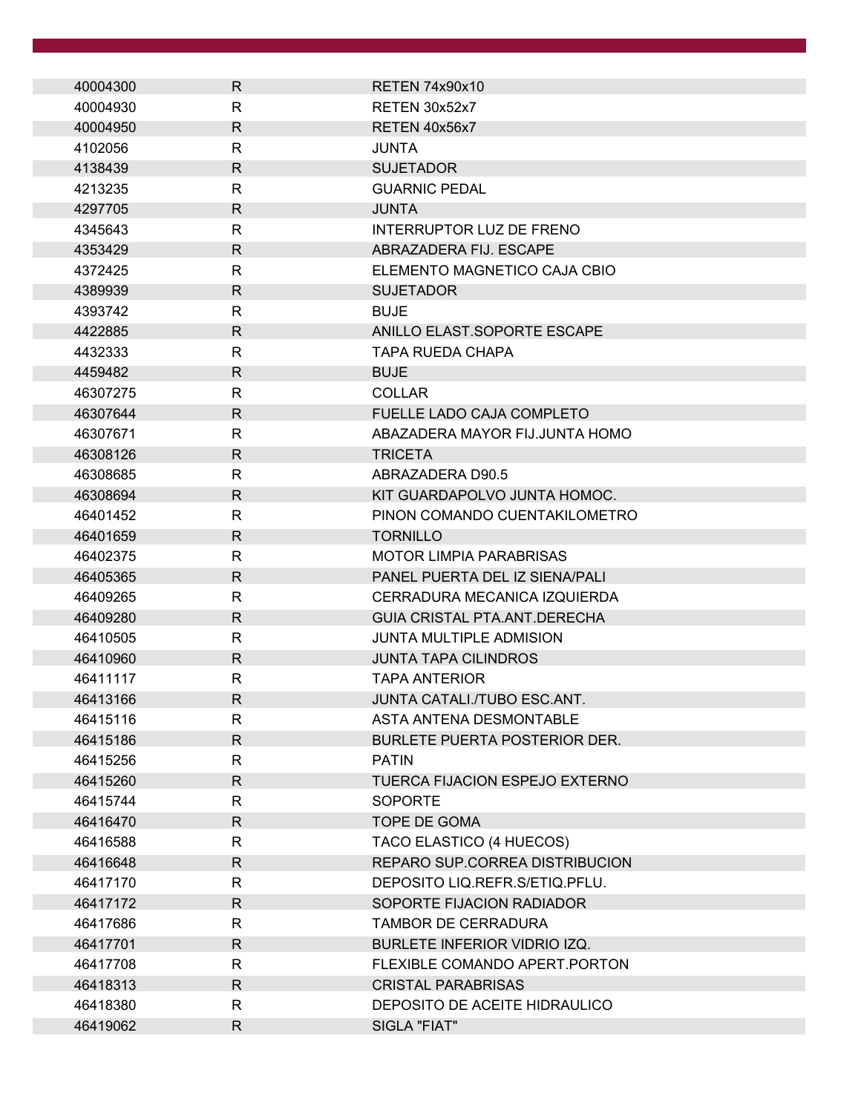| 40004300 | R            | RETEN 74x90x10                       |
|----------|--------------|--------------------------------------|
| 40004930 | R            | RETEN 30x52x7                        |
| 40004950 | R            | RETEN 40x56x7                        |
| 4102056  | R            | JUNTA                                |
| 4138439  | $\mathsf{R}$ | <b>SUJETADOR</b>                     |
| 4213235  | R            | <b>GUARNIC PEDAL</b>                 |
| 4297705  | R            | <b>JUNTA</b>                         |
| 4345643  | R            | <b>INTERRUPTOR LUZ DE FRENO</b>      |
| 4353429  | $\mathsf{R}$ | ABRAZADERA FIJ. ESCAPE               |
| 4372425  | R            | ELEMENTO MAGNETICO CAJA CBIO         |
| 4389939  | $\mathsf{R}$ | <b>SUJETADOR</b>                     |
| 4393742  | R            | <b>BUJE</b>                          |
| 4422885  | R            | ANILLO ELAST.SOPORTE ESCAPE          |
| 4432333  | R            | <b>TAPA RUEDA CHAPA</b>              |
| 4459482  | $\mathsf{R}$ | <b>BUJE</b>                          |
| 46307275 | R            | <b>COLLAR</b>                        |
| 46307644 | R            | FUELLE LADO CAJA COMPLETO            |
| 46307671 | $\mathsf{R}$ | ABAZADERA MAYOR FIJ.JUNTA HOMO       |
| 46308126 | R            | <b>TRICETA</b>                       |
| 46308685 | $\mathsf{R}$ | ABRAZADERA D90.5                     |
| 46308694 | R            | KIT GUARDAPOLVO JUNTA HOMOC.         |
| 46401452 | R            | PINON COMANDO CUENTAKILOMETRO        |
| 46401659 | $\mathsf{R}$ | <b>TORNILLO</b>                      |
| 46402375 | R            | <b>MOTOR LIMPIA PARABRISAS</b>       |
| 46405365 | R            | PANEL PUERTA DEL IZ SIENA/PALI       |
| 46409265 | R            | CERRADURA MECANICA IZQUIERDA         |
| 46409280 | R            | GUIA CRISTAL PTA ANT DERECHA         |
| 46410505 | R            | <b>JUNTA MULTIPLE ADMISION</b>       |
| 46410960 | R            | <b>JUNTA TAPA CILINDROS</b>          |
| 46411117 | R            | <b>TAPA ANTERIOR</b>                 |
| 46413166 | $\mathsf{R}$ | JUNTA CATALI./TUBO ESC.ANT.          |
| 46415116 | R            | ASTA ANTENA DESMONTABLE              |
| 46415186 | $\mathsf{R}$ | <b>BURLETE PUERTA POSTERIOR DER.</b> |
| 46415256 | R            | <b>PATIN</b>                         |
| 46415260 | $\mathsf{R}$ | TUERCA FIJACION ESPEJO EXTERNO       |
| 46415744 | R            | <b>SOPORTE</b>                       |
| 46416470 | $\mathsf{R}$ | TOPE DE GOMA                         |
| 46416588 | R            | TACO ELASTICO (4 HUECOS)             |
| 46416648 | $\mathsf{R}$ | REPARO SUP.CORREA DISTRIBUCION       |
| 46417170 | R            | DEPOSITO LIQ.REFR.S/ETIQ.PFLU.       |
| 46417172 | $\mathsf{R}$ | SOPORTE FIJACION RADIADOR            |
| 46417686 | R            | TAMBOR DE CERRADURA                  |
| 46417701 | R            | BURLETE INFERIOR VIDRIO IZQ.         |
| 46417708 | R            | FLEXIBLE COMANDO APERT. PORTON       |
| 46418313 | $\mathsf{R}$ | <b>CRISTAL PARABRISAS</b>            |
| 46418380 | R            | DEPOSITO DE ACEITE HIDRAULICO        |
| 46419062 | $\mathsf{R}$ | SIGLA "FIAT"                         |
|          |              |                                      |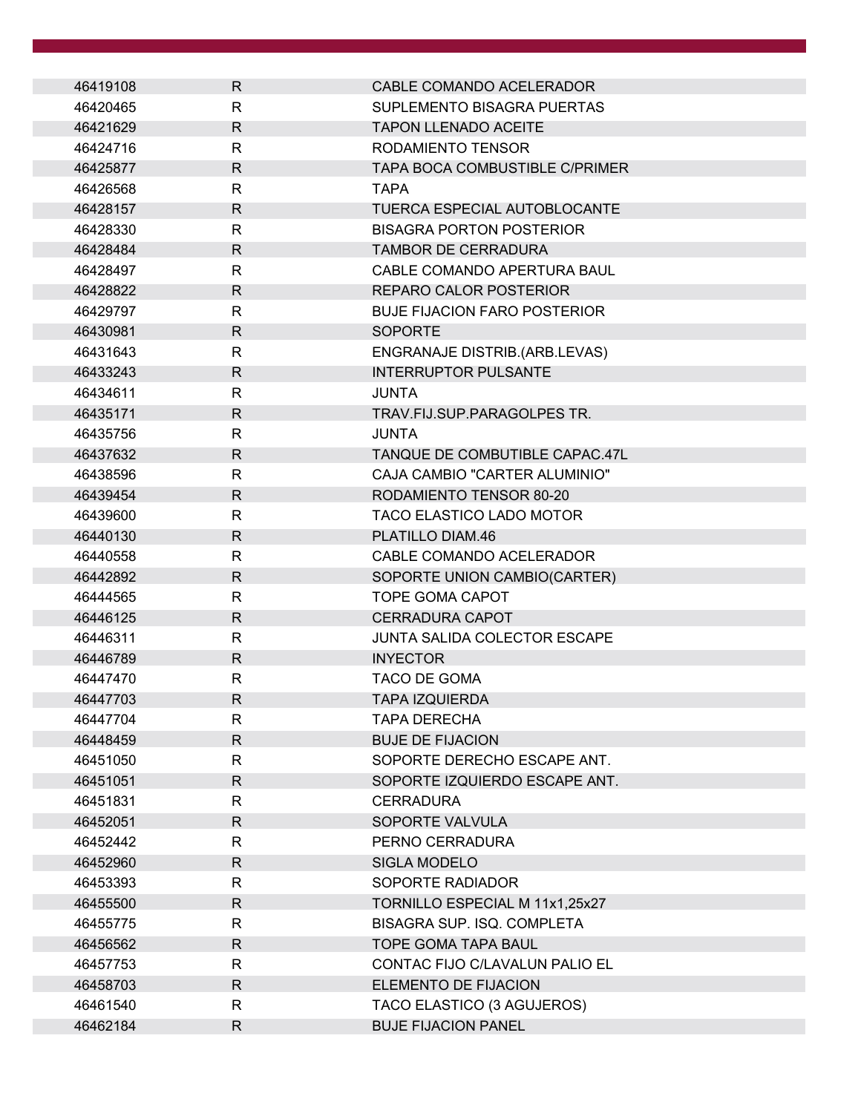| 46419108 | R.           | CABLE COMANDO ACELERADOR              |
|----------|--------------|---------------------------------------|
| 46420465 | R            | SUPLEMENTO BISAGRA PUERTAS            |
| 46421629 | R            | <b>TAPON LLENADO ACEITE</b>           |
| 46424716 | R            | RODAMIENTO TENSOR                     |
| 46425877 | $\mathsf{R}$ | <b>TAPA BOCA COMBUSTIBLE C/PRIMER</b> |
| 46426568 | R            | TAPA                                  |
| 46428157 | R.           | <b>TUERCA ESPECIAL AUTOBLOCANTE</b>   |
| 46428330 | R            | <b>BISAGRA PORTON POSTERIOR</b>       |
| 46428484 | R            | <b>TAMBOR DE CERRADURA</b>            |
| 46428497 | R            | CABLE COMANDO APERTURA BAUL           |
| 46428822 | R            | <b>REPARO CALOR POSTERIOR</b>         |
| 46429797 | R            | <b>BUJE FIJACION FARO POSTERIOR</b>   |
| 46430981 | R.           | <b>SOPORTE</b>                        |
| 46431643 | R            | ENGRANAJE DISTRIB.(ARB.LEVAS)         |
| 46433243 | $\mathsf{R}$ | <b>INTERRUPTOR PULSANTE</b>           |
| 46434611 | R            | JUNTA                                 |
| 46435171 | $\mathsf{R}$ | TRAV.FIJ.SUP.PARAGOLPES TR.           |
| 46435756 | R            | JUNTA                                 |
| 46437632 | $\mathsf{R}$ | TANQUE DE COMBUTIBLE CAPAC.47L        |
| 46438596 | R            | CAJA CAMBIO "CARTER ALUMINIO"         |
| 46439454 | R            | RODAMIENTO TENSOR 80-20               |
| 46439600 | R            | <b>TACO ELASTICO LADO MOTOR</b>       |
| 46440130 | R            | PLATILLO DIAM.46                      |
| 46440558 | R            | CABLE COMANDO ACELERADOR              |
| 46442892 | R.           | SOPORTE UNION CAMBIO(CARTER)          |
| 46444565 | R            | <b>TOPE GOMA CAPOT</b>                |
| 46446125 | R            | <b>CERRADURA CAPOT</b>                |
| 46446311 | R            | JUNTA SALIDA COLECTOR ESCAPE          |
| 46446789 | $\mathsf{R}$ | <b>INYECTOR</b>                       |
| 46447470 | R            | TACO DE GOMA                          |
| 46447703 | R            | TAPA IZOUIFRDA                        |
| 46447704 | R            | <b>TAPA DERECHA</b>                   |
| 46448459 | R            | <b>BUJE DE FIJACION</b>               |
| 46451050 | R            | SOPORTE DERECHO ESCAPE ANT.           |
| 46451051 | R.           | SOPORTE IZQUIERDO ESCAPE ANT.         |
| 46451831 | R            | <b>CERRADURA</b>                      |
| 46452051 | R            | SOPORTE VALVULA                       |
| 46452442 | R            | PERNO CERRADURA                       |
| 46452960 | R            | <b>SIGLA MODELO</b>                   |
| 46453393 | R            | SOPORTE RADIADOR                      |
| 46455500 | R.           | TORNILLO ESPECIAL M 11x1,25x27        |
| 46455775 | R            | BISAGRA SUP. ISQ. COMPLETA            |
| 46456562 | R            | TOPE GOMA TAPA BAUL                   |
| 46457753 | R            | CONTAC FIJO C/LAVALUN PALIO EL        |
| 46458703 | R            | ELEMENTO DE FIJACION                  |
| 46461540 | R            | TACO ELASTICO (3 AGUJEROS)            |
| 46462184 | R            | <b>BUJE FIJACION PANEL</b>            |
|          |              |                                       |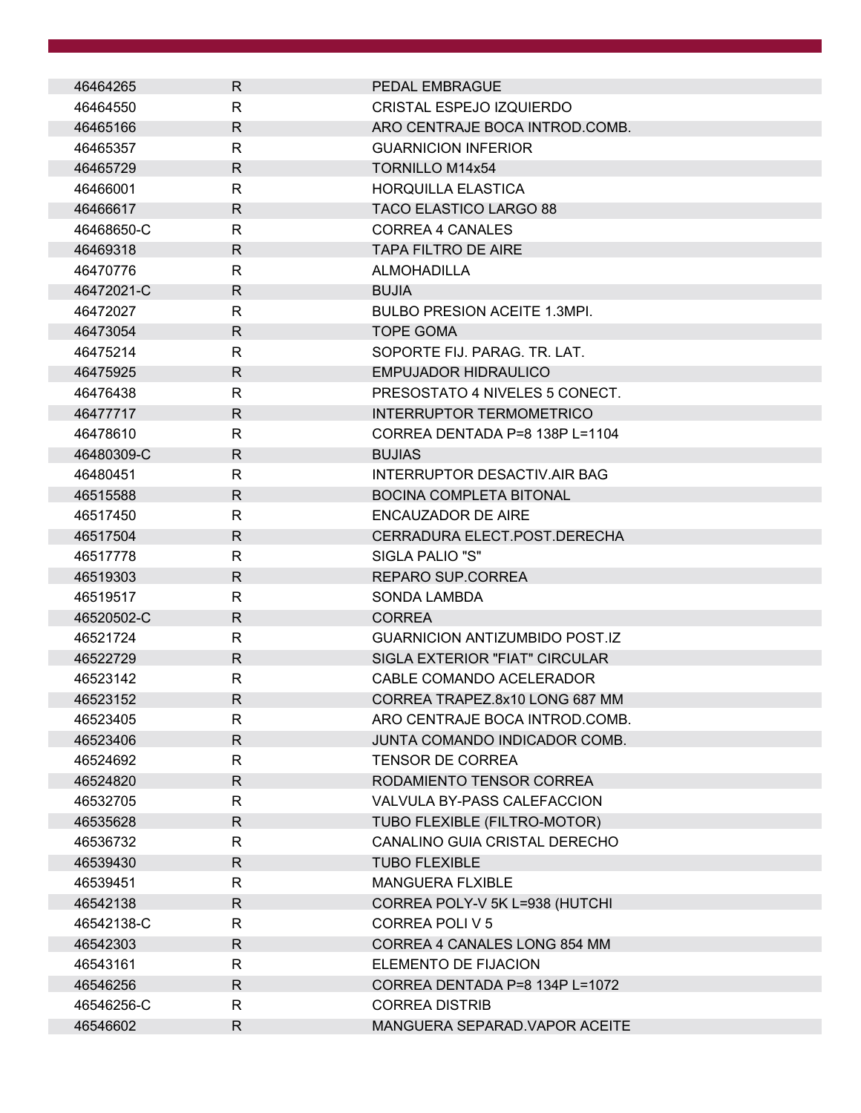| 46464265   | R            | PEDAL EMBRAGUE                        |
|------------|--------------|---------------------------------------|
| 46464550   | R            | <b>CRISTAL ESPEJO IZQUIERDO</b>       |
| 46465166   | R            | ARO CENTRAJE BOCA INTROD.COMB.        |
| 46465357   | R            | <b>GUARNICION INFERIOR</b>            |
| 46465729   | R            | <b>TORNILLO M14x54</b>                |
| 46466001   | R            | <b>HORQUILLA ELASTICA</b>             |
| 46466617   | R            | <b>TACO ELASTICO LARGO 88</b>         |
| 46468650-C | $\mathsf{R}$ | CORREA 4 CANALES                      |
| 46469318   | R            | <b>TAPA FILTRO DE AIRE</b>            |
| 46470776   | R            | <b>ALMOHADILLA</b>                    |
| 46472021-C | $\mathsf{R}$ | <b>BUJIA</b>                          |
| 46472027   | R            | <b>BULBO PRESION ACEITE 1.3MPI.</b>   |
| 46473054   | R            | <b>TOPE GOMA</b>                      |
| 46475214   | R            | SOPORTE FIJ. PARAG. TR. LAT.          |
| 46475925   | R            | <b>EMPUJADOR HIDRAULICO</b>           |
| 46476438   | R            | PRESOSTATO 4 NIVELES 5 CONECT.        |
| 46477717   | $\mathsf{R}$ | <b>INTERRUPTOR TERMOMETRICO</b>       |
| 46478610   | R            | CORREA DENTADA P=8 138P L=1104        |
| 46480309-C | R            | <b>BUJIAS</b>                         |
| 46480451   | $\mathsf{R}$ | INTERRUPTOR DESACTIV.AIR BAG          |
| 46515588   | R            | <b>BOCINA COMPLETA BITONAL</b>        |
| 46517450   | R            | ENCAUZADOR DE AIRE                    |
| 46517504   | R            | CERRADURA ELECT.POST.DERECHA          |
| 46517778   | $\mathsf{R}$ | SIGLA PALIO "S"                       |
| 46519303   | R            | REPARO SUP.CORREA                     |
| 46519517   | R            | <b>SONDA LAMBDA</b>                   |
| 46520502-C | R            | <b>CORREA</b>                         |
| 46521724   | R            | <b>GUARNICION ANTIZUMBIDO POST.IZ</b> |
| 46522729   | R            | SIGLA EXTERIOR "FIAT" CIRCULAR        |
| 46523142   | $\mathsf{R}$ | CABLE COMANDO ACELERADOR              |
| 46523152   | R            | CORREA TRAPEZ 8x10 LONG 687 MM        |
| 46523405   | R            | ARO CENTRAJE BOCA INTROD.COMB.        |
| 46523406   | R            | JUNTA COMANDO INDICADOR COMB.         |
| 46524692   | $\mathsf{R}$ | <b>TENSOR DE CORREA</b>               |
| 46524820   | R            | RODAMIENTO TENSOR CORREA              |
| 46532705   | $\mathsf{R}$ | VALVULA BY-PASS CALEFACCION           |
| 46535628   | R            | TUBO FLEXIBLE (FILTRO-MOTOR)          |
| 46536732   | R            | CANALINO GUIA CRISTAL DERECHO         |
| 46539430   | R            | <b>TUBO FLEXIBLE</b>                  |
| 46539451   | R            | <b>MANGUERA FLXIBLE</b>               |
| 46542138   | $\mathsf{R}$ | CORREA POLY-V 5K L=938 (HUTCHI        |
| 46542138-C | $\mathsf{R}$ | <b>CORREA POLI V 5</b>                |
| 46542303   | $\mathsf{R}$ | CORREA 4 CANALES LONG 854 MM          |
| 46543161   | R            | ELEMENTO DE FIJACION                  |
| 46546256   | R            | CORREA DENTADA P=8 134P L=1072        |
| 46546256-C | R            | <b>CORREA DISTRIB</b>                 |
| 46546602   | R            | MANGUERA SEPARAD. VAPOR ACEITE        |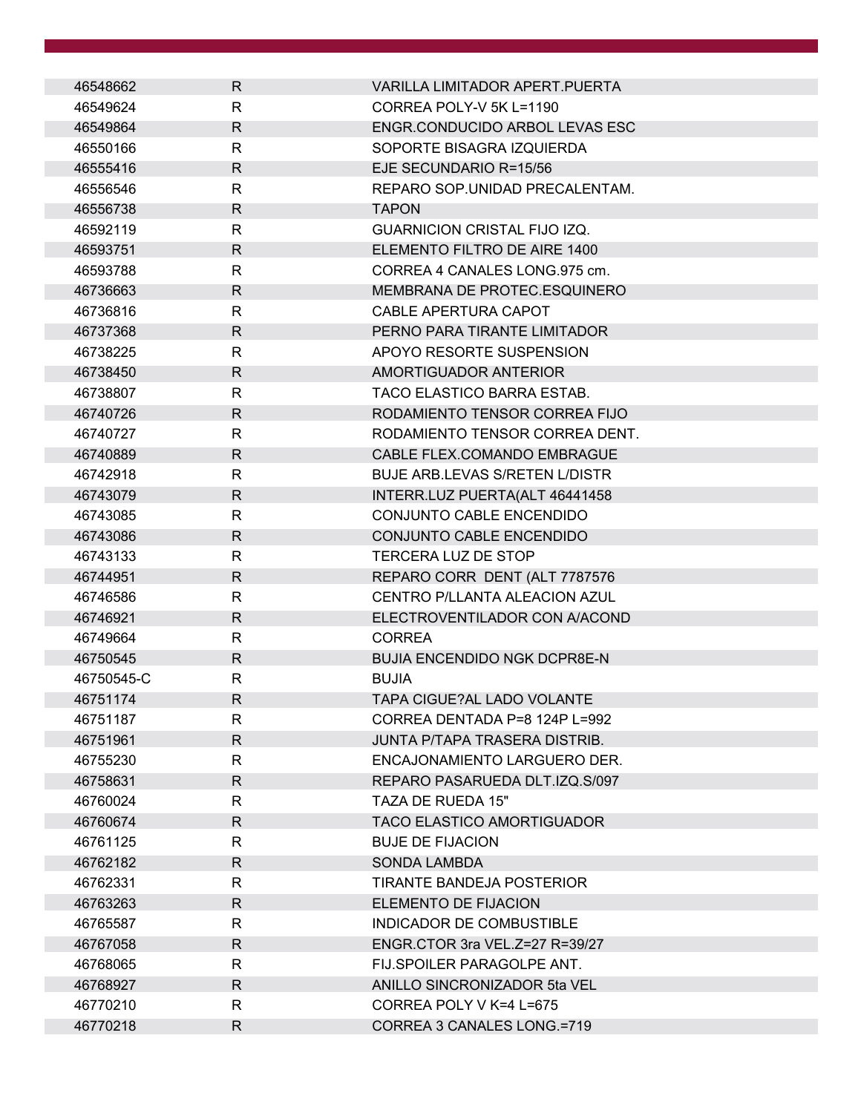| 46548662   | $\mathsf{R}$ | <b>VARILLA LIMITADOR APERT.PUERTA</b> |
|------------|--------------|---------------------------------------|
| 46549624   | R            | CORREA POLY-V 5K L=1190               |
| 46549864   | $\mathsf{R}$ | ENGR.CONDUCIDO ARBOL LEVAS ESC        |
| 46550166   | R            | SOPORTE BISAGRA IZQUIERDA             |
| 46555416   | $\mathsf{R}$ | EJE SECUNDARIO R=15/56                |
| 46556546   | R            | REPARO SOP.UNIDAD PRECALENTAM.        |
| 46556738   | $\mathsf{R}$ | <b>TAPON</b>                          |
| 46592119   | R            | <b>GUARNICION CRISTAL FIJO IZQ.</b>   |
| 46593751   | $\mathsf{R}$ | ELEMENTO FILTRO DE AIRE 1400          |
| 46593788   | R            | CORREA 4 CANALES LONG.975 cm.         |
| 46736663   | $\mathsf{R}$ | MEMBRANA DE PROTEC.ESQUINERO          |
| 46736816   | R.           | CABLE APERTURA CAPOT                  |
| 46737368   | $\mathsf{R}$ | PERNO PARA TIRANTE LIMITADOR          |
| 46738225   | R            | APOYO RESORTE SUSPENSION              |
| 46738450   | $\mathsf{R}$ | AMORTIGUADOR ANTERIOR                 |
| 46738807   | R.           | TACO ELASTICO BARRA ESTAB.            |
| 46740726   | $\mathsf{R}$ | RODAMIENTO TENSOR CORREA FIJO         |
| 46740727   | R            | RODAMIENTO TENSOR CORREA DENT.        |
| 46740889   | $\mathsf{R}$ | CABLE FLEX.COMANDO EMBRAGUE           |
| 46742918   | R            | <b>BUJE ARB.LEVAS S/RETEN L/DISTR</b> |
| 46743079   | $\mathsf{R}$ | INTERR.LUZ PUERTA(ALT 46441458        |
| 46743085   | R.           | CONJUNTO CABLE ENCENDIDO              |
| 46743086   | R.           | CONJUNTO CABLE ENCENDIDO              |
| 46743133   | R            | TERCERA LUZ DE STOP                   |
| 46744951   | $\mathsf{R}$ | REPARO CORR DENT (ALT 7787576         |
| 46746586   | R            | CENTRO P/LLANTA ALEACION AZUL         |
| 46746921   | $\mathsf{R}$ | ELECTROVENTILADOR CON A/ACOND         |
| 46749664   | R            | <b>CORREA</b>                         |
| 46750545   | $\mathsf{R}$ | <b>BUJIA ENCENDIDO NGK DCPR8E-N</b>   |
| 46750545-C | R            | <b>BUJIA</b>                          |
| 46751174   | $\mathsf{R}$ | TAPA CIGUE?AL LADO VOLANTE            |
| 46751187   | R.           | CORREA DENTADA P=8 124P L=992         |
| 46751961   | $\mathsf{R}$ | JUNTA P/TAPA TRASERA DISTRIB.         |
| 46755230   | $\mathsf{R}$ | ENCAJONAMIENTO LARGUERO DER.          |
| 46758631   | $\mathsf{R}$ | REPARO PASARUEDA DLT.IZQ.S/097        |
| 46760024   | R.           | TAZA DE RUEDA 15"                     |
| 46760674   | $\mathsf{R}$ | <b>TACO ELASTICO AMORTIGUADOR</b>     |
| 46761125   | R            | <b>BUJE DE FIJACION</b>               |
| 46762182   | R            | <b>SONDA LAMBDA</b>                   |
| 46762331   | R            | TIRANTE BANDEJA POSTERIOR             |
| 46763263   | $\mathsf{R}$ | <b>ELEMENTO DE FIJACION</b>           |
| 46765587   | R            | INDICADOR DE COMBUSTIBLE              |
| 46767058   | $\mathsf{R}$ | ENGR.CTOR 3ra VEL.Z=27 R=39/27        |
| 46768065   | R.           | FIJ.SPOILER PARAGOLPE ANT.            |
| 46768927   | R.           | ANILLO SINCRONIZADOR 5ta VEL          |
| 46770210   | R.           | CORREA POLY V K=4 L=675               |
| 46770218   | $\mathsf{R}$ | CORREA 3 CANALES LONG.=719            |
|            |              |                                       |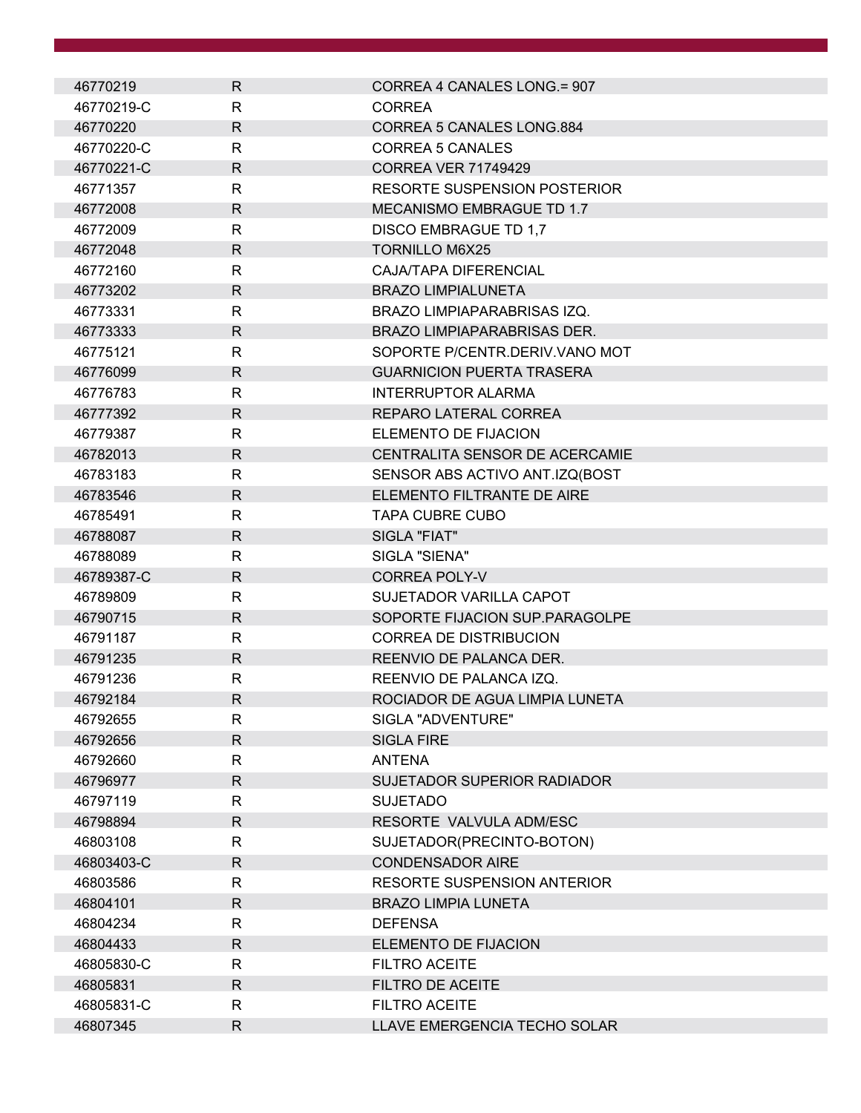| 46770219   | $\mathsf{R}$ | CORREA 4 CANALES LONG.= 907         |
|------------|--------------|-------------------------------------|
| 46770219-C | $\mathsf{R}$ | <b>CORREA</b>                       |
| 46770220   | $\mathsf{R}$ | <b>CORREA 5 CANALES LONG.884</b>    |
| 46770220-C | $\mathsf{R}$ | CORREA 5 CANALES                    |
| 46770221-C | R            | <b>CORREA VER 71749429</b>          |
| 46771357   | $\mathsf{R}$ | <b>RESORTE SUSPENSION POSTERIOR</b> |
| 46772008   | R            | MECANISMO EMBRAGUE TD 1.7           |
| 46772009   | $\mathsf{R}$ | <b>DISCO EMBRAGUE TD 1,7</b>        |
| 46772048   | $\mathsf{R}$ | <b>TORNILLO M6X25</b>               |
| 46772160   | $\mathsf{R}$ | CAJA/TAPA DIFERENCIAL               |
| 46773202   | $\mathsf{R}$ | <b>BRAZO LIMPIALUNETA</b>           |
| 46773331   | R            | BRAZO LIMPIAPARABRISAS IZQ.         |
| 46773333   | $\mathsf{R}$ | <b>BRAZO LIMPIAPARABRISAS DER.</b>  |
| 46775121   | R            | SOPORTE P/CENTR DERIV VANO MOT      |
| 46776099   | $\mathsf{R}$ | <b>GUARNICION PUERTA TRASERA</b>    |
| 46776783   | $\mathsf{R}$ | <b>INTERRUPTOR ALARMA</b>           |
| 46777392   | $\mathsf{R}$ | REPARO LATERAL CORREA               |
| 46779387   | $\mathsf{R}$ | ELEMENTO DE FIJACION                |
| 46782013   | R            | CENTRALITA SENSOR DE ACERCAMIE      |
| 46783183   | $\mathsf{R}$ | SENSOR ABS ACTIVO ANT.IZQ(BOST      |
| 46783546   | $\mathsf{R}$ | ELEMENTO FILTRANTE DE AIRE          |
| 46785491   | $\mathsf{R}$ | <b>TAPA CUBRE CUBO</b>              |
| 46788087   | R            | SIGLA "FIAT"                        |
| 46788089   | $\mathsf{R}$ | SIGLA "SIENA"                       |
| 46789387-C | $\mathsf{R}$ | <b>CORREA POLY-V</b>                |
| 46789809   | R            | <b>SUJETADOR VARILLA CAPOT</b>      |
| 46790715   | $\mathsf{R}$ | SOPORTE FIJACION SUP.PARAGOLPE      |
| 46791187   | $\mathsf{R}$ | <b>CORREA DE DISTRIBUCION</b>       |
| 46791235   | $\mathsf{R}$ | REENVIO DE PALANCA DER.             |
| 46791236   | $\mathsf{R}$ | REENVIO DE PALANCA IZQ.             |
| 46792184   | R            | ROCIADOR DE AGUA LIMPIA LUNETA      |
| 46792655   | R            | SIGLA "ADVENTURE"                   |
| 46792656   | $\mathsf{R}$ | <b>SIGLA FIRE</b>                   |
| 46792660   | $\mathsf{R}$ | <b>ANTENA</b>                       |
| 46796977   | $\mathsf{R}$ | SUJETADOR SUPERIOR RADIADOR         |
| 46797119   | $\mathsf{R}$ | <b>SUJETADO</b>                     |
| 46798894   | $\mathsf{R}$ | RESORTE VALVULA ADM/ESC             |
| 46803108   | R            | SUJETADOR(PRECINTO-BOTON)           |
| 46803403-C | $\mathsf{R}$ | <b>CONDENSADOR AIRE</b>             |
| 46803586   | $\mathsf{R}$ | <b>RESORTE SUSPENSION ANTERIOR</b>  |
| 46804101   | R.           | <b>BRAZO LIMPIA LUNETA</b>          |
| 46804234   | R            | <b>DEFENSA</b>                      |
| 46804433   | $\mathsf{R}$ | ELEMENTO DE FIJACION                |
| 46805830-C | $\mathsf{R}$ | <b>FILTRO ACEITE</b>                |
| 46805831   | R            | <b>FILTRO DE ACEITE</b>             |
| 46805831-C | $\mathsf{R}$ | FILTRO ACEITE                       |
| 46807345   | $\mathsf{R}$ | LLAVE EMERGENCIA TECHO SOLAR        |
|            |              |                                     |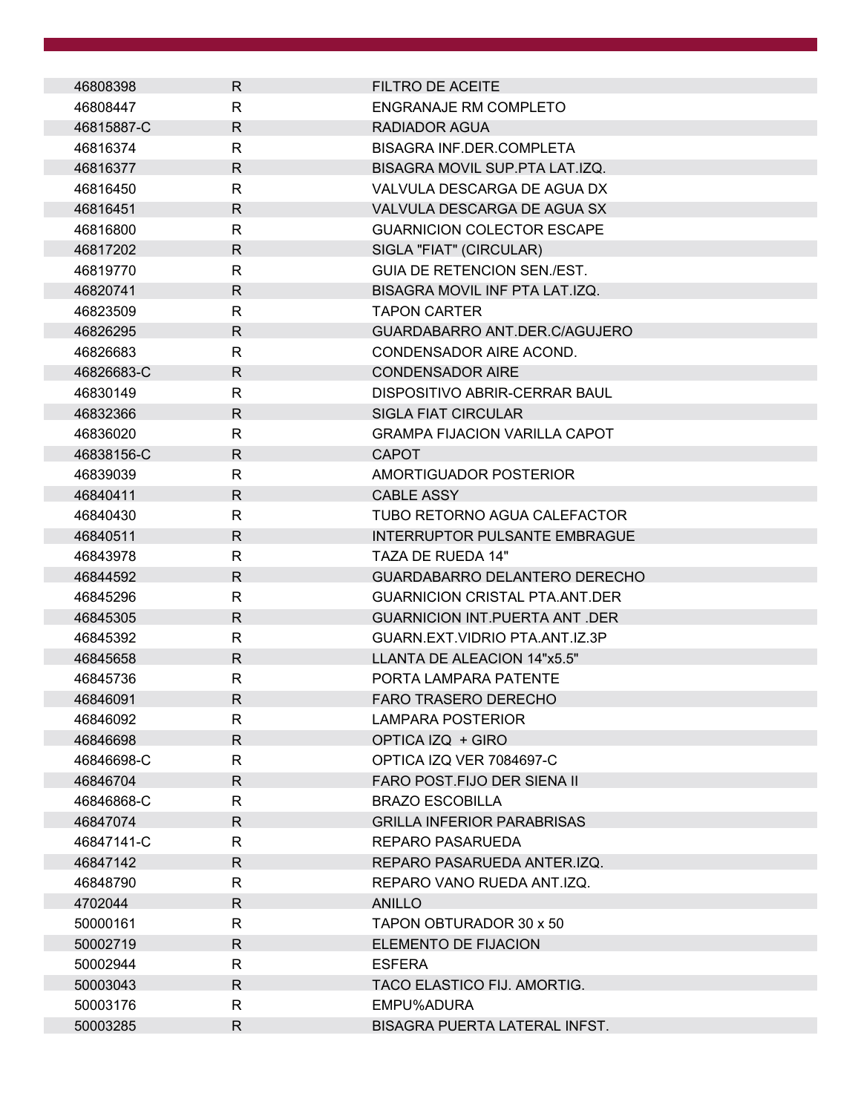| 46808398   | R            | <b>FILTRO DE ACEITE</b>               |
|------------|--------------|---------------------------------------|
| 46808447   | R            | ENGRANAJE RM COMPLETO                 |
| 46815887-C | R            | RADIADOR AGUA                         |
| 46816374   | R            | <b>BISAGRA INF.DER.COMPLETA</b>       |
| 46816377   | $\mathsf{R}$ | BISAGRA MOVIL SUP.PTA LAT.IZQ.        |
| 46816450   | R            | VALVULA DESCARGA DE AGUA DX           |
| 46816451   | $\mathsf{R}$ | VALVULA DESCARGA DE AGUA SX           |
| 46816800   | R            | <b>GUARNICION COLECTOR ESCAPE</b>     |
| 46817202   | $\mathsf{R}$ | SIGLA "FIAT" (CIRCULAR)               |
| 46819770   | R            | <b>GUIA DE RETENCION SEN./EST.</b>    |
| 46820741   | $\mathsf{R}$ | BISAGRA MOVIL INF PTA LAT.IZQ.        |
| 46823509   | $\mathsf{R}$ | <b>TAPON CARTER</b>                   |
| 46826295   | R            | GUARDABARRO ANT.DER.C/AGUJERO         |
| 46826683   | R            | CONDENSADOR AIRE ACOND.               |
| 46826683-C | $\mathsf{R}$ | <b>CONDENSADOR AIRE</b>               |
| 46830149   | R            | DISPOSITIVO ABRIR-CERRAR BAUL         |
| 46832366   | $\mathsf{R}$ | <b>SIGLA FIAT CIRCULAR</b>            |
| 46836020   | R            | <b>GRAMPA FIJACION VARILLA CAPOT</b>  |
| 46838156-C | $\mathsf{R}$ | <b>CAPOT</b>                          |
| 46839039   | $\mathsf{R}$ | AMORTIGUADOR POSTERIOR                |
| 46840411   | $\mathsf{R}$ | <b>CABLE ASSY</b>                     |
| 46840430   | $\mathsf{R}$ | TUBO RETORNO AGUA CALEFACTOR          |
| 46840511   | R            | <b>INTERRUPTOR PULSANTE EMBRAGUE</b>  |
| 46843978   | $\mathsf{R}$ | TAZA DE RUEDA 14"                     |
| 46844592   | $\mathsf{R}$ | GUARDABARRO DELANTERO DERECHO         |
| 46845296   | $\mathsf{R}$ | <b>GUARNICION CRISTAL PTA.ANT.DER</b> |
| 46845305   | R            | <b>GUARNICION INT.PUERTA ANT .DER</b> |
| 46845392   | R            | GUARN.EXT.VIDRIO PTA.ANT.IZ.3P        |
| 46845658   | $\mathsf{R}$ | LLANTA DE ALEACION 14"x5.5"           |
| 46845736   | R            | PORTA LAMPARA PATENTE                 |
| 46846091   | $\mathsf R$  | <b>FARO TRASERO DERECHO</b>           |
| 46846092   | R            | LAMPARA POSTERIOR                     |
| 46846698   | $\mathsf{R}$ | OPTICA IZQ + GIRO                     |
| 46846698-C | $\mathsf{R}$ | OPTICA IZQ VER 7084697-C              |
| 46846704   | R            | FARO POST.FIJO DER SIENA II           |
| 46846868-C | R            | <b>BRAZO ESCOBILLA</b>                |
| 46847074   | $\mathsf{R}$ | <b>GRILLA INFERIOR PARABRISAS</b>     |
| 46847141-C | $\mathsf{R}$ | REPARO PASARUEDA                      |
| 46847142   | R            | REPARO PASARUEDA ANTER.IZQ.           |
| 46848790   | R            | REPARO VANO RUEDA ANT.IZQ.            |
| 4702044    | $\mathsf{R}$ | <b>ANILLO</b>                         |
| 50000161   | R            | TAPON OBTURADOR 30 x 50               |
| 50002719   | $\mathsf{R}$ | ELEMENTO DE FIJACION                  |
| 50002944   | $\mathsf{R}$ | <b>ESFERA</b>                         |
| 50003043   | $\mathsf{R}$ | TACO ELASTICO FIJ. AMORTIG.           |
| 50003176   | R            | EMPU%ADURA                            |
| 50003285   | $\mathsf{R}$ | BISAGRA PUERTA LATERAL INFST.         |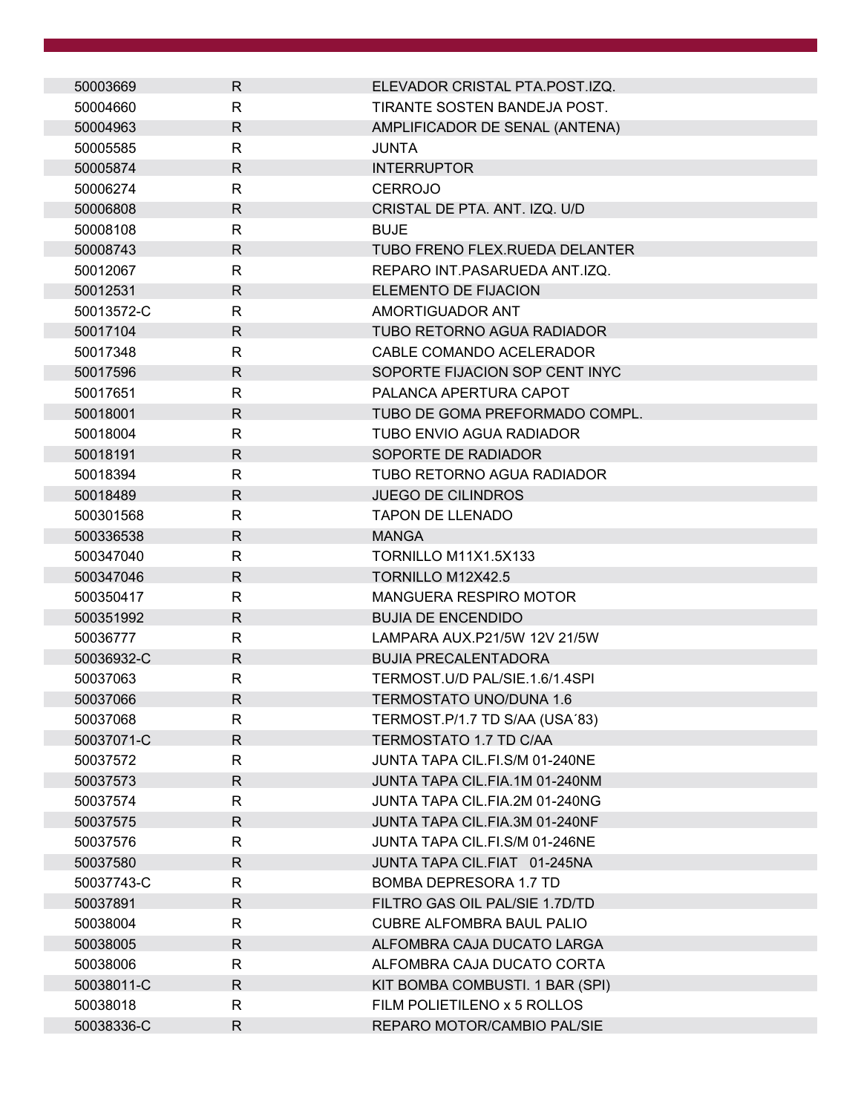| 50003669   | $\mathsf{R}$ | ELEVADOR CRISTAL PTA.POST.IZQ.   |
|------------|--------------|----------------------------------|
| 50004660   | R            | TIRANTE SOSTEN BANDEJA POST.     |
| 50004963   | $\mathsf{R}$ | AMPLIFICADOR DE SENAL (ANTENA)   |
| 50005585   | R            | <b>JUNTA</b>                     |
| 50005874   | $\mathsf{R}$ | <b>INTERRUPTOR</b>               |
| 50006274   | R            | <b>CERROJO</b>                   |
| 50006808   | $\mathsf{R}$ | CRISTAL DE PTA. ANT. IZQ. U/D    |
| 50008108   | R            | <b>BUJE</b>                      |
| 50008743   | R            | TUBO FRENO FLEX.RUEDA DELANTER   |
| 50012067   | $\mathsf{R}$ | REPARO INT.PASARUEDA ANT.IZQ.    |
| 50012531   | $\mathsf{R}$ | ELEMENTO DE FIJACION             |
| 50013572-C | R            | AMORTIGUADOR ANT                 |
| 50017104   | $\mathsf{R}$ | TUBO RETORNO AGUA RADIADOR       |
| 50017348   | R            | CABLE COMANDO ACELERADOR         |
| 50017596   | $\mathsf{R}$ | SOPORTE FIJACION SOP CENT INYC   |
| 50017651   | R            | PALANCA APERTURA CAPOT           |
| 50018001   | $\mathsf{R}$ | TUBO DE GOMA PREFORMADO COMPL.   |
| 50018004   | $\mathsf{R}$ | TUBO ENVIO AGUA RADIADOR         |
| 50018191   | $\mathsf{R}$ | SOPORTE DE RADIADOR              |
| 50018394   | R            | TUBO RETORNO AGUA RADIADOR       |
| 50018489   | R            | <b>JUEGO DE CILINDROS</b>        |
| 500301568  | $\mathsf{R}$ | <b>TAPON DE LLENADO</b>          |
| 500336538  | R            | <b>MANGA</b>                     |
| 500347040  | $\mathsf{R}$ | TORNILLO M11X1.5X133             |
| 500347046  | $\mathsf{R}$ | TORNILLO M12X42.5                |
| 500350417  | R            | MANGUERA RESPIRO MOTOR           |
| 500351992  | R            | <b>BUJIA DE ENCENDIDO</b>        |
| 50036777   | R            | LAMPARA AUX.P21/5W 12V 21/5W     |
| 50036932-C | $\mathsf{R}$ | <b>BUJIA PRECALENTADORA</b>      |
| 50037063   | $\mathsf{R}$ | TERMOST.U/D PAL/SIE.1.6/1.4SPI   |
| 50037066   | $\mathsf{R}$ | <b>TERMOSTATO UNO/DUNA 1.6</b>   |
| 50037068   | R            | TERMOST.P/1.7 TD S/AA (USA'83)   |
| 50037071-C | $\mathsf{R}$ | TERMOSTATO 1.7 TD C/AA           |
| 50037572   | R            | JUNTA TAPA CIL.FI.S/M 01-240NE   |
| 50037573   | R            | JUNTA TAPA CIL.FIA.1M 01-240NM   |
| 50037574   | $\mathsf{R}$ | JUNTA TAPA CIL.FIA.2M 01-240NG   |
| 50037575   | $\mathsf{R}$ | JUNTA TAPA CIL.FIA.3M 01-240NF   |
| 50037576   | R            | JUNTA TAPA CIL.FI.S/M 01-246NE   |
| 50037580   | $\mathsf{R}$ | JUNTA TAPA CIL.FIAT 01-245NA     |
| 50037743-C | R            | <b>BOMBA DEPRESORA 1.7 TD</b>    |
| 50037891   | $\mathsf{R}$ | FILTRO GAS OIL PAL/SIE 1.7D/TD   |
| 50038004   | R            | <b>CUBRE ALFOMBRA BAUL PALIO</b> |
| 50038005   | $\mathsf{R}$ | ALFOMBRA CAJA DUCATO LARGA       |
| 50038006   | R            | ALFOMBRA CAJA DUCATO CORTA       |
| 50038011-C | R            | KIT BOMBA COMBUSTI. 1 BAR (SPI)  |
| 50038018   | R            | FILM POLIETILENO x 5 ROLLOS      |
| 50038336-C | $\mathsf{R}$ | REPARO MOTOR/CAMBIO PAL/SIE      |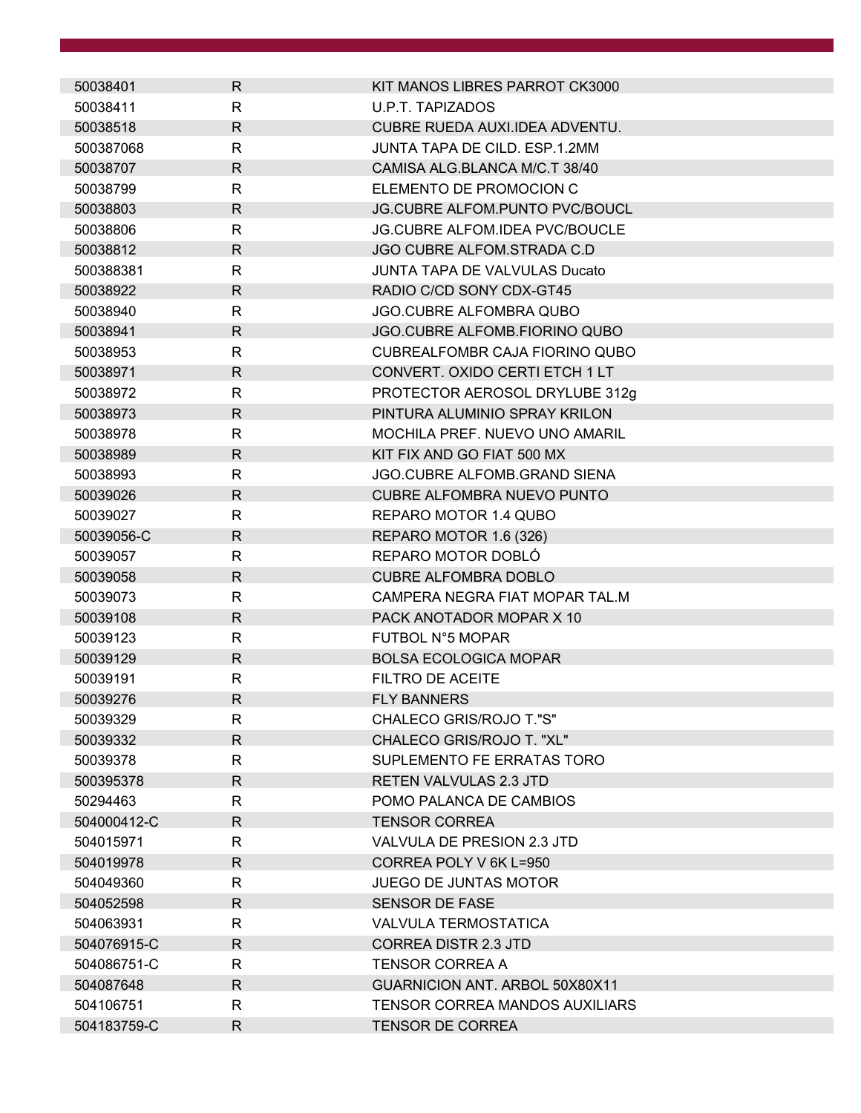| 50038401    | $\mathsf{R}$ | KIT MANOS LIBRES PARROT CK3000        |
|-------------|--------------|---------------------------------------|
| 50038411    | $\mathsf{R}$ | <b>U.P.T. TAPIZADOS</b>               |
| 50038518    | $\mathsf{R}$ | CUBRE RUEDA AUXI.IDEA ADVENTU.        |
| 500387068   | R            | JUNTA TAPA DE CILD. ESP.1.2MM         |
| 50038707    | R            | CAMISA ALG.BLANCA M/C.T 38/40         |
| 50038799    | R            | ELEMENTO DE PROMOCION C               |
| 50038803    | $\mathsf{R}$ | JG.CUBRE ALFOM.PUNTO PVC/BOUCL        |
| 50038806    | $\mathsf{R}$ | JG.CUBRE ALFOM.IDEA PVC/BOUCLE        |
| 50038812    | $\mathsf{R}$ | JGO CUBRE ALFOM.STRADA C.D            |
| 500388381   | R            | <b>JUNTA TAPA DE VALVULAS Ducato</b>  |
| 50038922    | $\mathsf{R}$ | RADIO C/CD SONY CDX-GT45              |
| 50038940    | R            | <b>JGO.CUBRE ALFOMBRA QUBO</b>        |
| 50038941    | $\mathsf{R}$ | JGO.CUBRE ALFOMB.FIORINO QUBO         |
| 50038953    | $\mathsf{R}$ | CUBREALFOMBR CAJA FIORINO QUBO        |
| 50038971    | $\mathsf{R}$ | CONVERT. OXIDO CERTI ETCH 1 LT        |
|             | R            | PROTECTOR AEROSOL DRYLUBE 312g        |
| 50038972    |              |                                       |
| 50038973    | $\mathsf{R}$ | PINTURA ALUMINIO SPRAY KRILON         |
| 50038978    | $\mathsf{R}$ | MOCHILA PREF. NUEVO UNO AMARIL        |
| 50038989    | R            | KIT FIX AND GO FIAT 500 MX            |
| 50038993    | $\mathsf{R}$ | JGO.CUBRE ALFOMB.GRAND SIENA          |
| 50039026    | $\mathsf{R}$ | <b>CUBRE ALFOMBRA NUEVO PUNTO</b>     |
| 50039027    | $\mathsf{R}$ | REPARO MOTOR 1.4 QUBO                 |
| 50039056-C  | $\mathsf{R}$ | REPARO MOTOR 1.6 (326)                |
| 50039057    | R            | REPARO MOTOR DOBLÓ                    |
| 50039058    | $\mathsf{R}$ | <b>CUBRE ALFOMBRA DOBLO</b>           |
| 50039073    | R            | CAMPERA NEGRA FIAT MOPAR TAL.M        |
| 50039108    | $\mathsf{R}$ | PACK ANOTADOR MOPAR X 10              |
| 50039123    | R            | FUTBOL N°5 MOPAR                      |
| 50039129    | $\mathsf{R}$ | <b>BOLSA ECOLOGICA MOPAR</b>          |
| 50039191    | R            | FILTRO DE ACEITE                      |
| 50039276    | R            | <b>FLY BANNERS</b>                    |
| 50039329    | R            | CHALECO GRIS/ROJO T."S"               |
| 50039332    | $\mathsf{R}$ | CHALECO GRIS/ROJO T. "XL"             |
| 50039378    | R            | SUPLEMENTO FE ERRATAS TORO            |
| 500395378   | R            | <b>RETEN VALVULAS 2.3 JTD</b>         |
| 50294463    | R            | POMO PALANCA DE CAMBIOS               |
| 504000412-C | R            | <b>TENSOR CORREA</b>                  |
| 504015971   | R            | VALVULA DE PRESION 2.3 JTD            |
| 504019978   | $\mathsf{R}$ | CORREA POLY V 6K L=950                |
| 504049360   | R            | <b>JUEGO DE JUNTAS MOTOR</b>          |
| 504052598   | $\mathsf{R}$ | <b>SENSOR DE FASE</b>                 |
| 504063931   | R            | VALVULA TERMOSTATICA                  |
| 504076915-C | R            | <b>CORREA DISTR 2.3 JTD</b>           |
| 504086751-C | R            | <b>TENSOR CORREA A</b>                |
| 504087648   | R            | GUARNICION ANT. ARBOL 50X80X11        |
| 504106751   | $\mathsf{R}$ | <b>TENSOR CORREA MANDOS AUXILIARS</b> |
| 504183759-C | R            | <b>TENSOR DE CORREA</b>               |
|             |              |                                       |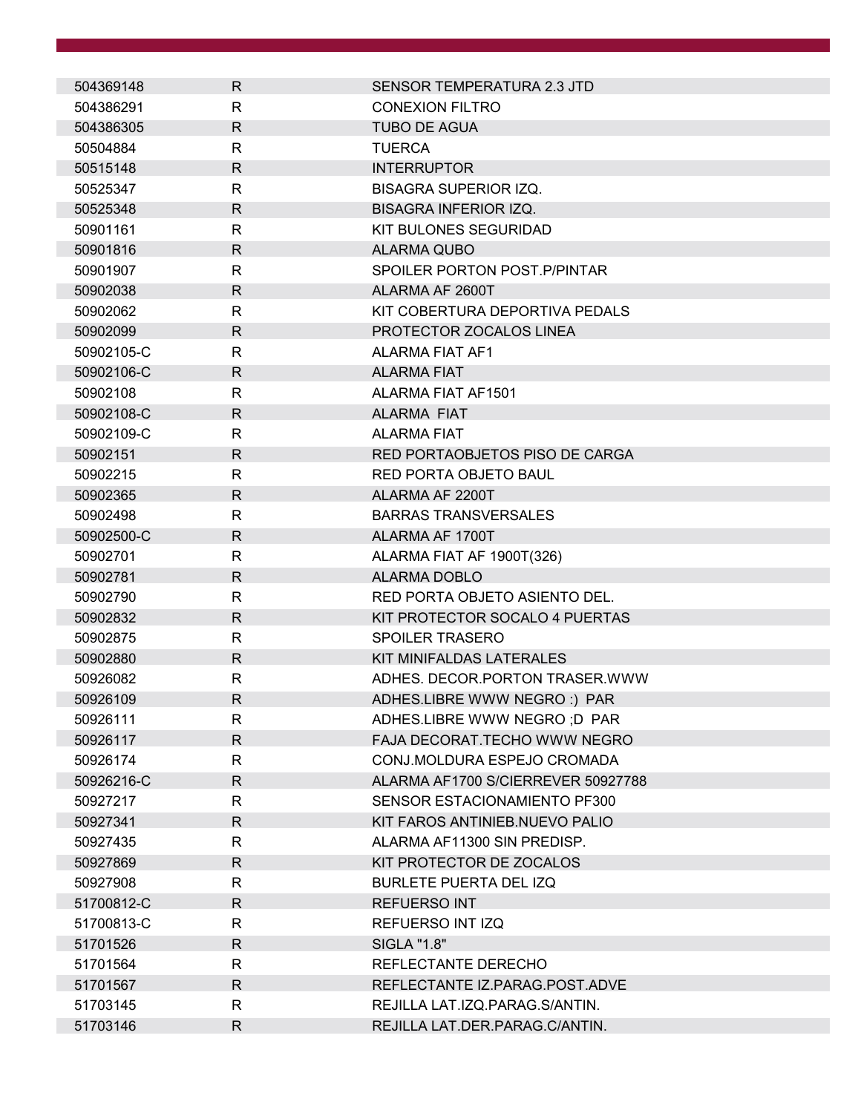| 504369148  | R            | <b>SENSOR TEMPERATURA 2.3 JTD</b>  |
|------------|--------------|------------------------------------|
| 504386291  | R            | <b>CONEXION FILTRO</b>             |
| 504386305  | R            | <b>TUBO DE AGUA</b>                |
| 50504884   | R            | <b>TUERCA</b>                      |
| 50515148   | R            | <b>INTERRUPTOR</b>                 |
| 50525347   | R            | <b>BISAGRA SUPERIOR IZQ.</b>       |
| 50525348   | R            | <b>BISAGRA INFERIOR IZQ.</b>       |
| 50901161   | R            | KIT BULONES SEGURIDAD              |
| 50901816   | R            | <b>ALARMA QUBO</b>                 |
| 50901907   | R            | SPOILER PORTON POST. P/PINTAR      |
| 50902038   | R            | ALARMA AF 2600T                    |
| 50902062   | R            | KIT COBERTURA DEPORTIVA PEDALS     |
| 50902099   | R            | PROTECTOR ZOCALOS LINEA            |
| 50902105-C | R            | ALARMA FIAT AF1                    |
| 50902106-C | $\mathsf{R}$ | <b>ALARMA FIAT</b>                 |
| 50902108   | R            | ALARMA FIAT AF1501                 |
| 50902108-C | R            | <b>ALARMA FIAT</b>                 |
| 50902109-C | R            | <b>ALARMA FIAT</b>                 |
| 50902151   | R            | RED PORTAOBJETOS PISO DE CARGA     |
| 50902215   | R            | <b>RED PORTA OBJETO BAUL</b>       |
| 50902365   | R.           | ALARMA AF 2200T                    |
| 50902498   | R            | <b>BARRAS TRANSVERSALES</b>        |
| 50902500-C | R            | ALARMA AF 1700T                    |
| 50902701   | R            | ALARMA FIAT AF 1900T(326)          |
| 50902781   | $\mathsf{R}$ | <b>ALARMA DOBLO</b>                |
| 50902790   | R            | RED PORTA OBJETO ASIENTO DEL.      |
| 50902832   | $\mathsf{R}$ | KIT PROTECTOR SOCALO 4 PUERTAS     |
| 50902875   | R            | <b>SPOILER TRASERO</b>             |
| 50902880   | R            | KIT MINIFALDAS LATERALES           |
| 50926082   | R            | ADHES. DECOR. PORTON TRASER. WWW   |
| 50926109   | R            | ADHES.LIBRE WWW NEGRO:) PAR        |
| 50926111   | R            | ADHES.LIBRE WWW NEGRO; D PAR       |
| 50926117   | R            | FAJA DECORAT.TECHO WWW NEGRO       |
| 50926174   | R            | CONJ.MOLDURA ESPEJO CROMADA        |
| 50926216-C | R            | ALARMA AF1700 S/CIERREVER 50927788 |
| 50927217   | R            | SENSOR ESTACIONAMIENTO PF300       |
| 50927341   | $\mathsf{R}$ | KIT FAROS ANTINIEB.NUEVO PALIO     |
| 50927435   | R            | ALARMA AF11300 SIN PREDISP.        |
| 50927869   | R            | KIT PROTECTOR DE ZOCALOS           |
| 50927908   | R            | <b>BURLETE PUERTA DEL IZQ</b>      |
| 51700812-C | R            | <b>REFUERSO INT</b>                |
| 51700813-C | R            | REFUERSO INT IZQ                   |
| 51701526   | R            | SIGLA "1.8"                        |
| 51701564   | R            | REFLECTANTE DERECHO                |
| 51701567   | R            | REFLECTANTE IZ.PARAG.POST.ADVE     |
| 51703145   | R            | REJILLA LAT.IZQ.PARAG.S/ANTIN.     |
| 51703146   | R            | REJILLA LAT.DER.PARAG.C/ANTIN.     |
|            |              |                                    |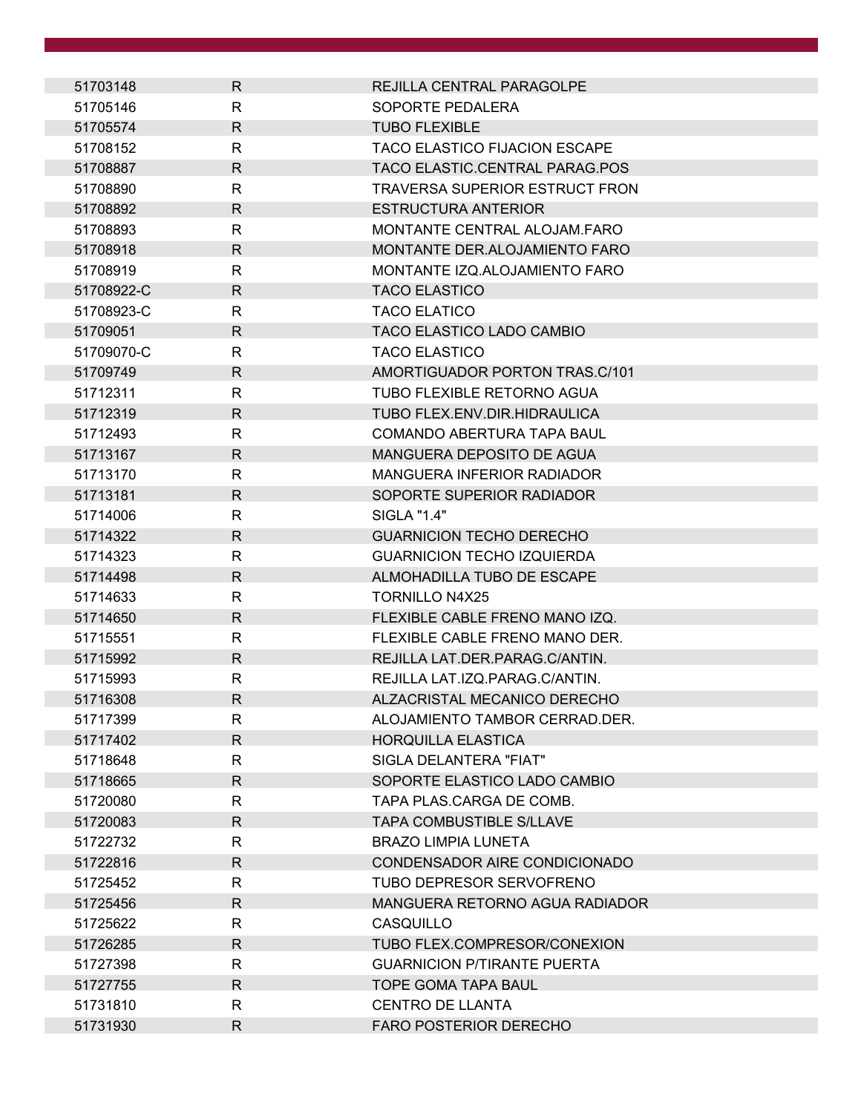| 51703148   | R.           | REJILLA CENTRAL PARAGOLPE             |
|------------|--------------|---------------------------------------|
| 51705146   | R            | SOPORTE PEDALERA                      |
| 51705574   | R            | <b>TUBO FLEXIBLE</b>                  |
| 51708152   | R            | <b>TACO ELASTICO FIJACION ESCAPE</b>  |
| 51708887   | R            | TACO ELASTIC.CENTRAL PARAG.POS        |
| 51708890   | R            | <b>TRAVERSA SUPERIOR ESTRUCT FRON</b> |
| 51708892   | R            | <b>ESTRUCTURA ANTERIOR</b>            |
| 51708893   | R            | MONTANTE CENTRAL ALOJAM.FARO          |
| 51708918   | R            | MONTANTE DER.ALOJAMIENTO FARO         |
| 51708919   | R            | MONTANTE IZQ.ALOJAMIENTO FARO         |
| 51708922-C | R.           | <b>TACO ELASTICO</b>                  |
| 51708923-C | R            | <b>TACO ELATICO</b>                   |
| 51709051   | R.           | TACO ELASTICO LADO CAMBIO             |
| 51709070-C | R            | <b>TACO ELASTICO</b>                  |
| 51709749   | R            | AMORTIGUADOR PORTON TRAS.C/101        |
| 51712311   | R            | <b>TUBO FLEXIBLE RETORNO AGUA</b>     |
| 51712319   | R.           | TUBO FLEX.ENV.DIR.HIDRAULICA          |
| 51712493   | R            | COMANDO ABERTURA TAPA BAUL            |
| 51713167   | R            | MANGUERA DEPOSITO DE AGUA             |
| 51713170   | R            | <b>MANGUERA INFERIOR RADIADOR</b>     |
| 51713181   | R            | SOPORTE SUPERIOR RADIADOR             |
| 51714006   | R            | SIGLA "1.4"                           |
| 51714322   | R.           | <b>GUARNICION TECHO DERECHO</b>       |
| 51714323   | R            | <b>GUARNICION TECHO IZQUIERDA</b>     |
| 51714498   | R            | ALMOHADILLA TUBO DE ESCAPE            |
| 51714633   | R            | <b>TORNILLO N4X25</b>                 |
| 51714650   | R            | FLEXIBLE CABLE FRENO MANO IZQ.        |
| 51715551   | R            | FLEXIBLE CABLE FRENO MANO DER.        |
| 51715992   | R.           | REJILLA LAT.DER.PARAG.C/ANTIN.        |
| 51715993   | R            | REJILLA LAT.IZQ.PARAG.C/ANTIN.        |
| 51716308   | $\mathsf{R}$ | ALZACRISTAL MECANICO DERECHO          |
| 51717399   | R            | ALOJAMIENTO TAMBOR CERRAD.DER.        |
| 51717402   | $\mathsf{R}$ | <b>HORQUILLA ELASTICA</b>             |
| 51718648   | R            | SIGLA DELANTERA "FIAT"                |
| 51718665   | R.           | SOPORTE ELASTICO LADO CAMBIO          |
| 51720080   | R            | TAPA PLAS.CARGA DE COMB.              |
| 51720083   | R            | <b>TAPA COMBUSTIBLE S/LLAVE</b>       |
| 51722732   | R            | <b>BRAZO LIMPIA LUNETA</b>            |
| 51722816   | R.           | CONDENSADOR AIRE CONDICIONADO         |
| 51725452   | R            | TUBO DEPRESOR SERVOFRENO              |
| 51725456   | R.           | MANGUERA RETORNO AGUA RADIADOR        |
| 51725622   | R            | CASQUILLO                             |
| 51726285   | R.           | TUBO FLEX.COMPRESOR/CONEXION          |
| 51727398   | R            | <b>GUARNICION P/TIRANTE PUERTA</b>    |
| 51727755   | R.           | <b>TOPE GOMA TAPA BAUL</b>            |
| 51731810   | R            | CENTRO DE LLANTA                      |
| 51731930   | R            | <b>FARO POSTERIOR DERECHO</b>         |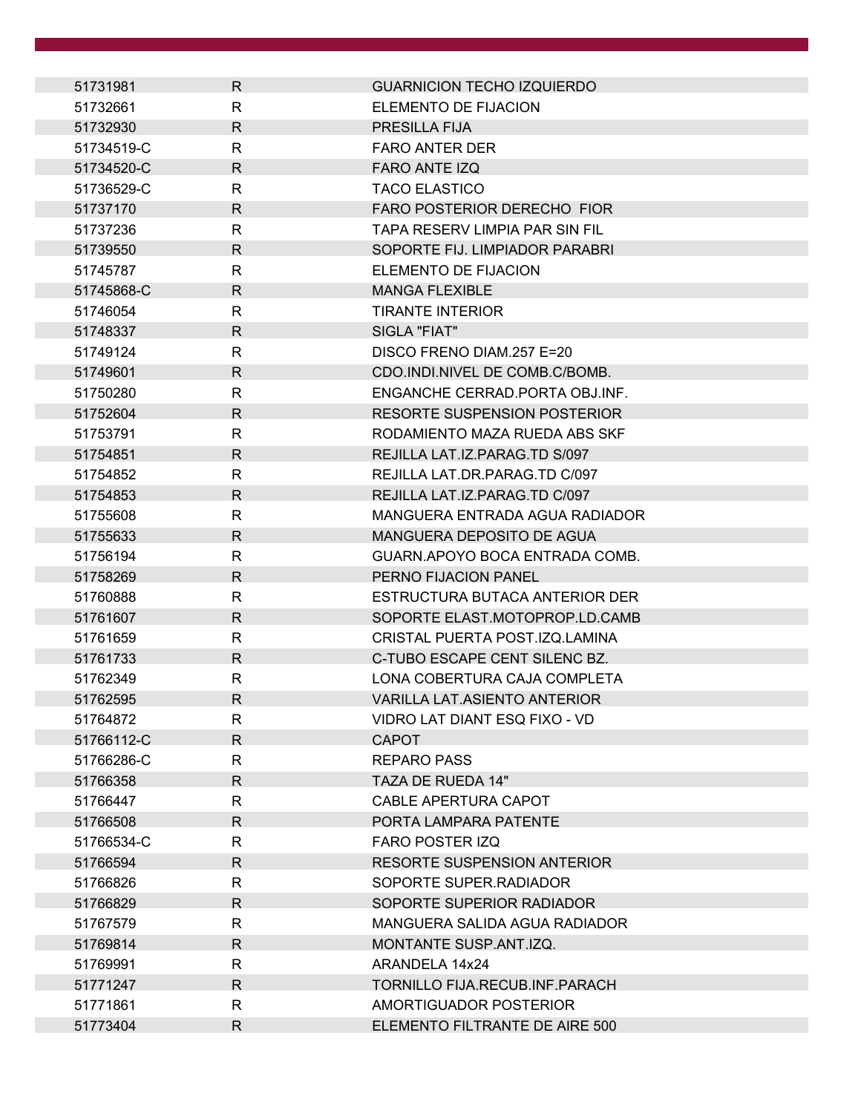| 51731981   | R.           | <b>GUARNICION TECHO IZQUIERDO</b>   |  |
|------------|--------------|-------------------------------------|--|
| 51732661   | R            | ELEMENTO DE FIJACION                |  |
| 51732930   | R            | PRESILLA FIJA                       |  |
| 51734519-C | R            | <b>FARO ANTER DER</b>               |  |
| 51734520-C | R.           | <b>FARO ANTE IZQ</b>                |  |
| 51736529-C | R            | <b>TACO ELASTICO</b>                |  |
| 51737170   | R.           | FARO POSTERIOR DERECHO FIOR         |  |
| 51737236   | $\mathsf{R}$ | TAPA RESERV LIMPIA PAR SIN FIL      |  |
| 51739550   | R            | SOPORTE FIJ. LIMPIADOR PARABRI      |  |
| 51745787   | R            | ELEMENTO DE FIJACION                |  |
| 51745868-C | R.           | <b>MANGA FLEXIBLE</b>               |  |
| 51746054   | $\mathsf{R}$ | <b>TIRANTE INTERIOR</b>             |  |
| 51748337   | R.           | SIGLA "FIAT"                        |  |
| 51749124   | R            | DISCO FRENO DIAM.257 E=20           |  |
| 51749601   | R.           | CDO.INDI.NIVEL DE COMB.C/BOMB.      |  |
| 51750280   | $\mathsf{R}$ | ENGANCHE CERRAD.PORTA OBJ.INF.      |  |
| 51752604   | R.           | <b>RESORTE SUSPENSION POSTERIOR</b> |  |
| 51753791   | R            | RODAMIENTO MAZA RUEDA ABS SKF       |  |
| 51754851   | R.           | REJILLA LAT.IZ.PARAG.TD S/097       |  |
| 51754852   | R            | REJILLA LAT.DR.PARAG.TD C/097       |  |
| 51754853   | R.           | REJILLA LAT.IZ.PARAG.TD C/097       |  |
| 51755608   | R            | MANGUERA ENTRADA AGUA RADIADOR      |  |
| 51755633   | R.           | MANGUERA DEPOSITO DE AGUA           |  |
| 51756194   | R            | GUARN.APOYO BOCA ENTRADA COMB.      |  |
| 51758269   | R.           | PERNO FIJACION PANEL                |  |
| 51760888   | R            | ESTRUCTURA BUTACA ANTERIOR DER      |  |
| 51761607   | R            | SOPORTE ELAST.MOTOPROP.LD.CAMB      |  |
| 51761659   | R            | CRISTAL PUERTA POST.IZQ.LAMINA      |  |
| 51761733   | $\mathsf{R}$ | C-TUBO ESCAPE CENT SILENC BZ.       |  |
| 51762349   | R            | LONA COBERTURA CAJA COMPLETA        |  |
| 51762595   | R            | VARILLA LAT.ASIENTO ANTERIOR        |  |
| 51764872   | R            | VIDRO LAT DIANT ESQ FIXO - VD       |  |
| 51766112-C | $\mathsf{R}$ | <b>CAPOT</b>                        |  |
| 51766286-C | R            | <b>REPARO PASS</b>                  |  |
| 51766358   | R.           | TAZA DE RUEDA 14"                   |  |
| 51766447   | R            | CABLE APERTURA CAPOT                |  |
| 51766508   | R.           | PORTA LAMPARA PATENTE               |  |
| 51766534-C | R            | <b>FARO POSTER IZQ</b>              |  |
| 51766594   | R.           | <b>RESORTE SUSPENSION ANTERIOR</b>  |  |
| 51766826   | R            | SOPORTE SUPER.RADIADOR              |  |
| 51766829   | $\mathsf{R}$ | SOPORTE SUPERIOR RADIADOR           |  |
| 51767579   | $\mathsf{R}$ | MANGUERA SALIDA AGUA RADIADOR       |  |
| 51769814   | R.           | MONTANTE SUSP.ANT.IZQ.              |  |
| 51769991   | R            | ARANDELA 14x24                      |  |
| 51771247   | R.           | TORNILLO FIJA.RECUB.INF.PARACH      |  |
| 51771861   | R            | AMORTIGUADOR POSTERIOR              |  |
| 51773404   | R            | ELEMENTO FILTRANTE DE AIRE 500      |  |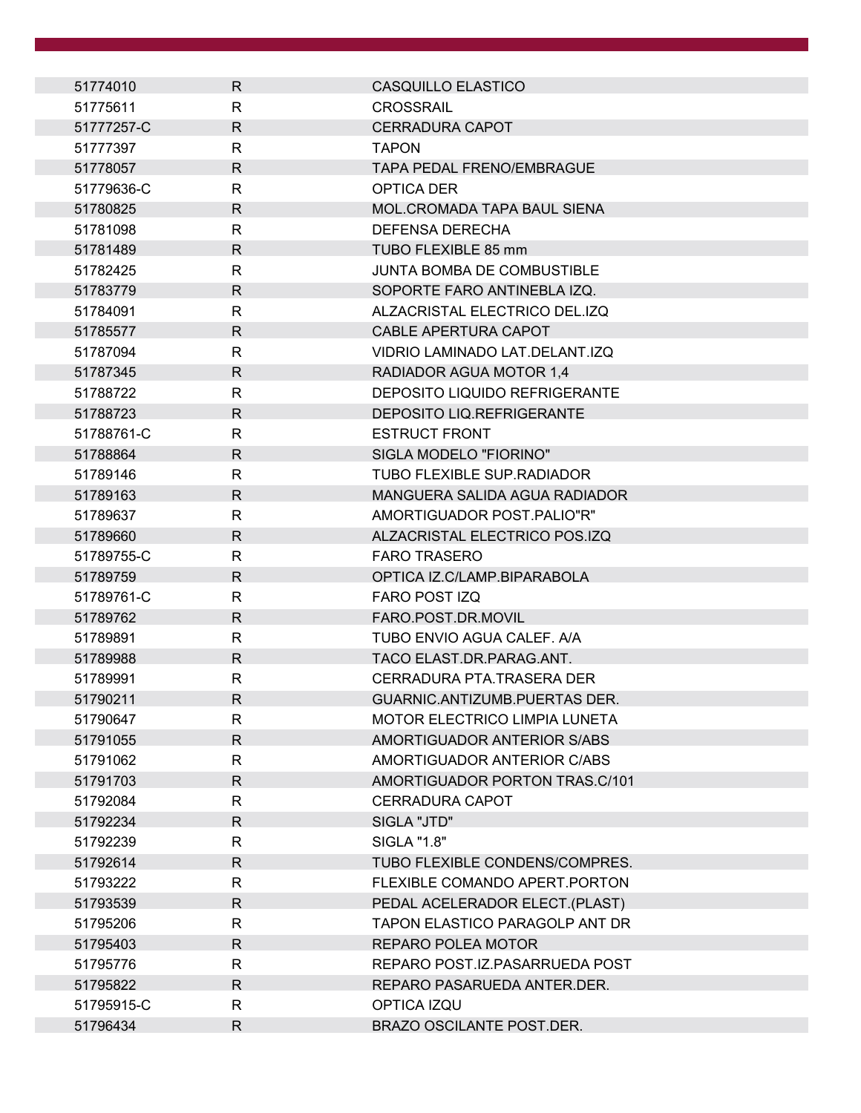| 51774010   | R            | CASQUILLO ELASTICO                   |
|------------|--------------|--------------------------------------|
| 51775611   | $\mathsf{R}$ | <b>CROSSRAIL</b>                     |
| 51777257-C | $\mathsf{R}$ | <b>CERRADURA CAPOT</b>               |
| 51777397   | $\mathsf{R}$ | <b>TAPON</b>                         |
| 51778057   | $\mathsf{R}$ | <b>TAPA PEDAL FRENO/EMBRAGUE</b>     |
| 51779636-C | $\mathsf{R}$ | OPTICA DER                           |
| 51780825   | $\mathsf{R}$ | <b>MOL.CROMADA TAPA BAUL SIENA</b>   |
| 51781098   | $\mathsf{R}$ | DEFENSA DERECHA                      |
| 51781489   | $\mathsf{R}$ | TUBO FLEXIBLE 85 mm                  |
| 51782425   | $\mathsf{R}$ | <b>JUNTA BOMBA DE COMBUSTIBLE</b>    |
| 51783779   | $\mathsf{R}$ | SOPORTE FARO ANTINEBLA IZQ.          |
| 51784091   | $\mathsf{R}$ | ALZACRISTAL ELECTRICO DEL.IZQ        |
| 51785577   | $\mathsf{R}$ | CABLE APERTURA CAPOT                 |
| 51787094   | $\mathsf{R}$ | VIDRIO LAMINADO LAT.DELANT.IZQ       |
| 51787345   | R            | RADIADOR AGUA MOTOR 1.4              |
| 51788722   | $\mathsf{R}$ | <b>DEPOSITO LIQUIDO REFRIGERANTE</b> |
| 51788723   | $\mathsf{R}$ | DEPOSITO LIQ.REFRIGERANTE            |
| 51788761-C | $\mathsf{R}$ | <b>ESTRUCT FRONT</b>                 |
| 51788864   | $\mathsf{R}$ | SIGLA MODELO "FIORINO"               |
| 51789146   | $\mathsf{R}$ | <b>TUBO FLEXIBLE SUP.RADIADOR</b>    |
| 51789163   | $\mathsf{R}$ | MANGUERA SALIDA AGUA RADIADOR        |
| 51789637   | $\mathsf{R}$ | AMORTIGUADOR POST.PALIO"R"           |
| 51789660   | $\mathsf{R}$ | ALZACRISTAL ELECTRICO POS.IZQ        |
| 51789755-C | R            | <b>FARO TRASERO</b>                  |
| 51789759   | $\mathsf{R}$ | OPTICA IZ.C/LAMP.BIPARABOLA          |
| 51789761-C | R            | FARO POST IZQ                        |
| 51789762   | R            | FARO.POST.DR.MOVIL                   |
| 51789891   | R            | TUBO ENVIO AGUA CALEF. A/A           |
| 51789988   | $\mathsf{R}$ | TACO ELAST.DR.PARAG.ANT.             |
| 51789991   | R            | CERRADURA PTA.TRASERA DER            |
| 51790211   | $\mathsf{R}$ | <b>GUARNIC.ANTIZUMB.PUERTAS DER.</b> |
| 51790647   | R            | MOTOR ELECTRICO LIMPIA LUNETA        |
| 51791055   | $\mathsf{R}$ | AMORTIGUADOR ANTERIOR S/ABS          |
| 51791062   | R            | AMORTIGUADOR ANTERIOR C/ABS          |
| 51791703   | $\mathsf{R}$ | AMORTIGUADOR PORTON TRAS.C/101       |
| 51792084   | $\mathsf{R}$ | <b>CERRADURA CAPOT</b>               |
| 51792234   | $\mathsf{R}$ | SIGLA "JTD"                          |
| 51792239   | $\mathsf{R}$ | SIGLA "1.8"                          |
| 51792614   | R            | TUBO FLEXIBLE CONDENS/COMPRES.       |
| 51793222   | $\mathsf{R}$ | FLEXIBLE COMANDO APERT. PORTON       |
| 51793539   | $\mathsf{R}$ | PEDAL ACELERADOR ELECT.(PLAST)       |
| 51795206   | R            | TAPON ELASTICO PARAGOLP ANT DR       |
| 51795403   | $\mathsf{R}$ | REPARO POLEA MOTOR                   |
| 51795776   | R            | REPARO POST.IZ.PASARRUEDA POST       |
| 51795822   | $\mathsf{R}$ | REPARO PASARUEDA ANTER.DER.          |
| 51795915-C | R            | OPTICA IZQU                          |
| 51796434   | $\mathsf{R}$ | BRAZO OSCILANTE POST.DER.            |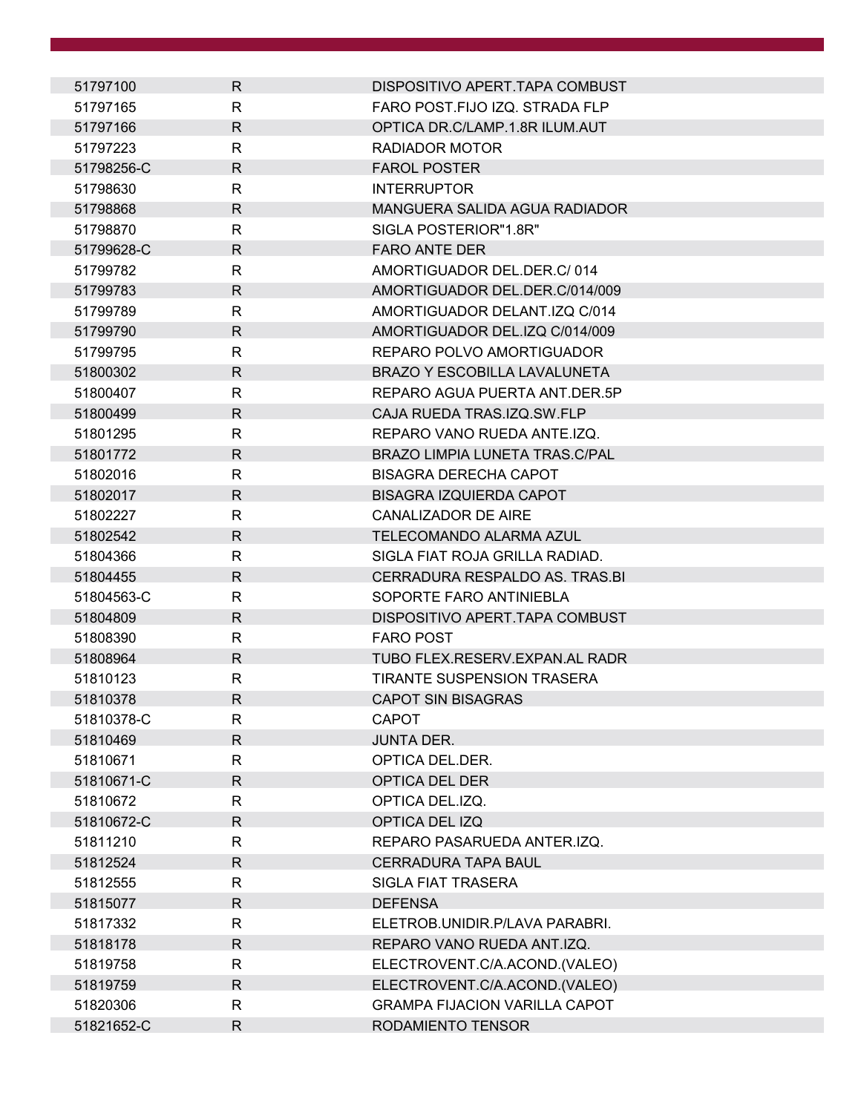| 51797100   | R            | DISPOSITIVO APERT.TAPA COMBUST        |
|------------|--------------|---------------------------------------|
| 51797165   | R            | FARO POST.FIJO IZQ. STRADA FLP        |
| 51797166   | $\mathsf{R}$ | OPTICA DR.C/LAMP.1.8R ILUM.AUT        |
| 51797223   | R            | RADIADOR MOTOR                        |
| 51798256-C | $\mathsf{R}$ | <b>FAROL POSTER</b>                   |
| 51798630   | R            | <b>INTERRUPTOR</b>                    |
| 51798868   | $\mathsf{R}$ | MANGUERA SALIDA AGUA RADIADOR         |
| 51798870   | R            | SIGLA POSTERIOR"1.8R"                 |
| 51799628-C | R            | <b>FARO ANTE DER</b>                  |
| 51799782   | R.           | AMORTIGUADOR DEL.DER.C/014            |
| 51799783   | R            | AMORTIGUADOR DEL.DER.C/014/009        |
| 51799789   | R            | AMORTIGUADOR DELANT.IZQ C/014         |
| 51799790   | R            | AMORTIGUADOR DEL.IZQ C/014/009        |
| 51799795   | R            | REPARO POLVO AMORTIGUADOR             |
| 51800302   | R            | <b>BRAZO Y ESCOBILLA LAVALUNETA</b>   |
| 51800407   | R            | REPARO AGUA PUERTA ANT.DER.5P         |
| 51800499   | $\mathsf{R}$ | CAJA RUEDA TRAS.IZQ.SW.FLP            |
| 51801295   | R            | REPARO VANO RUEDA ANTE.IZQ.           |
| 51801772   | R            | <b>BRAZO LIMPIA LUNETA TRAS.C/PAL</b> |
| 51802016   | R            | <b>BISAGRA DERECHA CAPOT</b>          |
| 51802017   | R            | <b>BISAGRA IZQUIERDA CAPOT</b>        |
| 51802227   | R            | <b>CANALIZADOR DE AIRE</b>            |
| 51802542   | R            | TELECOMANDO ALARMA AZUL               |
| 51804366   | R            | SIGLA FIAT ROJA GRILLA RADIAD.        |
| 51804455   | $\mathsf{R}$ | CERRADURA RESPALDO AS. TRAS.BI        |
| 51804563-C | R            | SOPORTE FARO ANTINIEBLA               |
| 51804809   | R            | DISPOSITIVO APERT.TAPA COMBUST        |
| 51808390   | R            | <b>FARO POST</b>                      |
| 51808964   | $\mathsf{R}$ | TUBO FLEX.RESERV.EXPAN.AL RADR        |
| 51810123   | R            | <b>TIRANTE SUSPENSION TRASERA</b>     |
| 51810378   | R            | <b>CAPOT SIN BISAGRAS</b>             |
| 51810378-C | R            | <b>CAPOT</b>                          |
| 51810469   | $\mathsf{R}$ | <b>JUNTA DER.</b>                     |
| 51810671   | R            | OPTICA DEL.DER.                       |
| 51810671-C | R.           | <b>OPTICA DEL DER</b>                 |
| 51810672   | R            | OPTICA DEL.IZQ.                       |
| 51810672-C | $\mathsf{R}$ | OPTICA DEL IZQ                        |
| 51811210   | R            | REPARO PASARUEDA ANTER.IZQ.           |
| 51812524   | R            | <b>CERRADURA TAPA BAUL</b>            |
| 51812555   | R            | <b>SIGLA FIAT TRASERA</b>             |
| 51815077   | $\mathsf{R}$ | <b>DEFENSA</b>                        |
| 51817332   | R            | ELETROB.UNIDIR.P/LAVA PARABRI.        |
| 51818178   | $\mathsf{R}$ | REPARO VANO RUEDA ANT.IZQ.            |
| 51819758   | R            | ELECTROVENT.C/A.ACOND.(VALEO)         |
| 51819759   | $\mathsf{R}$ | ELECTROVENT.C/A.ACOND.(VALEO)         |
| 51820306   | R            | <b>GRAMPA FIJACION VARILLA CAPOT</b>  |
| 51821652-C | R            | RODAMIENTO TENSOR                     |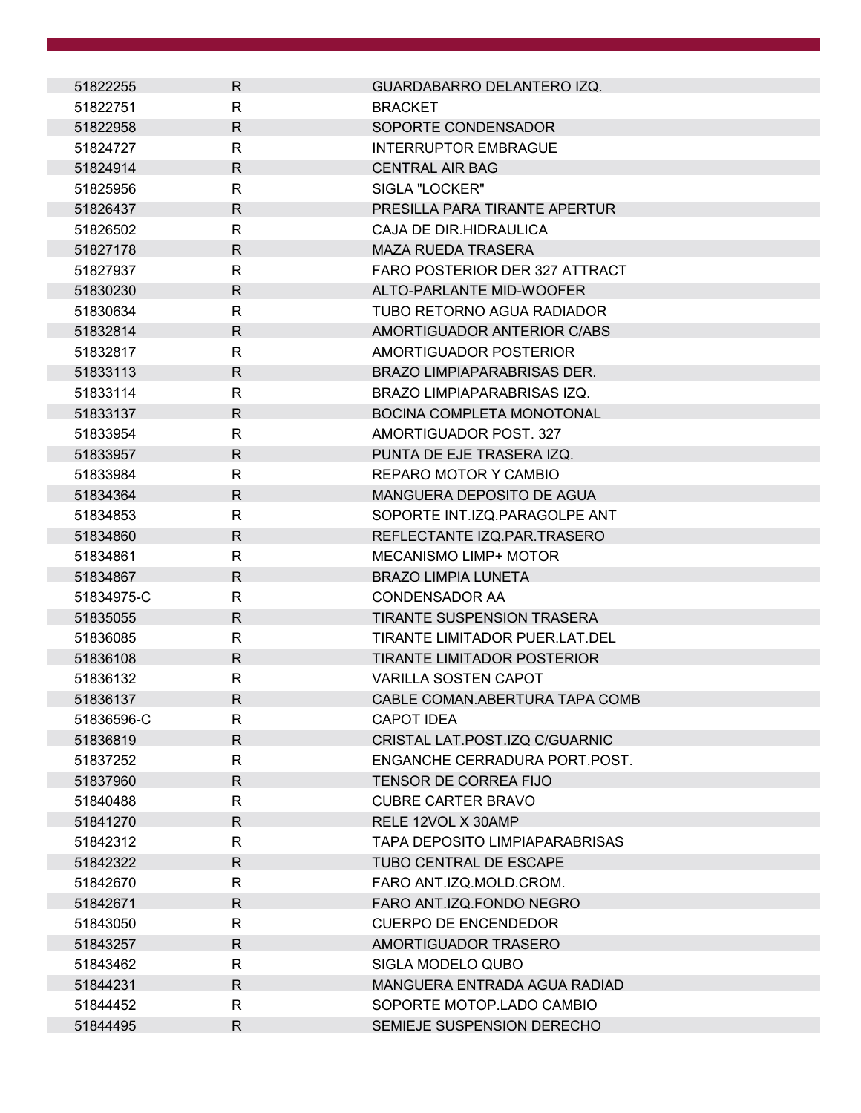| 51822255   | R            | GUARDABARRO DELANTERO IZQ.         |
|------------|--------------|------------------------------------|
| 51822751   | R            | <b>BRACKET</b>                     |
| 51822958   | R            | SOPORTE CONDENSADOR                |
| 51824727   | R            | <b>INTERRUPTOR EMBRAGUE</b>        |
| 51824914   | $\mathsf{R}$ | <b>CENTRAL AIR BAG</b>             |
| 51825956   | R.           | SIGLA "LOCKER"                     |
| 51826437   | $\mathsf{R}$ | PRESILLA PARA TIRANTE APERTUR      |
| 51826502   | R            | CAJA DE DIR HIDRAULICA             |
| 51827178   | R            | <b>MAZA RUEDA TRASERA</b>          |
| 51827937   | R            | FARO POSTERIOR DER 327 ATTRACT     |
| 51830230   | $\mathsf{R}$ | ALTO-PARLANTE MID-WOOFER           |
| 51830634   | R.           | TUBO RETORNO AGUA RADIADOR         |
| 51832814   | R            | AMORTIGUADOR ANTERIOR C/ABS        |
| 51832817   | R            | AMORTIGUADOR POSTERIOR             |
| 51833113   | $\mathsf{R}$ | <b>BRAZO LIMPIAPARABRISAS DER.</b> |
| 51833114   | R            | BRAZO LIMPIAPARABRISAS IZQ.        |
| 51833137   | $\mathsf{R}$ | <b>BOCINA COMPLETA MONOTONAL</b>   |
| 51833954   | R            | AMORTIGUADOR POST, 327             |
| 51833957   | $\mathsf{R}$ | PUNTA DE EJE TRASERA IZQ.          |
| 51833984   | R            | REPARO MOTOR Y CAMBIO              |
| 51834364   | $\mathsf{R}$ | MANGUERA DEPOSITO DE AGUA          |
| 51834853   | R            | SOPORTE INT.IZQ.PARAGOLPE ANT      |
| 51834860   | R.           | REFLECTANTE IZQ.PAR.TRASERO        |
| 51834861   | R            | <b>MECANISMO LIMP+ MOTOR</b>       |
| 51834867   | $\mathsf{R}$ | <b>BRAZO LIMPIA LUNETA</b>         |
| 51834975-C | R            | <b>CONDENSADOR AA</b>              |
| 51835055   | R            | <b>TIRANTE SUSPENSION TRASERA</b>  |
| 51836085   | R            | TIRANTE LIMITADOR PUER.LAT.DEL     |
| 51836108   | $\mathsf{R}$ | <b>TIRANTE LIMITADOR POSTERIOR</b> |
| 51836132   | R            | <b>VARILLA SOSTEN CAPOT</b>        |
| 51836137   | R            | CABLE COMAN.ABERTURA TAPA COMB     |
| 51836596-C | R            | <b>CAPOT IDEA</b>                  |
| 51836819   | $\mathsf{R}$ | CRISTAL LAT.POST.IZQ C/GUARNIC     |
| 51837252   | R            | ENGANCHE CERRADURA PORT. POST.     |
| 51837960   | R.           | <b>TENSOR DE CORREA FIJO</b>       |
| 51840488   | R.           | <b>CUBRE CARTER BRAVO</b>          |
| 51841270   | $\mathsf{R}$ | RELE 12VOL X 30AMP                 |
| 51842312   | R            | TAPA DEPOSITO LIMPIAPARABRISAS     |
| 51842322   | R            | <b>TUBO CENTRAL DE ESCAPE</b>      |
| 51842670   | R            | FARO ANT.IZQ.MOLD.CROM.            |
| 51842671   | $\mathsf{R}$ | FARO ANT.IZQ.FONDO NEGRO           |
| 51843050   | R            | <b>CUERPO DE ENCENDEDOR</b>        |
| 51843257   | $\mathsf{R}$ | AMORTIGUADOR TRASERO               |
| 51843462   | R            | SIGLA MODELO QUBO                  |
| 51844231   | $\mathsf{R}$ | MANGUERA ENTRADA AGUA RADIAD       |
| 51844452   | R            | SOPORTE MOTOP.LADO CAMBIO          |
| 51844495   | R            | SEMIEJE SUSPENSION DERECHO         |
|            |              |                                    |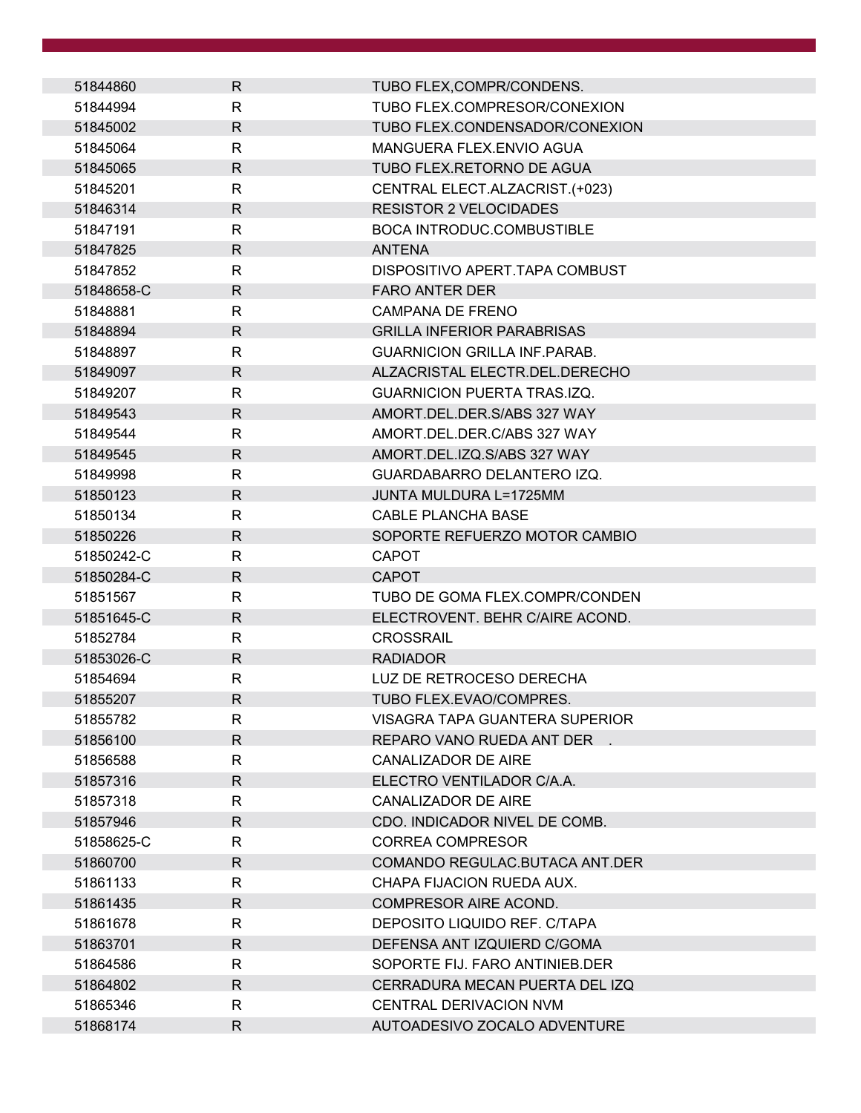| 51844860   | R            | TUBO FLEX, COMPR/CONDENS.            |
|------------|--------------|--------------------------------------|
| 51844994   | R            | TUBO FLEX.COMPRESOR/CONEXION         |
| 51845002   | $\mathsf{R}$ | TUBO FLEX.CONDENSADOR/CONEXION       |
| 51845064   | $\mathsf{R}$ | MANGUERA FLEX.ENVIO AGUA             |
| 51845065   | $\mathsf{R}$ | TUBO FLEX.RETORNO DE AGUA            |
| 51845201   | R            | CENTRAL ELECT.ALZACRIST.(+023)       |
| 51846314   | $\mathsf{R}$ | <b>RESISTOR 2 VELOCIDADES</b>        |
| 51847191   | R            | <b>BOCA INTRODUC.COMBUSTIBLE</b>     |
| 51847825   | R            | <b>ANTENA</b>                        |
| 51847852   | $\mathsf{R}$ | DISPOSITIVO APERT. TAPA COMBUST      |
| 51848658-C | $\mathsf{R}$ | <b>FARO ANTER DER</b>                |
| 51848881   | R            | CAMPANA DE FRENO                     |
| 51848894   | R            | <b>GRILLA INFERIOR PARABRISAS</b>    |
| 51848897   | R            | <b>GUARNICION GRILLA INF. PARAB.</b> |
| 51849097   | $\mathsf{R}$ | ALZACRISTAL ELECTR.DEL.DERECHO       |
| 51849207   | $\mathsf{R}$ | <b>GUARNICION PUERTA TRAS.IZQ.</b>   |
| 51849543   | $\mathsf{R}$ | AMORT.DEL.DER.S/ABS 327 WAY          |
| 51849544   | R            | AMORT.DEL.DER.C/ABS 327 WAY          |
| 51849545   | $\mathsf{R}$ | AMORT.DEL.IZQ.S/ABS 327 WAY          |
| 51849998   | R            | GUARDABARRO DELANTERO IZQ.           |
| 51850123   | R            | <b>JUNTA MULDURA L=1725MM</b>        |
| 51850134   | $\mathsf{R}$ | <b>CABLE PLANCHA BASE</b>            |
| 51850226   | $\mathsf{R}$ | SOPORTE REFUERZO MOTOR CAMBIO        |
| 51850242-C | R            | <b>CAPOT</b>                         |
| 51850284-C | $\mathsf{R}$ | <b>CAPOT</b>                         |
| 51851567   | R            | TUBO DE GOMA FLEX.COMPR/CONDEN       |
| 51851645-C | R            | ELECTROVENT. BEHR C/AIRE ACOND.      |
| 51852784   | R            | CROSSRAIL                            |
| 51853026-C | $\mathsf{R}$ | <b>RADIADOR</b>                      |
| 51854694   | $\mathsf{R}$ | LUZ DE RETROCESO DERECHA             |
| 51855207   | $\mathsf{R}$ | TUBO FLEX.EVAO/COMPRES.              |
| 51855782   | R            | VISAGRA TAPA GUANTERA SUPERIOR       |
| 51856100   | $\mathsf{R}$ | REPARO VANO RUEDA ANT DER            |
| 51856588   | R            | <b>CANALIZADOR DE AIRE</b>           |
| 51857316   | $\mathsf{R}$ | ELECTRO VENTILADOR C/A.A.            |
| 51857318   | $\mathsf{R}$ | <b>CANALIZADOR DE AIRE</b>           |
| 51857946   | R            | CDO. INDICADOR NIVEL DE COMB.        |
| 51858625-C | R            | <b>CORREA COMPRESOR</b>              |
| 51860700   | R.           | COMANDO REGULAC.BUTACA ANT.DER       |
| 51861133   | R            | CHAPA FIJACION RUEDA AUX.            |
| 51861435   | $\mathsf{R}$ | COMPRESOR AIRE ACOND.                |
| 51861678   | R            | DEPOSITO LIQUIDO REF. C/TAPA         |
| 51863701   | $\mathsf{R}$ | DEFENSA ANT IZQUIERD C/GOMA          |
| 51864586   | R            | SOPORTE FIJ. FARO ANTINIEB.DER       |
| 51864802   | R            | CERRADURA MECAN PUERTA DEL IZQ       |
| 51865346   | R            | CENTRAL DERIVACION NVM               |
| 51868174   | R            | AUTOADESIVO ZOCALO ADVENTURE         |
|            |              |                                      |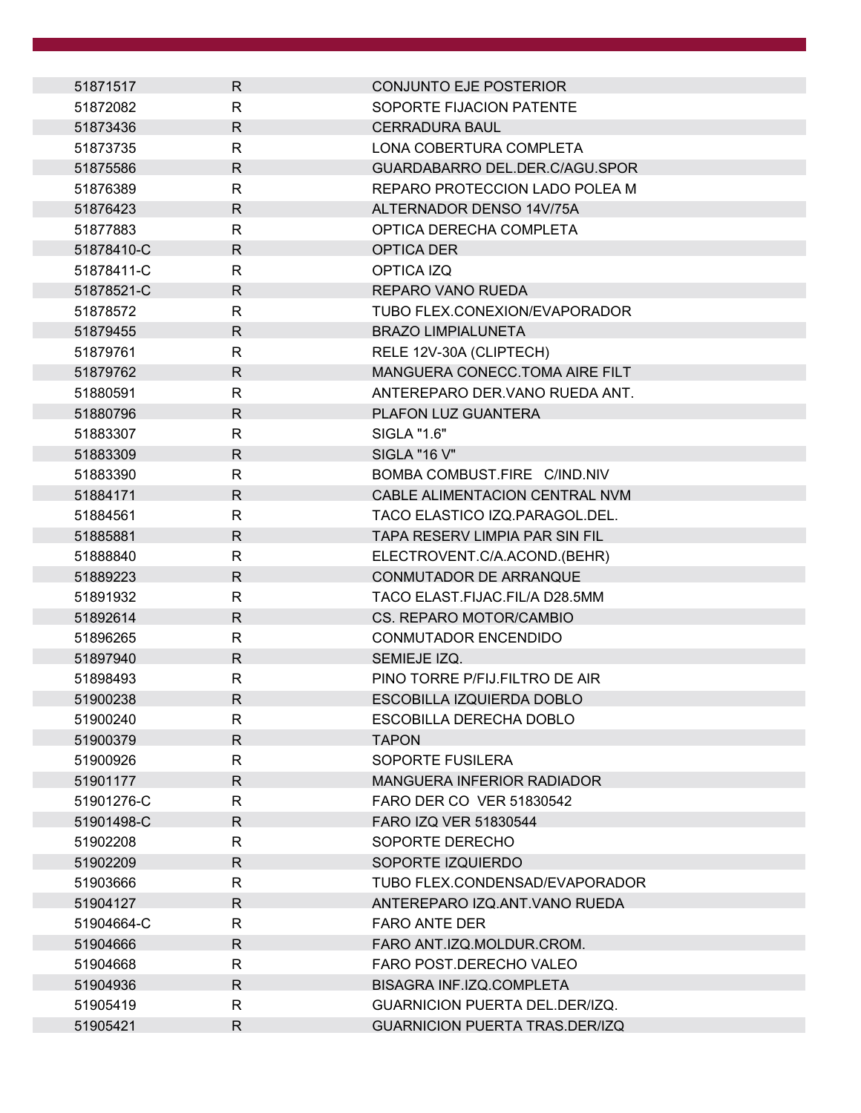| 51871517   | R            | <b>CONJUNTO EJE POSTERIOR</b>          |
|------------|--------------|----------------------------------------|
| 51872082   | R            | SOPORTE FIJACION PATENTE               |
| 51873436   | $\mathsf{R}$ | <b>CERRADURA BAUL</b>                  |
| 51873735   | R            | LONA COBERTURA COMPLETA                |
| 51875586   | $\mathsf{R}$ | GUARDABARRO DEL.DER.C/AGU.SPOR         |
| 51876389   | R            | REPARO PROTECCION LADO POLEA M         |
| 51876423   | $\mathsf{R}$ | ALTERNADOR DENSO 14V/75A               |
| 51877883   | R            | OPTICA DERECHA COMPLETA                |
| 51878410-C | $\mathsf{R}$ | <b>OPTICA DER</b>                      |
| 51878411-C | R            | OPTICA IZQ                             |
| 51878521-C | $\mathsf{R}$ | REPARO VANO RUEDA                      |
| 51878572   | $\mathsf{R}$ | TUBO FLEX.CONEXION/EVAPORADOR          |
| 51879455   | $\mathsf{R}$ | <b>BRAZO LIMPIALUNETA</b>              |
| 51879761   | R            | RELE 12V-30A (CLIPTECH)                |
| 51879762   | $\mathsf{R}$ | MANGUERA CONECC. TOMA AIRE FILT        |
| 51880591   | R            | ANTEREPARO DER. VANO RUEDA ANT.        |
| 51880796   | $\mathsf{R}$ | PLAFON LUZ GUANTERA                    |
| 51883307   | R            | SIGLA "1.6"                            |
| 51883309   | $\mathsf{R}$ | <b>SIGLA "16 V"</b>                    |
| 51883390   | R            | BOMBA COMBUST.FIRE C/IND.NIV           |
| 51884171   | $\mathsf{R}$ | CABLE ALIMENTACION CENTRAL NVM         |
| 51884561   | R            | TACO ELASTICO IZQ.PARAGOL.DEL.         |
| 51885881   | R.           | TAPA RESERV LIMPIA PAR SIN FIL         |
| 51888840   | R            | ELECTROVENT.C/A.ACOND.(BEHR)           |
| 51889223   | $\mathsf{R}$ | CONMUTADOR DE ARRANQUE                 |
| 51891932   | R            | TACO ELAST.FIJAC.FIL/A D28.5MM         |
| 51892614   | R            | CS. REPARO MOTOR/CAMBIO                |
| 51896265   | R            | <b>CONMUTADOR ENCENDIDO</b>            |
| 51897940   | $\mathsf{R}$ | SEMIEJE IZQ.                           |
| 51898493   | R            | PINO TORRE P/FIJ.FILTRO DE AIR         |
| 51900238   | $\mathsf{R}$ | ESCOBILLA IZQUIERDA DOBLO              |
| 51900240   | R            | ESCOBILLA DERECHA DOBLO                |
| 51900379   | $\mathsf{R}$ | <b>TAPON</b>                           |
| 51900926   | R            | SOPORTE FUSILERA                       |
| 51901177   | $\mathsf{R}$ | <b>MANGUERA INFERIOR RADIADOR</b>      |
| 51901276-C | R            | FARO DER CO VER 51830542               |
| 51901498-C | $\mathsf{R}$ | FARO IZQ VER 51830544                  |
| 51902208   | $\mathsf{R}$ | SOPORTE DERECHO                        |
| 51902209   | $\mathsf{R}$ | SOPORTE IZQUIERDO                      |
| 51903666   | R            | TUBO FLEX.CONDENSAD/EVAPORADOR         |
| 51904127   | $\mathsf{R}$ | ANTEREPARO IZQ.ANT.VANO RUEDA          |
| 51904664-C | R            | <b>FARO ANTE DER</b>                   |
| 51904666   | $\mathsf{R}$ | FARO ANT.IZQ.MOLDUR.CROM.              |
| 51904668   | R            | FARO POST.DERECHO VALEO                |
| 51904936   | $\mathsf{R}$ | BISAGRA INF.IZQ.COMPLETA               |
| 51905419   | R            | <b>GUARNICION PUERTA DEL. DER/IZQ.</b> |
| 51905421   | $\mathsf{R}$ | <b>GUARNICION PUERTA TRAS.DER/IZQ</b>  |
|            |              |                                        |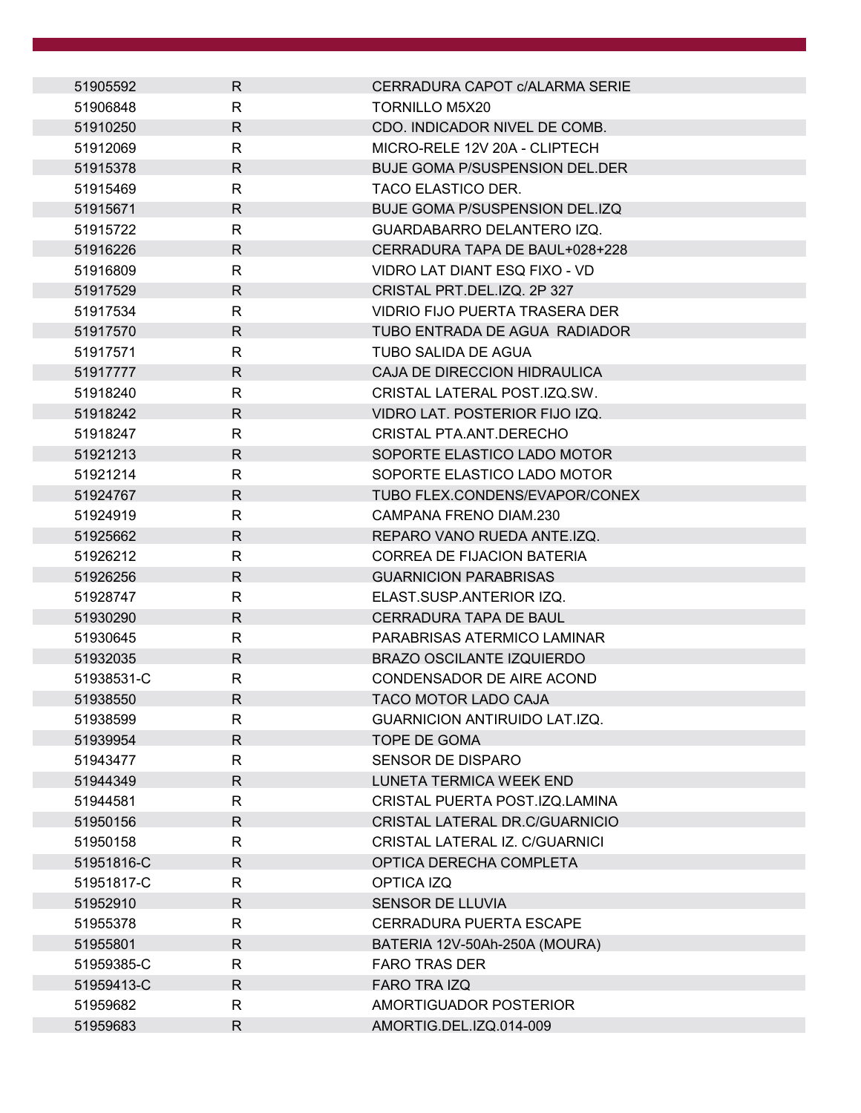| 51905592   | R            | CERRADURA CAPOT C/ALARMA SERIE        |
|------------|--------------|---------------------------------------|
| 51906848   | R            | <b>TORNILLO M5X20</b>                 |
| 51910250   | $\mathsf{R}$ | CDO. INDICADOR NIVEL DE COMB.         |
| 51912069   | R            | MICRO-RELE 12V 20A - CLIPTECH         |
| 51915378   | $\mathsf{R}$ | <b>BUJE GOMA P/SUSPENSION DEL.DER</b> |
| 51915469   | R            | <b>TACO ELASTICO DER.</b>             |
| 51915671   | $\mathsf{R}$ | <b>BUJE GOMA P/SUSPENSION DEL.IZQ</b> |
| 51915722   | R            | GUARDABARRO DELANTERO IZQ.            |
| 51916226   | $\mathsf{R}$ | CERRADURA TAPA DE BAUL+028+228        |
| 51916809   | R            | VIDRO LAT DIANT ESQ FIXO - VD         |
| 51917529   | $\mathsf{R}$ | CRISTAL PRT.DEL.IZQ. 2P 327           |
| 51917534   | $\mathsf{R}$ | VIDRIO FIJO PUERTA TRASERA DER        |
| 51917570   | $\mathsf{R}$ | TUBO ENTRADA DE AGUA RADIADOR         |
| 51917571   | R            | TUBO SALIDA DE AGUA                   |
| 51917777   | $\mathsf{R}$ | CAJA DE DIRECCION HIDRAULICA          |
| 51918240   | R            | CRISTAL LATERAL POST.IZQ.SW.          |
| 51918242   | $\mathsf{R}$ | VIDRO LAT. POSTERIOR FIJO IZQ.        |
| 51918247   | $\mathsf{R}$ | CRISTAL PTA.ANT.DERECHO               |
| 51921213   | $\mathsf{R}$ | SOPORTE ELASTICO LADO MOTOR           |
| 51921214   | R            | SOPORTE ELASTICO LADO MOTOR           |
| 51924767   | $\mathsf{R}$ | TUBO FLEX.CONDENS/EVAPOR/CONEX        |
| 51924919   | R            | CAMPANA FRENO DIAM.230                |
| 51925662   | $\mathsf{R}$ | REPARO VANO RUEDA ANTE.IZQ.           |
| 51926212   | $\mathsf{R}$ | <b>CORREA DE FIJACION BATERIA</b>     |
| 51926256   | $\mathsf{R}$ | <b>GUARNICION PARABRISAS</b>          |
| 51928747   | R            | ELAST.SUSP.ANTERIOR IZQ.              |
| 51930290   | R            | CERRADURA TAPA DE BAUL                |
| 51930645   | R            | PARABRISAS ATERMICO LAMINAR           |
| 51932035   | $\mathsf{R}$ | <b>BRAZO OSCILANTE IZQUIERDO</b>      |
| 51938531-C | $\mathsf{R}$ | CONDENSADOR DE AIRE ACOND             |
| 51938550   | $\mathsf{R}$ | TACO MOTOR LADO CAJA                  |
| 51938599   | R            | GUARNICION ANTIRUIDO LAT.IZQ.         |
| 51939954   | $\mathsf{R}$ | <b>TOPE DE GOMA</b>                   |
| 51943477   | R            | <b>SENSOR DE DISPARO</b>              |
| 51944349   | $\mathsf{R}$ | LUNETA TERMICA WEEK END               |
| 51944581   | $\mathsf{R}$ | CRISTAL PUERTA POST.IZQ.LAMINA        |
| 51950156   | $\mathsf{R}$ | CRISTAL LATERAL DR.C/GUARNICIO        |
| 51950158   | R            | CRISTAL LATERAL IZ. C/GUARNICI        |
| 51951816-C | $\mathsf{R}$ | OPTICA DERECHA COMPLETA               |
| 51951817-C | R            | OPTICA IZQ                            |
| 51952910   | $\mathsf{R}$ | <b>SENSOR DE LLUVIA</b>               |
| 51955378   | R            | <b>CERRADURA PUERTA ESCAPE</b>        |
| 51955801   | $\mathsf{R}$ | BATERIA 12V-50Ah-250A (MOURA)         |
| 51959385-C | R            | <b>FARO TRAS DER</b>                  |
| 51959413-C | $\mathsf{R}$ | FARO TRA IZQ                          |
| 51959682   | R            | AMORTIGUADOR POSTERIOR                |
| 51959683   | $\mathsf{R}$ | AMORTIG.DEL.IZQ.014-009               |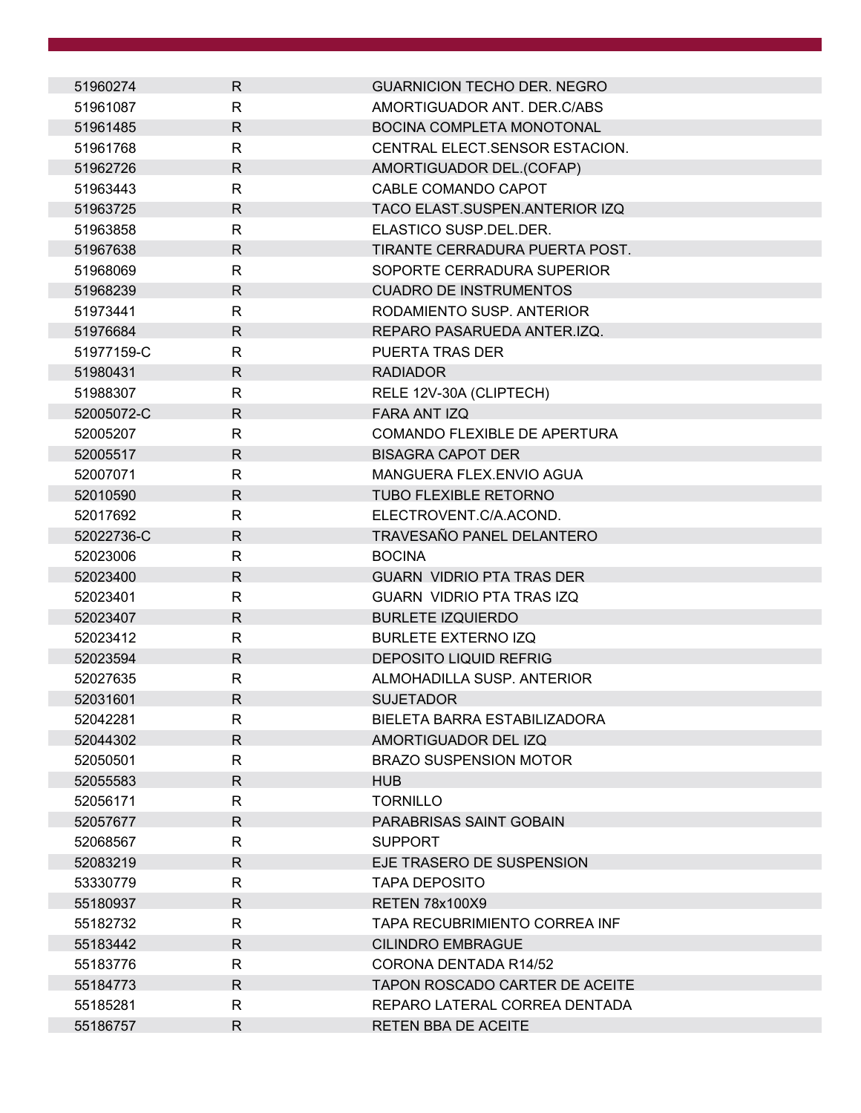| 51960274   | $\mathsf{R}$ | <b>GUARNICION TECHO DER. NEGRO</b>    |
|------------|--------------|---------------------------------------|
| 51961087   | R            | AMORTIGUADOR ANT. DER.C/ABS           |
| 51961485   | $\mathsf{R}$ | BOCINA COMPLETA MONOTONAL             |
| 51961768   | R            | CENTRAL ELECT.SENSOR ESTACION.        |
| 51962726   | $\mathsf{R}$ | AMORTIGUADOR DEL.(COFAP)              |
| 51963443   | R            | CABLE COMANDO CAPOT                   |
| 51963725   | $\mathsf{R}$ | TACO ELAST.SUSPEN.ANTERIOR IZQ        |
| 51963858   | $\mathsf{R}$ | ELASTICO SUSP.DEL.DER.                |
| 51967638   | R            | TIRANTE CERRADURA PUERTA POST.        |
| 51968069   | $\mathsf{R}$ | SOPORTE CERRADURA SUPERIOR            |
| 51968239   | $\mathsf{R}$ | <b>CUADRO DE INSTRUMENTOS</b>         |
| 51973441   | R            | RODAMIENTO SUSP. ANTERIOR             |
| 51976684   | R            | REPARO PASARUEDA ANTER.IZQ.           |
| 51977159-C | R            | PUERTA TRAS DER                       |
| 51980431   | $\mathsf{R}$ | <b>RADIADOR</b>                       |
| 51988307   | R            | RELE 12V-30A (CLIPTECH)               |
| 52005072-C | $\mathsf{R}$ | FARA ANT IZQ                          |
| 52005207   | R            | COMANDO FLEXIBLE DE APERTURA          |
| 52005517   | R            | <b>BISAGRA CAPOT DER</b>              |
| 52007071   | $\mathsf{R}$ | MANGUERA FLEX.ENVIO AGUA              |
| 52010590   | R            | <b>TUBO FLEXIBLE RETORNO</b>          |
| 52017692   | $\mathsf{R}$ | ELECTROVENT.C/A.ACOND.                |
| 52022736-C | $\mathsf{R}$ | TRAVESAÑO PANEL DELANTERO             |
| 52023006   | $\mathsf{R}$ | <b>BOCINA</b>                         |
| 52023400   | R            | <b>GUARN VIDRIO PTA TRAS DER</b>      |
| 52023401   | R            | <b>GUARN VIDRIO PTA TRAS IZQ</b>      |
| 52023407   | R            | <b>BURLETE IZQUIERDO</b>              |
| 52023412   | R            | <b>BURLETE EXTERNO IZQ</b>            |
| 52023594   | $\mathsf{R}$ | <b>DEPOSITO LIQUID REFRIG</b>         |
| 52027635   | $\mathsf{R}$ | ALMOHADILLA SUSP. ANTERIOR            |
| 52031601   | R            | <b>SUJETADOR</b>                      |
| 52042281   | R            | BIELETA BARRA ESTABILIZADORA          |
| 52044302   | $\mathsf{R}$ | AMORTIGUADOR DEL IZQ                  |
| 52050501   | $\mathsf{R}$ | <b>BRAZO SUSPENSION MOTOR</b>         |
| 52055583   | R            | <b>HUB</b>                            |
| 52056171   | R            | <b>TORNILLO</b>                       |
| 52057677   | R            | PARABRISAS SAINT GOBAIN               |
| 52068567   | R            | <b>SUPPORT</b>                        |
| 52083219   | R            | EJE TRASERO DE SUSPENSION             |
| 53330779   | R            | <b>TAPA DEPOSITO</b>                  |
| 55180937   | R            | <b>RETEN 78x100X9</b>                 |
| 55182732   | $\mathsf{R}$ | TAPA RECUBRIMIENTO CORREA INF         |
| 55183442   | $\mathsf{R}$ | <b>CILINDRO EMBRAGUE</b>              |
| 55183776   | R            | CORONA DENTADA R14/52                 |
| 55184773   | R            | <b>TAPON ROSCADO CARTER DE ACEITE</b> |
| 55185281   | $\mathsf{R}$ | REPARO LATERAL CORREA DENTADA         |
| 55186757   | R            | RETEN BBA DE ACEITE                   |
|            |              |                                       |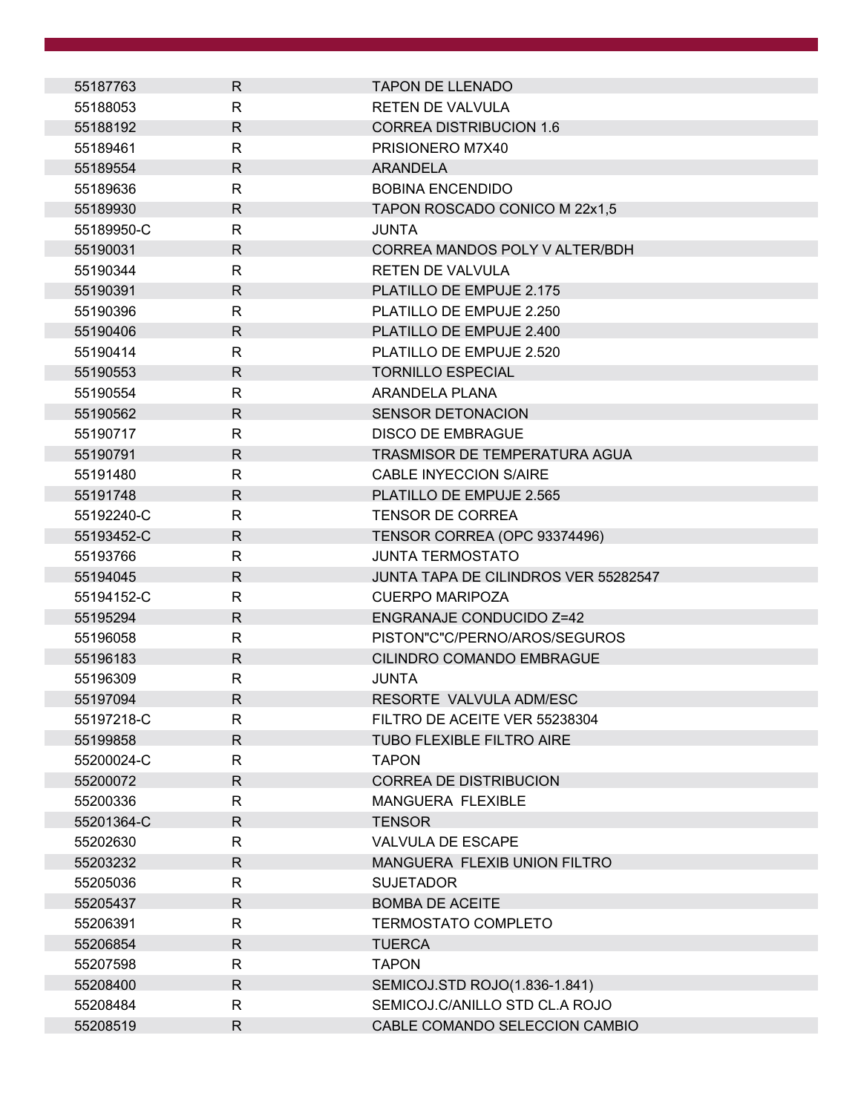| 55187763   | R            | <b>TAPON DE LLENADO</b>              |
|------------|--------------|--------------------------------------|
| 55188053   | R            | <b>RETEN DE VALVULA</b>              |
| 55188192   | $\mathsf{R}$ | <b>CORREA DISTRIBUCION 1.6</b>       |
| 55189461   | R            | PRISIONERO M7X40                     |
| 55189554   | $\mathsf{R}$ | <b>ARANDELA</b>                      |
| 55189636   | R            | <b>BOBINA ENCENDIDO</b>              |
| 55189930   | $\mathsf{R}$ | TAPON ROSCADO CONICO M 22x1,5        |
| 55189950-C | R            | <b>JUNTA</b>                         |
| 55190031   | R            | CORREA MANDOS POLY V ALTER/BDH       |
| 55190344   | R            | <b>RETEN DE VALVULA</b>              |
| 55190391   | R            | PLATILLO DE EMPUJE 2.175             |
| 55190396   | R            | PLATILLO DE EMPUJE 2.250             |
| 55190406   | R.           | PLATILLO DE EMPUJE 2.400             |
| 55190414   | R            | PLATILLO DE EMPUJE 2.520             |
| 55190553   | $\mathsf{R}$ | <b>TORNILLO ESPECIAL</b>             |
| 55190554   | R            | ARANDELA PLANA                       |
| 55190562   | $\mathsf{R}$ | <b>SENSOR DETONACION</b>             |
| 55190717   | R            | <b>DISCO DE EMBRAGUE</b>             |
| 55190791   | $\mathsf{R}$ | TRASMISOR DE TEMPERATURA AGUA        |
| 55191480   | R            | <b>CABLE INYECCION S/AIRE</b>        |
| 55191748   | $\mathsf{R}$ | PLATILLO DE EMPUJE 2.565             |
| 55192240-C | $\mathsf{R}$ | <b>TENSOR DE CORREA</b>              |
| 55193452-C | R            | TENSOR CORREA (OPC 93374496)         |
| 55193766   | R            | <b>JUNTA TERMOSTATO</b>              |
| 55194045   | R.           | JUNTA TAPA DE CILINDROS VER 55282547 |
| 55194152-C | R            | <b>CUERPO MARIPOZA</b>               |
| 55195294   | R            | <b>ENGRANAJE CONDUCIDO Z=42</b>      |
| 55196058   | R            | PISTON"C"C/PERNO/AROS/SEGUROS        |
| 55196183   | $\mathsf{R}$ | CILINDRO COMANDO EMBRAGUE            |
| 55196309   | R            | <b>JUNTA</b>                         |
| 55197094   | $\mathsf{R}$ | RESORTE VALVULA ADM/ESC              |
| 55197218-C | R            | FILTRO DE ACEITE VER 55238304        |
| 55199858   | $\mathsf R$  | <b>TUBO FLEXIBLE FILTRO AIRE</b>     |
| 55200024-C | R            | <b>TAPON</b>                         |
| 55200072   | R            | <b>CORREA DE DISTRIBUCION</b>        |
| 55200336   | R            | MANGUERA FLEXIBLE                    |
| 55201364-C | R            | <b>TENSOR</b>                        |
| 55202630   | R            | <b>VALVULA DE ESCAPE</b>             |
| 55203232   | R            | MANGUERA FLEXIB UNION FILTRO         |
| 55205036   | R            | <b>SUJETADOR</b>                     |
| 55205437   | $\mathsf{R}$ | <b>BOMBA DE ACEITE</b>               |
| 55206391   | R            | TERMOSTATO COMPLETO                  |
| 55206854   | $\mathsf{R}$ | <b>TUERCA</b>                        |
| 55207598   | R.           | <b>TAPON</b>                         |
| 55208400   | R.           | SEMICOJ.STD ROJO(1.836-1.841)        |
| 55208484   | $\mathsf{R}$ | SEMICOJ.C/ANILLO STD CL.A ROJO       |
| 55208519   | R            | CABLE COMANDO SELECCION CAMBIO       |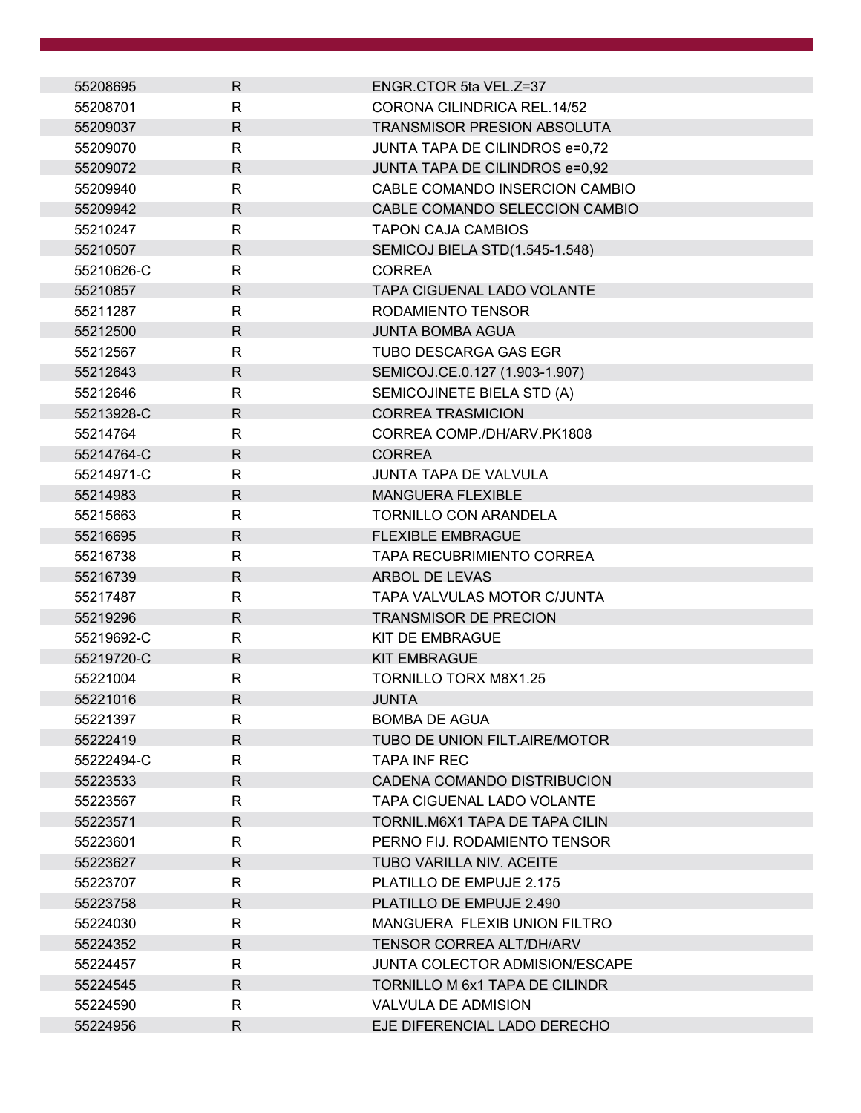| 55208695   | $\mathsf{R}$ | ENGR.CTOR 5ta VEL.Z=37                |
|------------|--------------|---------------------------------------|
| 55208701   | R.           | CORONA CILINDRICA REL.14/52           |
| 55209037   | $\mathsf{R}$ | TRANSMISOR PRESION ABSOLUTA           |
| 55209070   | R            | JUNTA TAPA DE CILINDROS e=0,72        |
| 55209072   | $\mathsf{R}$ | JUNTA TAPA DE CILINDROS e=0,92        |
| 55209940   | $\mathsf{R}$ | CABLE COMANDO INSERCION CAMBIO        |
| 55209942   | $\mathsf{R}$ | CABLE COMANDO SELECCION CAMBIO        |
| 55210247   | $\mathsf{R}$ | <b>TAPON CAJA CAMBIOS</b>             |
| 55210507   | $\mathsf{R}$ | SEMICOJ BIELA STD(1.545-1.548)        |
| 55210626-C | $\mathsf{R}$ | <b>CORREA</b>                         |
| 55210857   | $\mathsf{R}$ | TAPA CIGUENAL LADO VOLANTE            |
| 55211287   | $\mathsf{R}$ | RODAMIENTO TENSOR                     |
| 55212500   | $\mathsf{R}$ | <b>JUNTA BOMBA AGUA</b>               |
| 55212567   | $\mathsf{R}$ | <b>TUBO DESCARGA GAS EGR</b>          |
| 55212643   | $\mathsf{R}$ | SEMICOJ.CE.0.127 (1.903-1.907)        |
| 55212646   | R            | SEMICOJINETE BIELA STD (A)            |
| 55213928-C | $\mathsf{R}$ | <b>CORREA TRASMICION</b>              |
| 55214764   | $\mathsf{R}$ | CORREA COMP./DH/ARV.PK1808            |
| 55214764-C | $\mathsf{R}$ | <b>CORREA</b>                         |
| 55214971-C | R            | <b>JUNTA TAPA DE VALVULA</b>          |
| 55214983   | $\mathsf{R}$ | <b>MANGUERA FLEXIBLE</b>              |
| 55215663   | $\mathsf{R}$ | <b>TORNILLO CON ARANDELA</b>          |
| 55216695   | R.           | <b>FLEXIBLE EMBRAGUE</b>              |
| 55216738   | $\mathsf{R}$ | <b>TAPA RECUBRIMIENTO CORREA</b>      |
| 55216739   | $\mathsf{R}$ | ARBOL DE LEVAS                        |
| 55217487   | $\mathsf{R}$ | TAPA VALVULAS MOTOR C/JUNTA           |
| 55219296   | R.           | <b>TRANSMISOR DE PRECION</b>          |
| 55219692-C | R            | KIT DE EMBRAGUE                       |
| 55219720-C | $\mathsf{R}$ | <b>KIT EMBRAGUE</b>                   |
| 55221004   | $\mathsf{R}$ | <b>TORNILLO TORX M8X1.25</b>          |
| 55221016   | $\mathsf{R}$ | JUNTA                                 |
| 55221397   | R            | <b>BOMBA DE AGUA</b>                  |
| 55222419   | $\mathsf{R}$ | TUBO DE UNION FILT.AIRE/MOTOR         |
| 55222494-C | R            | <b>TAPA INF REC</b>                   |
| 55223533   | R.           | CADENA COMANDO DISTRIBUCION           |
| 55223567   | R            | <b>TAPA CIGUENAL LADO VOLANTE</b>     |
| 55223571   | $\mathsf{R}$ | TORNIL.M6X1 TAPA DE TAPA CILIN        |
| 55223601   | R            | PERNO FIJ. RODAMIENTO TENSOR          |
| 55223627   | R            | TUBO VARILLA NIV. ACEITE              |
| 55223707   | R            | PLATILLO DE EMPUJE 2.175              |
| 55223758   | $\mathsf{R}$ | PLATILLO DE EMPUJE 2.490              |
| 55224030   | R            | MANGUERA FLEXIB UNION FILTRO          |
| 55224352   | $\mathsf{R}$ | TENSOR CORREA ALT/DH/ARV              |
| 55224457   | $\mathsf{R}$ | <b>JUNTA COLECTOR ADMISION/ESCAPE</b> |
| 55224545   | R.           | <b>TORNILLO M 6x1 TAPA DE CILINDR</b> |
| 55224590   | R            | <b>VALVULA DE ADMISION</b>            |
| 55224956   | R            | EJE DIFERENCIAL LADO DERECHO          |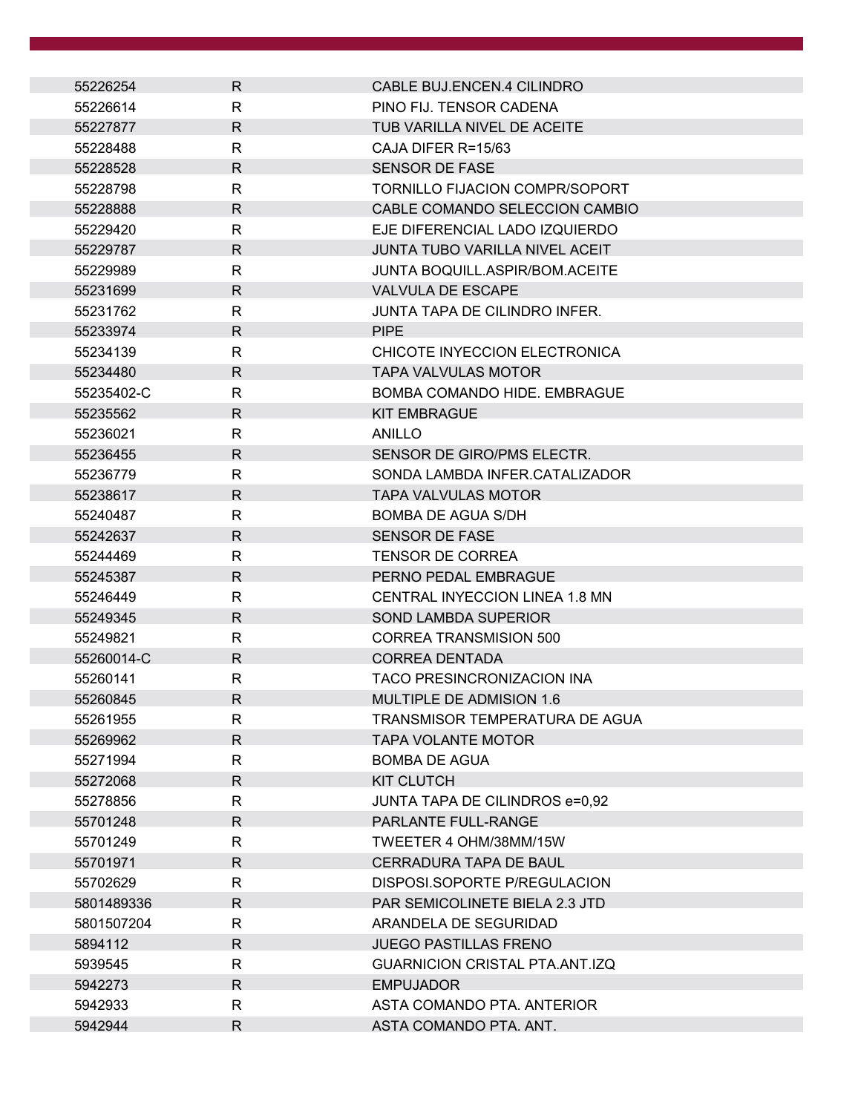| 55226254   | R.           | CABLE BUJ.ENCEN.4 CILINDRO            |
|------------|--------------|---------------------------------------|
| 55226614   | R            | PINO FIJ. TENSOR CADENA               |
| 55227877   | $\mathsf{R}$ | TUB VARILLA NIVEL DE ACEITE           |
| 55228488   | R            | CAJA DIFER R=15/63                    |
| 55228528   | R.           | <b>SENSOR DE FASE</b>                 |
| 55228798   | R            | TORNILLO FIJACION COMPR/SOPORT        |
| 55228888   | R.           | CABLE COMANDO SELECCION CAMBIO        |
| 55229420   | R            | EJE DIFERENCIAL LADO IZQUIERDO        |
| 55229787   | $\mathsf{R}$ | JUNTA TUBO VARILLA NIVEL ACEIT        |
| 55229989   | R            | <b>JUNTA BOQUILL.ASPIR/BOM.ACEITE</b> |
| 55231699   | $\mathsf{R}$ | <b>VALVULA DE ESCAPE</b>              |
| 55231762   | R            | JUNTA TAPA DE CILINDRO INFER.         |
| 55233974   | $\mathsf{R}$ | <b>PIPE</b>                           |
| 55234139   | R            | CHICOTE INYECCION ELECTRONICA         |
| 55234480   | $\mathsf{R}$ | <b>TAPA VALVULAS MOTOR</b>            |
| 55235402-C | R            | BOMBA COMANDO HIDE, EMBRAGUE          |
| 55235562   | $\mathsf{R}$ | <b>KIT EMBRAGUE</b>                   |
| 55236021   | $\mathsf{R}$ | ANILLO                                |
| 55236455   | R.           | SENSOR DE GIRO/PMS ELECTR.            |
| 55236779   | R            | SONDA LAMBDA INFER.CATALIZADOR        |
| 55238617   | $\mathsf{R}$ | <b>TAPA VALVULAS MOTOR</b>            |
| 55240487   | $\mathsf{R}$ | <b>BOMBA DE AGUA S/DH</b>             |
| 55242637   | R            | <b>SENSOR DE FASE</b>                 |
| 55244469   | R            | <b>TENSOR DE CORREA</b>               |
| 55245387   | $\mathsf{R}$ | PERNO PEDAL EMBRAGUE                  |
| 55246449   | R            | CENTRAL INYECCION LINEA 1.8 MN        |
| 55249345   | $\mathsf{R}$ | <b>SOND LAMBDA SUPERIOR</b>           |
| 55249821   | R            | <b>CORREA TRANSMISION 500</b>         |
| 55260014-C | $\mathsf{R}$ | <b>CORREA DENTADA</b>                 |
| 55260141   | R            | <b>TACO PRESINCRONIZACION INA</b>     |
| 55260845   | R            | MULTIPLE DE ADMISION 1.6              |
| 55261955   | R            | TRANSMISOR TEMPERATURA DE AGUA        |
| 55269962   | $\mathsf{R}$ | <b>TAPA VOLANTE MOTOR</b>             |
| 55271994   | $\mathsf{R}$ | <b>BOMBA DE AGUA</b>                  |
| 55272068   | R            | <b>KIT CLUTCH</b>                     |
| 55278856   | R            | JUNTA TAPA DE CILINDROS e=0,92        |
| 55701248   | $\mathsf{R}$ | <b>PARLANTE FULL-RANGE</b>            |
| 55701249   | R            | TWEETER 4 OHM/38MM/15W                |
| 55701971   | $\mathsf{R}$ | CERRADURA TAPA DE BAUL                |
| 55702629   | R            | DISPOSI.SOPORTE P/REGULACION          |
| 5801489336 | $\mathsf{R}$ | <b>PAR SEMICOLINETE BIELA 2.3 JTD</b> |
| 5801507204 | R            | ARANDELA DE SEGURIDAD                 |
| 5894112    | $\mathsf{R}$ | <b>JUEGO PASTILLAS FRENO</b>          |
| 5939545    | R            | <b>GUARNICION CRISTAL PTA.ANT.IZQ</b> |
| 5942273    | R.           | <b>EMPUJADOR</b>                      |
| 5942933    | R            | ASTA COMANDO PTA. ANTERIOR            |
| 5942944    | R            | ASTA COMANDO PTA. ANT.                |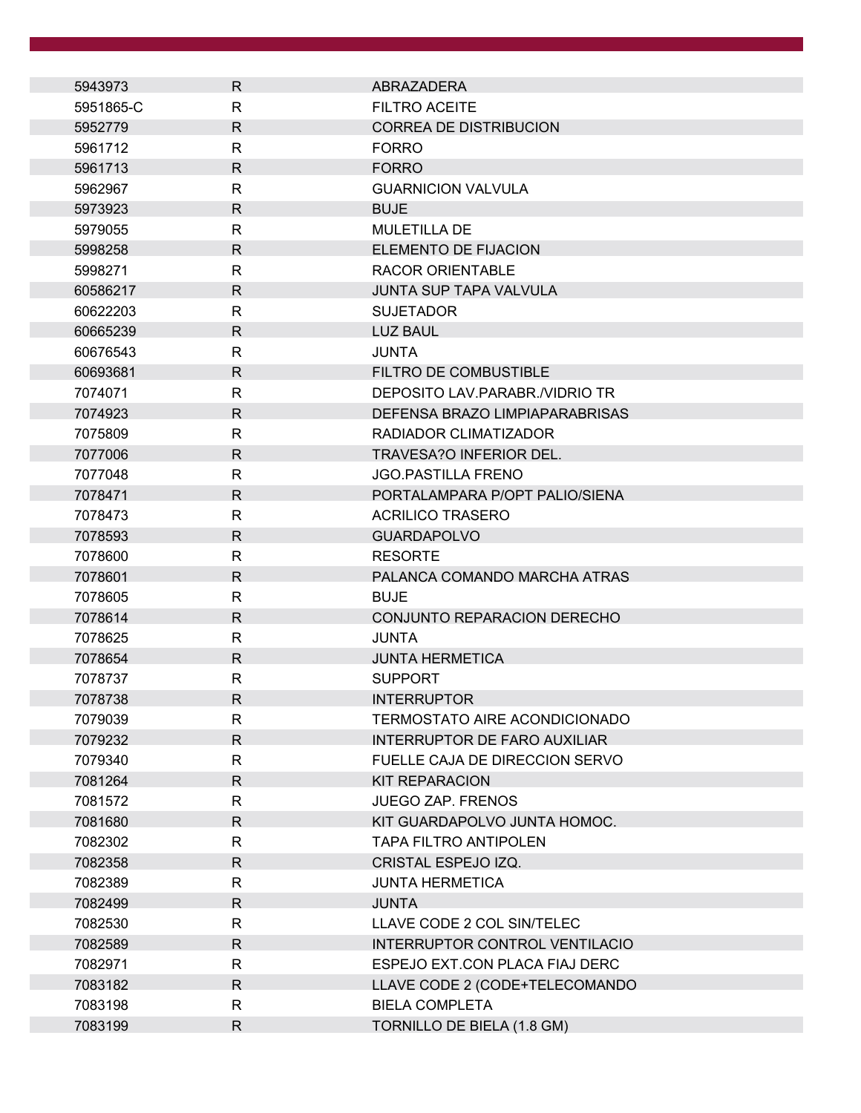| 5943973   | R            | ABRAZADERA                           |
|-----------|--------------|--------------------------------------|
| 5951865-C | $\mathsf{R}$ | <b>FILTRO ACEITE</b>                 |
| 5952779   | $\mathsf{R}$ | <b>CORREA DE DISTRIBUCION</b>        |
| 5961712   | R            | <b>FORRO</b>                         |
| 5961713   | $\mathsf{R}$ | <b>FORRO</b>                         |
| 5962967   | R            | <b>GUARNICION VALVULA</b>            |
| 5973923   | $\mathsf{R}$ | <b>BUJE</b>                          |
| 5979055   | R            | <b>MULETILLA DE</b>                  |
| 5998258   | $\mathsf{R}$ | <b>ELEMENTO DE FIJACION</b>          |
| 5998271   | R            | <b>RACOR ORIENTABLE</b>              |
| 60586217  | $\mathsf{R}$ | JUNTA SUP TAPA VALVULA               |
| 60622203  | R            | <b>SUJETADOR</b>                     |
| 60665239  | $\mathsf{R}$ | <b>LUZ BAUL</b>                      |
| 60676543  | R            | <b>JUNTA</b>                         |
| 60693681  | $\mathsf{R}$ | <b>FILTRO DE COMBUSTIBLE</b>         |
| 7074071   | R            | DEPOSITO LAV.PARABR./VIDRIO TR       |
| 7074923   | $\mathsf{R}$ | DEFENSA BRAZO LIMPIAPARABRISAS       |
| 7075809   | R            | RADIADOR CLIMATIZADOR                |
| 7077006   | $\mathsf{R}$ | TRAVESA?O INFERIOR DEL.              |
| 7077048   | R            | <b>JGO.PASTILLA FRENO</b>            |
| 7078471   | $\mathsf{R}$ | PORTALAMPARA P/OPT PALIO/SIENA       |
| 7078473   | R            | <b>ACRILICO TRASERO</b>              |
| 7078593   | $\mathsf{R}$ | <b>GUARDAPOLVO</b>                   |
| 7078600   | R            | <b>RESORTE</b>                       |
| 7078601   | $\mathsf{R}$ | PALANCA COMANDO MARCHA ATRAS         |
| 7078605   | R.           | <b>BUJE</b>                          |
| 7078614   | $\mathsf{R}$ | CONJUNTO REPARACION DERECHO          |
| 7078625   | $\mathsf{R}$ | <b>JUNTA</b>                         |
| 7078654   | R            | <b>JUNTA HERMETICA</b>               |
| 7078737   | R            | <b>SUPPORT</b>                       |
| 7078738   | $\mathsf{R}$ | <b>INTERRUPTOR</b>                   |
| 7079039   | R            | <b>TERMOSTATO AIRE ACONDICIONADO</b> |
| 7079232   | $\mathsf{R}$ | <b>INTERRUPTOR DE FARO AUXILIAR</b>  |
| 7079340   | R            | FUELLE CAJA DE DIRECCION SERVO       |
| 7081264   | $\mathsf{R}$ | <b>KIT REPARACION</b>                |
| 7081572   | R            | <b>JUEGO ZAP. FRENOS</b>             |
| 7081680   | $\mathsf{R}$ | KIT GUARDAPOLVO JUNTA HOMOC.         |
| 7082302   | R            | <b>TAPA FILTRO ANTIPOLEN</b>         |
| 7082358   | $\mathsf{R}$ | CRISTAL ESPEJO IZQ.                  |
| 7082389   | $\mathsf{R}$ | <b>JUNTA HERMETICA</b>               |
| 7082499   | $\mathsf{R}$ | <b>JUNTA</b>                         |
| 7082530   | R            | LLAVE CODE 2 COL SIN/TELEC           |
| 7082589   | $\mathsf{R}$ | INTERRUPTOR CONTROL VENTILACIO       |
| 7082971   | R            | ESPEJO EXT.CON PLACA FIAJ DERC       |
| 7083182   | R            | LLAVE CODE 2 (CODE+TELECOMANDO       |
| 7083198   | R            | <b>BIELA COMPLETA</b>                |
| 7083199   | $\mathsf{R}$ | TORNILLO DE BIELA (1.8 GM)           |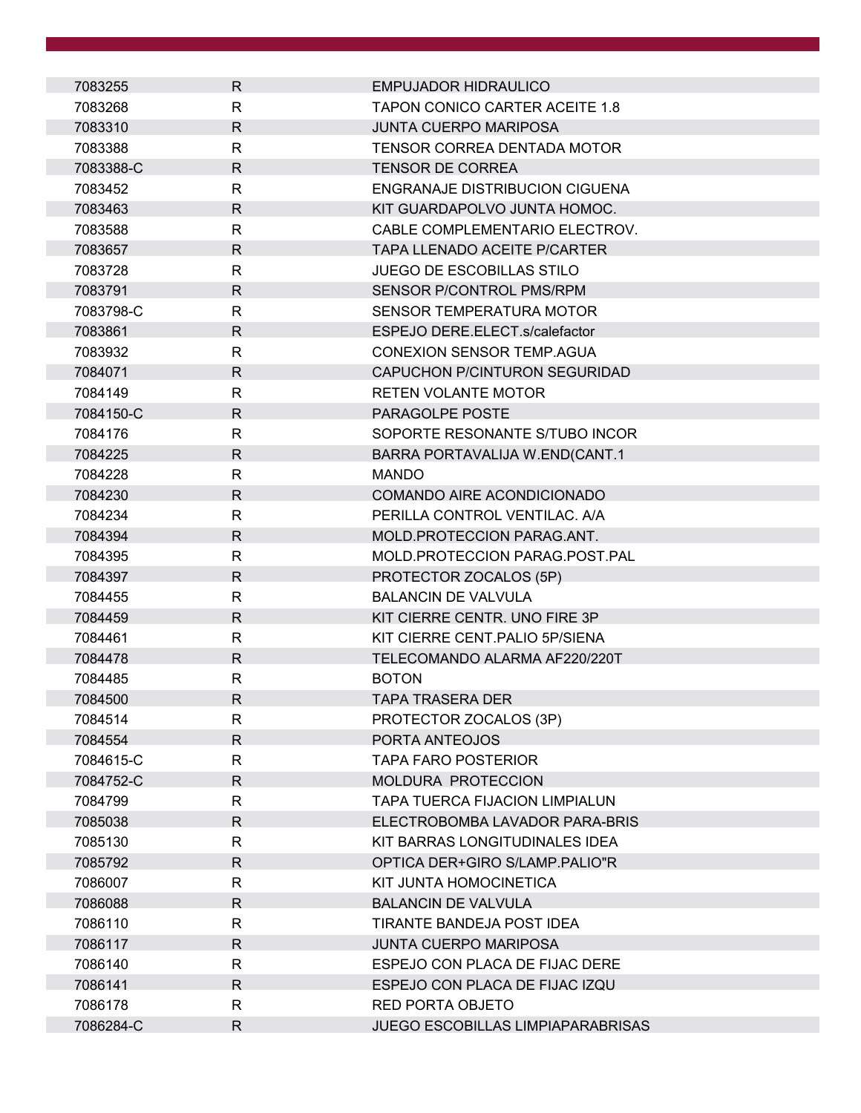| 7083255   | $\mathsf{R}$ | <b>EMPUJADOR HIDRAULICO</b>              |
|-----------|--------------|------------------------------------------|
| 7083268   | R            | <b>TAPON CONICO CARTER ACEITE 1.8</b>    |
| 7083310   | $\mathsf{R}$ | <b>JUNTA CUERPO MARIPOSA</b>             |
| 7083388   | R            | TENSOR CORREA DENTADA MOTOR              |
| 7083388-C | $\mathsf{R}$ | <b>TENSOR DE CORREA</b>                  |
| 7083452   | R            | ENGRANAJE DISTRIBUCION CIGUENA           |
| 7083463   | $\mathsf{R}$ | KIT GUARDAPOLVO JUNTA HOMOC.             |
| 7083588   | $\mathsf{R}$ | CABLE COMPLEMENTARIO ELECTROV.           |
| 7083657   | $\mathsf{R}$ | <b>TAPA LLENADO ACEITE P/CARTER</b>      |
| 7083728   | R            | <b>JUEGO DE ESCOBILLAS STILO</b>         |
| 7083791   | $\mathsf{R}$ | SENSOR P/CONTROL PMS/RPM                 |
| 7083798-C | R            | <b>SENSOR TEMPERATURA MOTOR</b>          |
| 7083861   | $\mathsf{R}$ | ESPEJO DERE.ELECT.s/calefactor           |
| 7083932   | R            | <b>CONEXION SENSOR TEMP.AGUA</b>         |
| 7084071   | $\mathsf{R}$ | CAPUCHON P/CINTURON SEGURIDAD            |
| 7084149   | R            | <b>RETEN VOLANTE MOTOR</b>               |
| 7084150-C | $\mathsf{R}$ | PARAGOLPE POSTE                          |
| 7084176   | R            | SOPORTE RESONANTE S/TUBO INCOR           |
| 7084225   | R            | BARRA PORTAVALIJA W.END(CANT.1           |
| 7084228   | R            | <b>MANDO</b>                             |
| 7084230   | R.           | COMANDO AIRE ACONDICIONADO               |
| 7084234   | R            | PERILLA CONTROL VENTILAC. A/A            |
| 7084394   | R            | MOLD.PROTECCION PARAG.ANT.               |
| 7084395   | R            | MOLD.PROTECCION PARAG.POST.PAL           |
| 7084397   | $\mathsf{R}$ | PROTECTOR ZOCALOS (5P)                   |
| 7084455   | R            | <b>BALANCIN DE VALVULA</b>               |
| 7084459   | $\mathsf{R}$ | KIT CIERRE CENTR. UNO FIRE 3P            |
| 7084461   | R            | KIT CIERRE CENT. PALIO 5P/SIENA          |
| 7084478   | $\mathsf{R}$ | TELECOMANDO ALARMA AF220/220T            |
| 7084485   | $\mathsf{R}$ | <b>BOTON</b>                             |
| 7084500   | R            | <b>TAPA TRASERA DER</b>                  |
| 7084514   | R            | PROTECTOR ZOCALOS (3P)                   |
| 7084554   | $\mathsf{R}$ | PORTA ANTEOJOS                           |
| 7084615-C | R            | <b>TAPA FARO POSTERIOR</b>               |
| 7084752-C | R            | <b>MOLDURA PROTECCION</b>                |
| 7084799   | R            | <b>TAPA TUERCA FIJACION LIMPIALUN</b>    |
| 7085038   | $\mathsf{R}$ | ELECTROBOMBA LAVADOR PARA-BRIS           |
| 7085130   | R            | KIT BARRAS LONGITUDINALES IDEA           |
| 7085792   | $\mathsf R$  | OPTICA DER+GIRO S/LAMP.PALIO"R           |
| 7086007   | R            | KIT JUNTA HOMOCINETICA                   |
| 7086088   | $\mathsf{R}$ | <b>BALANCIN DE VALVULA</b>               |
| 7086110   | $\mathsf{R}$ | TIRANTE BANDEJA POST IDEA                |
| 7086117   | $\mathsf{R}$ | <b>JUNTA CUERPO MARIPOSA</b>             |
| 7086140   | R            | ESPEJO CON PLACA DE FIJAC DERE           |
| 7086141   | R            | ESPEJO CON PLACA DE FIJAC IZQU           |
| 7086178   | R            | RED PORTA OBJETO                         |
| 7086284-C | $\mathsf{R}$ | <b>JUEGO ESCOBILLAS LIMPIAPARABRISAS</b> |
|           |              |                                          |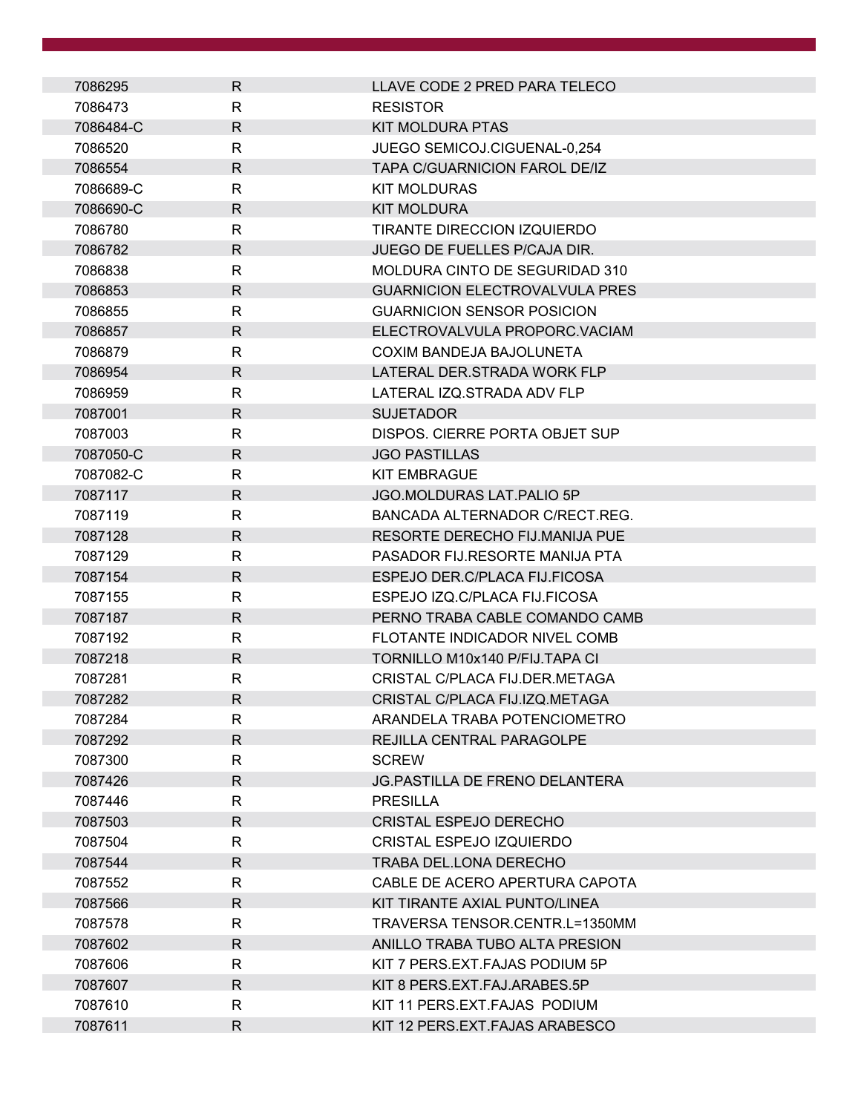| 7086295   | $\mathsf{R}$ | LLAVE CODE 2 PRED PARA TELECO         |
|-----------|--------------|---------------------------------------|
| 7086473   | R            | <b>RESISTOR</b>                       |
| 7086484-C | $\mathsf{R}$ | <b>KIT MOLDURA PTAS</b>               |
| 7086520   | R            | JUEGO SEMICOJ.CIGUENAL-0,254          |
| 7086554   | $\mathsf{R}$ | <b>TAPA C/GUARNICION FAROL DE/IZ</b>  |
| 7086689-C | R            | <b>KIT MOLDURAS</b>                   |
| 7086690-C | $\mathsf{R}$ | <b>KIT MOLDURA</b>                    |
| 7086780   | R            | TIRANTE DIRECCION IZQUIERDO           |
| 7086782   | R            | <b>JUEGO DE FUELLES P/CAJA DIR.</b>   |
| 7086838   | R            | MOLDURA CINTO DE SEGURIDAD 310        |
| 7086853   | $\mathsf{R}$ | <b>GUARNICION ELECTROVALVULA PRES</b> |
| 7086855   | R            | <b>GUARNICION SENSOR POSICION</b>     |
| 7086857   | $\mathsf{R}$ | ELECTROVALVULA PROPORC.VACIAM         |
| 7086879   | $\mathsf{R}$ | COXIM BANDEJA BAJOLUNETA              |
| 7086954   | $\mathsf{R}$ | LATERAL DER.STRADA WORK FLP           |
| 7086959   | R            | LATERAL IZQ.STRADA ADV FLP            |
| 7087001   | $\mathsf{R}$ | <b>SUJETADOR</b>                      |
| 7087003   | $\mathsf{R}$ | DISPOS. CIERRE PORTA OBJET SUP        |
| 7087050-C | $\mathsf{R}$ | <b>JGO PASTILLAS</b>                  |
| 7087082-C | R            | <b>KIT EMBRAGUE</b>                   |
| 7087117   | $\mathsf{R}$ | JGO.MOLDURAS LAT.PALIO 5P             |
| 7087119   | $\mathsf{R}$ | BANCADA ALTERNADOR C/RECT.REG.        |
| 7087128   | $\mathsf{R}$ | RESORTE DERECHO FIJ.MANIJA PUE        |
| 7087129   | $\mathsf{R}$ | PASADOR FIJ.RESORTE MANIJA PTA        |
| 7087154   | $\mathsf{R}$ | ESPEJO DER.C/PLACA FIJ.FICOSA         |
| 7087155   | R            | ESPEJO IZQ.C/PLACA FIJ.FICOSA         |
| 7087187   | $\mathsf{R}$ | PERNO TRABA CABLE COMANDO CAMB        |
| 7087192   | R            | FLOTANTE INDICADOR NIVEL COMB         |
| 7087218   | $\mathsf{R}$ | TORNILLO M10x140 P/FIJ.TAPA CI        |
| 7087281   | $\mathsf{R}$ | CRISTAL C/PLACA FIJ.DER.METAGA        |
| 7087282   | $\mathsf{R}$ | CRISTAL C/PLACA FIJ.IZQ.METAGA        |
| 7087284   | R            | ARANDELA TRABA POTENCIOMETRO          |
| 7087292   | $\mathsf{R}$ | REJILLA CENTRAL PARAGOLPE             |
| 7087300   | R            | <b>SCREW</b>                          |
| 7087426   | R            | <b>JG.PASTILLA DE FRENO DELANTERA</b> |
| 7087446   | $\mathsf{R}$ | <b>PRESILLA</b>                       |
| 7087503   | $\mathsf{R}$ | CRISTAL ESPEJO DERECHO                |
| 7087504   | R            | <b>CRISTAL ESPEJO IZQUIERDO</b>       |
| 7087544   | R            | TRABA DEL.LONA DERECHO                |
| 7087552   | R            | CABLE DE ACERO APERTURA CAPOTA        |
| 7087566   | R.           | KIT TIRANTE AXIAL PUNTO/LINEA         |
| 7087578   | $\mathsf{R}$ | TRAVERSA TENSOR.CENTR.L=1350MM        |
| 7087602   | $\mathsf{R}$ | ANILLO TRABA TUBO ALTA PRESION        |
| 7087606   | R            | KIT 7 PERS.EXT.FAJAS PODIUM 5P        |
| 7087607   | $\mathsf{R}$ | KIT 8 PERS.EXT.FAJ.ARABES.5P          |
| 7087610   | R            | KIT 11 PERS.EXT.FAJAS PODIUM          |
| 7087611   | R            | KIT 12 PERS.EXT.FAJAS ARABESCO        |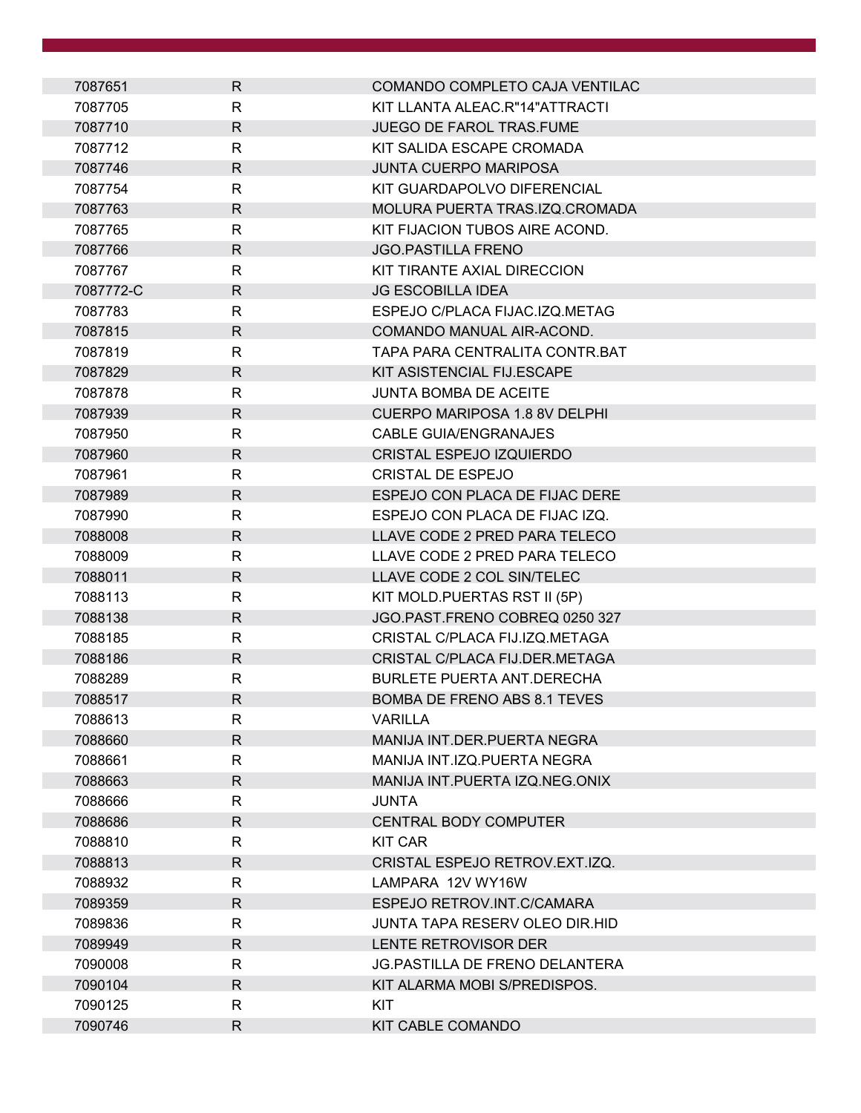| 7087651   | $\mathsf{R}$ | COMANDO COMPLETO CAJA VENTILAC        |
|-----------|--------------|---------------------------------------|
| 7087705   | R            | KIT LLANTA ALEAC.R"14"ATTRACTI        |
| 7087710   | $\mathsf{R}$ | JUEGO DE FAROL TRAS.FUME              |
| 7087712   | $\mathsf{R}$ | KIT SALIDA ESCAPE CROMADA             |
| 7087746   | $\mathsf{R}$ | <b>JUNTA CUERPO MARIPOSA</b>          |
| 7087754   | R            | KIT GUARDAPOLVO DIFERENCIAL           |
| 7087763   | $\mathsf{R}$ | MOLURA PUERTA TRAS.IZQ.CROMADA        |
| 7087765   | $\mathsf{R}$ | KIT FIJACION TUBOS AIRE ACOND.        |
| 7087766   | $\mathsf{R}$ | <b>JGO.PASTILLA FRENO</b>             |
| 7087767   | $\mathsf{R}$ | KIT TIRANTE AXIAL DIRECCION           |
| 7087772-C | $\mathsf{R}$ | <b>JG ESCOBILLA IDEA</b>              |
| 7087783   | $\mathsf{R}$ | ESPEJO C/PLACA FIJAC.IZQ.METAG        |
| 7087815   | $\mathsf{R}$ | COMANDO MANUAL AIR-ACOND.             |
| 7087819   | R            | TAPA PARA CENTRALITA CONTR.BAT        |
| 7087829   | $\mathsf{R}$ | KIT ASISTENCIAL FIJ.ESCAPE            |
| 7087878   | $\mathsf{R}$ | <b>JUNTA BOMBA DE ACEITE</b>          |
| 7087939   | $\mathsf{R}$ | <b>CUERPO MARIPOSA 1.8 8V DELPHI</b>  |
| 7087950   | R            | CABLE GUIA/ENGRANAJES                 |
| 7087960   | $\mathsf{R}$ | <b>CRISTAL ESPEJO IZQUIERDO</b>       |
| 7087961   | R            | <b>CRISTAL DE ESPEJO</b>              |
| 7087989   | R            | ESPEJO CON PLACA DE FIJAC DERE        |
| 7087990   | R            | ESPEJO CON PLACA DE FIJAC IZQ.        |
| 7088008   | R            | LLAVE CODE 2 PRED PARA TELECO         |
| 7088009   | $\mathsf{R}$ | LLAVE CODE 2 PRED PARA TELECO         |
| 7088011   | $\mathsf{R}$ | LLAVE CODE 2 COL SIN/TELEC            |
| 7088113   | R            | KIT MOLD.PUERTAS RST II (5P)          |
| 7088138   | R            | JGO.PAST.FRENO COBREQ 0250 327        |
| 7088185   | R            | CRISTAL C/PLACA FIJ.IZQ.METAGA        |
| 7088186   | $\mathsf{R}$ | CRISTAL C/PLACA FIJ.DER.METAGA        |
| 7088289   | $\mathsf{R}$ | <b>BURLETE PUERTA ANT.DERECHA</b>     |
| 7088517   | R            | <b>BOMBA DE FRENO ABS 8.1 TEVES</b>   |
| 7088613   | R            | <b>VARILLA</b>                        |
| 7088660   | $\mathsf{R}$ | <b>MANIJA INT.DER.PUERTA NEGRA</b>    |
| 7088661   | $\mathsf{R}$ | MANIJA INT.IZQ.PUERTA NEGRA           |
| 7088663   | $\mathsf{R}$ | MANIJA INT.PUERTA IZQ.NEG.ONIX        |
| 7088666   | $\mathsf{R}$ | JUNTA                                 |
| 7088686   | R            | <b>CENTRAL BODY COMPUTER</b>          |
| 7088810   | R            | <b>KIT CAR</b>                        |
| 7088813   | $\mathsf{R}$ | CRISTAL ESPEJO RETROV.EXT.IZQ.        |
| 7088932   | R            | LAMPARA 12V WY16W                     |
| 7089359   | $\mathsf{R}$ | ESPEJO RETROV.INT.C/CAMARA            |
| 7089836   | R            | JUNTA TAPA RESERV OLEO DIR.HID        |
| 7089949   | $\mathsf{R}$ | LENTE RETROVISOR DER                  |
| 7090008   | R            | <b>JG.PASTILLA DE FRENO DELANTERA</b> |
| 7090104   | $\mathsf{R}$ | KIT ALARMA MOBI S/PREDISPOS.          |
| 7090125   | $\mathsf{R}$ | KIT                                   |
| 7090746   | $\mathsf{R}$ | KIT CABLE COMANDO                     |
|           |              |                                       |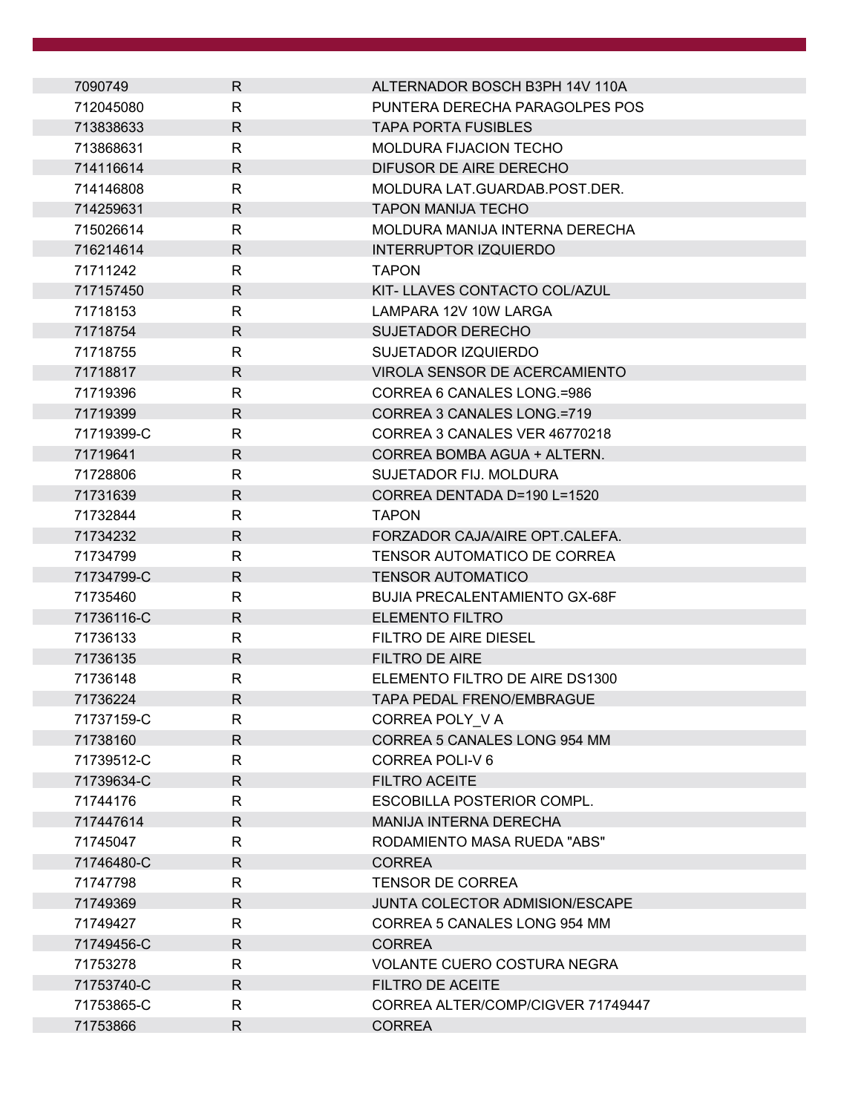| 7090749    | R            | ALTERNADOR BOSCH B3PH 14V 110A        |
|------------|--------------|---------------------------------------|
| 712045080  | R            | PUNTERA DERECHA PARAGOLPES POS        |
| 713838633  | $\mathsf{R}$ | <b>TAPA PORTA FUSIBLES</b>            |
| 713868631  | R            | <b>MOLDURA FIJACION TECHO</b>         |
| 714116614  | $\mathsf{R}$ | DIFUSOR DE AIRE DERECHO               |
| 714146808  | R            | MOLDURA LAT.GUARDAB.POST.DER.         |
| 714259631  | $\mathsf{R}$ | <b>TAPON MANIJA TECHO</b>             |
| 715026614  | R            | MOLDURA MANIJA INTERNA DERECHA        |
| 716214614  | R.           | <b>INTERRUPTOR IZQUIERDO</b>          |
| 71711242   | R            | <b>TAPON</b>                          |
| 717157450  | $\mathsf{R}$ | KIT- LLAVES CONTACTO COL/AZUL         |
| 71718153   | R            | LAMPARA 12V 10W LARGA                 |
| 71718754   | $\mathsf{R}$ | <b>SUJETADOR DERECHO</b>              |
| 71718755   | R            | SUJETADOR IZQUIERDO                   |
| 71718817   | $\mathsf{R}$ | VIROLA SENSOR DE ACERCAMIENTO         |
| 71719396   | R            | CORREA 6 CANALES LONG.=986            |
| 71719399   | $\mathsf{R}$ | CORREA 3 CANALES LONG.=719            |
| 71719399-C | $\mathsf{R}$ | CORREA 3 CANALES VER 46770218         |
| 71719641   | $\mathsf{R}$ | CORREA BOMBA AGUA + ALTERN.           |
| 71728806   | R            | SUJETADOR FIJ. MOLDURA                |
| 71731639   | $\mathsf{R}$ | CORREA DENTADA D=190 L=1520           |
| 71732844   | R            | <b>TAPON</b>                          |
| 71734232   | R.           | FORZADOR CAJA/AIRE OPT.CALEFA.        |
| 71734799   | $\mathsf{R}$ | TENSOR AUTOMATICO DE CORREA           |
| 71734799-C | $\mathsf{R}$ | <b>TENSOR AUTOMATICO</b>              |
| 71735460   | R            | <b>BUJIA PRECALENTAMIENTO GX-68F</b>  |
| 71736116-C | R.           | <b>ELEMENTO FILTRO</b>                |
| 71736133   | R            | FILTRO DE AIRE DIESEL                 |
| 71736135   | $\mathsf{R}$ | <b>FILTRO DE AIRE</b>                 |
| 71736148   | R            | ELEMENTO FILTRO DE AIRE DS1300        |
| 71736224   | R            | TAPA PEDAL FRENO/EMBRAGUE             |
| 71737159-C | R            | CORREA POLY VA                        |
| 71738160   | $\mathsf{R}$ | CORREA 5 CANALES LONG 954 MM          |
| 71739512-C | $\mathsf{R}$ | CORREA POLI-V6                        |
| 71739634-C | R            | <b>FILTRO ACEITE</b>                  |
| 71744176   | R            | <b>ESCOBILLA POSTERIOR COMPL.</b>     |
| 717447614  | $\mathsf{R}$ | MANIJA INTERNA DERECHA                |
| 71745047   | R            | RODAMIENTO MASA RUEDA "ABS"           |
| 71746480-C | R            | <b>CORREA</b>                         |
| 71747798   | R            | <b>TENSOR DE CORREA</b>               |
| 71749369   | $\mathsf{R}$ | <b>JUNTA COLECTOR ADMISION/ESCAPE</b> |
| 71749427   | R            | CORREA 5 CANALES LONG 954 MM          |
| 71749456-C | $\mathsf{R}$ | <b>CORREA</b>                         |
| 71753278   | $\mathsf{R}$ | <b>VOLANTE CUERO COSTURA NEGRA</b>    |
| 71753740-C | $\mathsf{R}$ | FILTRO DE ACEITE                      |
| 71753865-C | R            | CORREA ALTER/COMP/CIGVER 71749447     |
| 71753866   | R            | <b>CORREA</b>                         |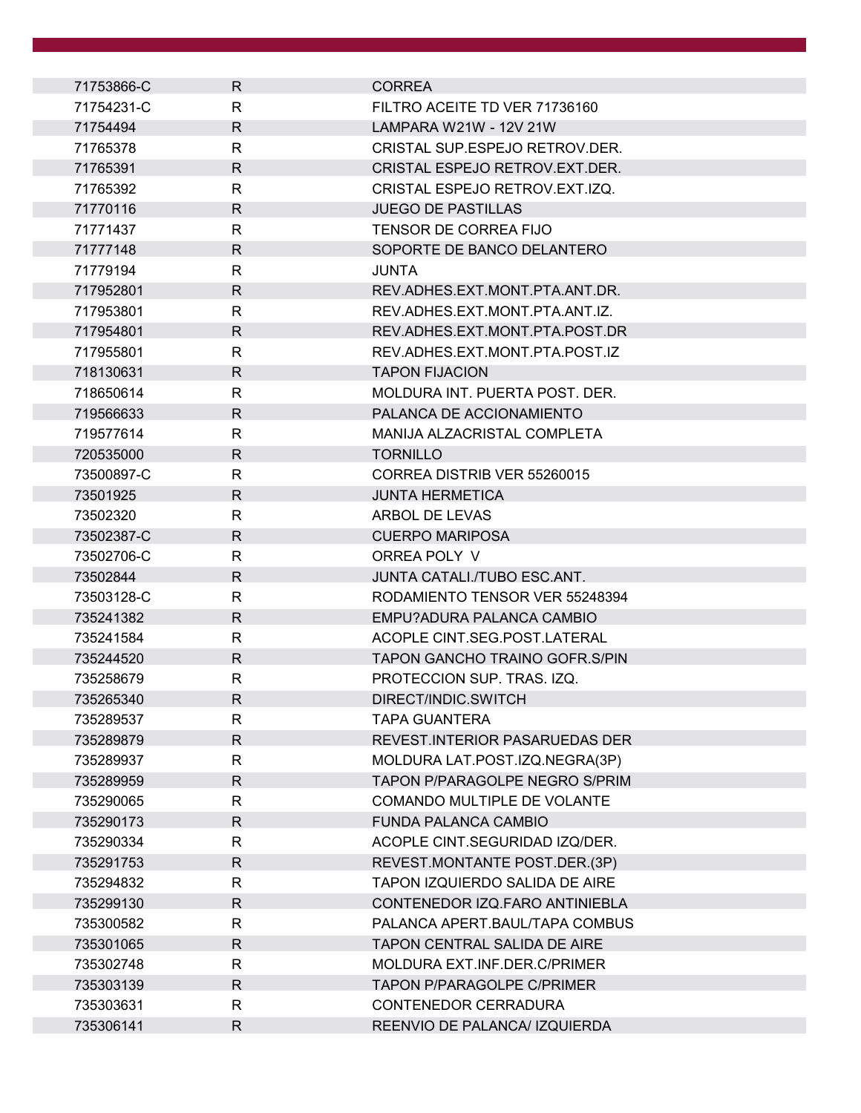| 71753866-C | $\mathsf{R}$ | <b>CORREA</b>                         |
|------------|--------------|---------------------------------------|
| 71754231-C | R            | FILTRO ACEITE TD VER 71736160         |
| 71754494   | $\mathsf{R}$ | <b>LAMPARA W21W - 12V 21W</b>         |
| 71765378   | $\mathsf{R}$ | CRISTAL SUP ESPEJO RETROV DER.        |
| 71765391   | $\mathsf{R}$ | CRISTAL ESPEJO RETROV. EXT. DER.      |
| 71765392   | R            | CRISTAL ESPEJO RETROV.EXT.IZQ.        |
| 71770116   | $\mathsf{R}$ | <b>JUEGO DE PASTILLAS</b>             |
| 71771437   | R            | TENSOR DE CORREA FIJO                 |
| 71777148   | R.           | SOPORTE DE BANCO DELANTERO            |
| 71779194   | $\mathsf{R}$ | <b>JUNTA</b>                          |
| 717952801  | $\mathsf{R}$ | REV.ADHES.EXT.MONT.PTA.ANT.DR.        |
| 717953801  | $\mathsf{R}$ | REV.ADHES.EXT.MONT.PTA.ANT.IZ.        |
| 717954801  | $\mathsf{R}$ | REV.ADHES.EXT.MONT.PTA.POST.DR        |
| 717955801  | R            | REV.ADHES.EXT.MONT.PTA.POST.IZ        |
| 718130631  | $\mathsf{R}$ | <b>TAPON FIJACION</b>                 |
| 718650614  | R            | MOLDURA INT. PUERTA POST. DER.        |
| 719566633  | $\mathsf{R}$ | PALANCA DE ACCIONAMIENTO              |
| 719577614  | $\mathsf{R}$ | MANIJA ALZACRISTAL COMPLETA           |
| 720535000  | $\mathsf{R}$ | <b>TORNILLO</b>                       |
| 73500897-C | R            | CORREA DISTRIB VER 55260015           |
| 73501925   | $\mathsf{R}$ | <b>JUNTA HERMETICA</b>                |
| 73502320   | R            | ARBOL DE LEVAS                        |
| 73502387-C | $\mathsf{R}$ | <b>CUERPO MARIPOSA</b>                |
| 73502706-C | $\mathsf{R}$ | ORREA POLY V                          |
| 73502844   | $\mathsf{R}$ | JUNTA CATALI./TUBO ESC.ANT.           |
| 73503128-C | R            | RODAMIENTO TENSOR VER 55248394        |
| 735241382  | R.           | EMPU?ADURA PALANCA CAMBIO             |
| 735241584  | R            | ACOPLE CINT.SEG.POST.LATERAL          |
| 735244520  | $\mathsf{R}$ | <b>TAPON GANCHO TRAINO GOFR.S/PIN</b> |
| 735258679  | $\mathsf{R}$ | PROTECCION SUP. TRAS. IZQ.            |
| 735265340  | R            | DIRECT/INDIC.SWITCH                   |
| 735289537  | R            | <b>TAPA GUANTERA</b>                  |
| 735289879  | $\mathsf R$  | <b>REVEST.INTERIOR PASARUEDAS DER</b> |
| 735289937  | R            | MOLDURA LAT.POST.IZQ.NEGRA(3P)        |
| 735289959  | $\mathsf{R}$ | TAPON P/PARAGOLPE NEGRO S/PRIM        |
| 735290065  | $\mathsf{R}$ | COMANDO MULTIPLE DE VOLANTE           |
| 735290173  | $\mathsf{R}$ | <b>FUNDA PALANCA CAMBIO</b>           |
| 735290334  | R            | ACOPLE CINT.SEGURIDAD IZQ/DER.        |
| 735291753  | $\mathsf{R}$ | REVEST.MONTANTE POST.DER.(3P)         |
| 735294832  | R            | TAPON IZQUIERDO SALIDA DE AIRE        |
| 735299130  | $\mathsf{R}$ | CONTENEDOR IZQ.FARO ANTINIEBLA        |
| 735300582  | R            | PALANCA APERT.BAUL/TAPA COMBUS        |
| 735301065  | $\mathsf{R}$ | TAPON CENTRAL SALIDA DE AIRE          |
| 735302748  | R            | MOLDURA EXT.INF.DER.C/PRIMER          |
| 735303139  | $\mathsf{R}$ | <b>TAPON P/PARAGOLPE C/PRIMER</b>     |
| 735303631  | R            | CONTENEDOR CERRADURA                  |
| 735306141  | R            | REENVIO DE PALANCA/ IZQUIERDA         |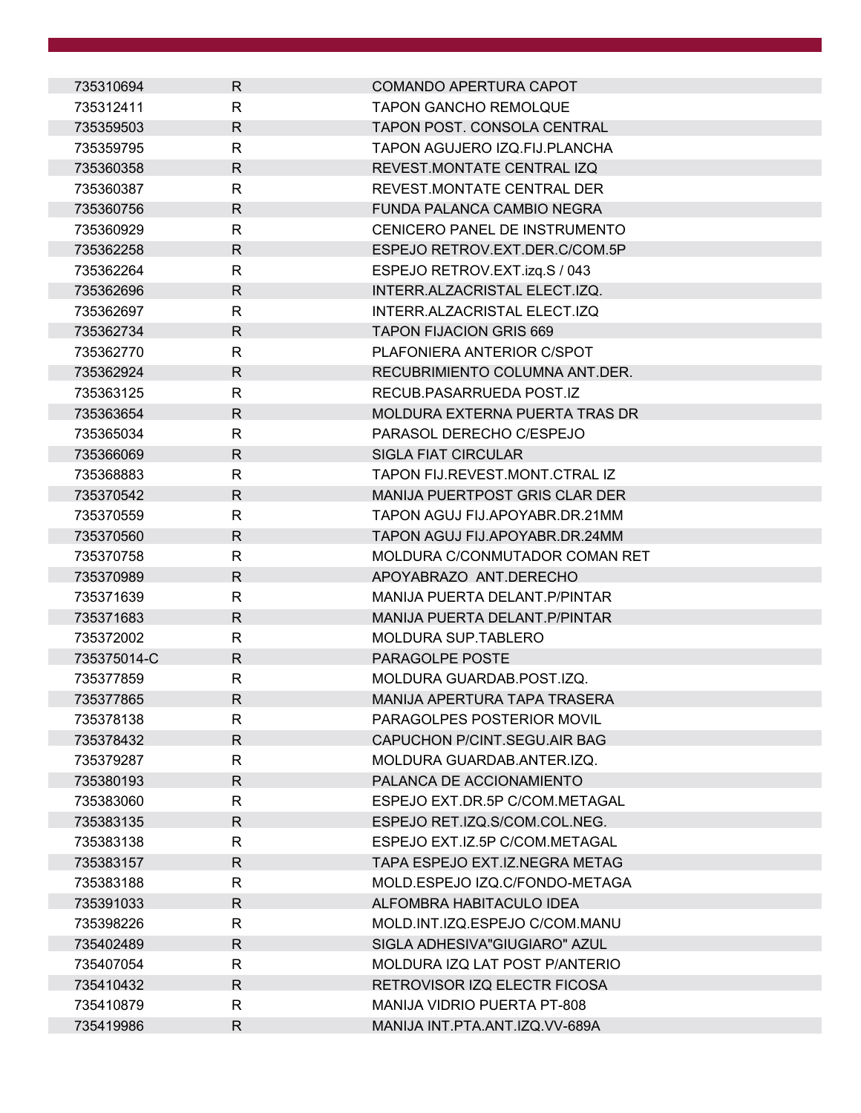| 735310694   | $\mathsf{R}$ | COMANDO APERTURA CAPOT             |
|-------------|--------------|------------------------------------|
| 735312411   | R            | <b>TAPON GANCHO REMOLQUE</b>       |
| 735359503   | $\mathsf{R}$ | TAPON POST. CONSOLA CENTRAL        |
| 735359795   | R            | TAPON AGUJERO IZQ.FIJ.PLANCHA      |
| 735360358   | $\mathsf{R}$ | REVEST.MONTATE CENTRAL IZQ         |
| 735360387   | R            | REVEST.MONTATE CENTRAL DER         |
| 735360756   | R.           | FUNDA PALANCA CAMBIO NEGRA         |
| 735360929   | R.           | CENICERO PANEL DE INSTRUMENTO      |
| 735362258   | $\mathsf{R}$ | ESPEJO RETROV.EXT.DER.C/COM.5P     |
| 735362264   | R            | ESPEJO RETROV.EXT.izq.S / 043      |
| 735362696   | R            | INTERR.ALZACRISTAL ELECT.IZQ.      |
| 735362697   | R            | INTERR.ALZACRISTAL ELECT.IZQ       |
| 735362734   | R.           | <b>TAPON FIJACION GRIS 669</b>     |
| 735362770   | R            | PLAFONIERA ANTERIOR C/SPOT         |
| 735362924   | R.           | RECUBRIMIENTO COLUMNA ANT.DER.     |
| 735363125   | R            | RECUB.PASARRUEDA POST.IZ           |
| 735363654   | R            | MOLDURA EXTERNA PUERTA TRAS DR     |
| 735365034   | R            | PARASOL DERECHO C/ESPEJO           |
| 735366069   | R            | <b>SIGLA FIAT CIRCULAR</b>         |
| 735368883   | R            | TAPON FIJ.REVEST.MONT.CTRAL IZ     |
| 735370542   | $\mathsf{R}$ | MANIJA PUERTPOST GRIS CLAR DER     |
| 735370559   | R            | TAPON AGUJ FIJ.APOYABR.DR.21MM     |
| 735370560   | R            | TAPON AGUJ FIJ.APOYABR.DR.24MM     |
| 735370758   | R            | MOLDURA C/CONMUTADOR COMAN RET     |
| 735370989   | $\mathsf{R}$ | APOYABRAZO ANT.DERECHO             |
| 735371639   | R            | MANIJA PUERTA DELANT. P/PINTAR     |
| 735371683   | R.           | MANIJA PUERTA DELANT. P/PINTAR     |
| 735372002   | R            | <b>MOLDURA SUP.TABLERO</b>         |
| 735375014-C | R            | PARAGOLPE POSTE                    |
| 735377859   | R            | MOLDURA GUARDAB.POST.IZQ.          |
| 735377865   | R            | MANIJA APERTURA TAPA TRASERA       |
| 735378138   | R            | PARAGOLPES POSTERIOR MOVIL         |
| 735378432   | $\mathsf{R}$ | CAPUCHON P/CINT.SEGU.AIR BAG       |
| 735379287   | R            | MOLDURA GUARDAB.ANTER.IZQ.         |
| 735380193   | R            | PALANCA DE ACCIONAMIENTO           |
| 735383060   | R            | ESPEJO EXT.DR.5P C/COM.METAGAL     |
| 735383135   | $\mathsf{R}$ | ESPEJO RET.IZQ.S/COM.COL.NEG.      |
| 735383138   | R            | ESPEJO EXT.IZ.5P C/COM.METAGAL     |
| 735383157   | $\mathsf{R}$ | TAPA ESPEJO EXT.IZ.NEGRA METAG     |
| 735383188   | R            | MOLD.ESPEJO IZQ.C/FONDO-METAGA     |
| 735391033   | $\mathsf{R}$ | ALFOMBRA HABITACULO IDEA           |
| 735398226   | R            | MOLD.INT.IZQ.ESPEJO C/COM.MANU     |
| 735402489   | $\mathsf{R}$ | SIGLA ADHESIVA"GIUGIARO" AZUL      |
| 735407054   | R            | MOLDURA IZQ LAT POST P/ANTERIO     |
| 735410432   | R.           | RETROVISOR IZQ ELECTR FICOSA       |
| 735410879   | R            | <b>MANIJA VIDRIO PUERTA PT-808</b> |
| 735419986   | R            | MANIJA INT.PTA.ANT.IZQ.VV-689A     |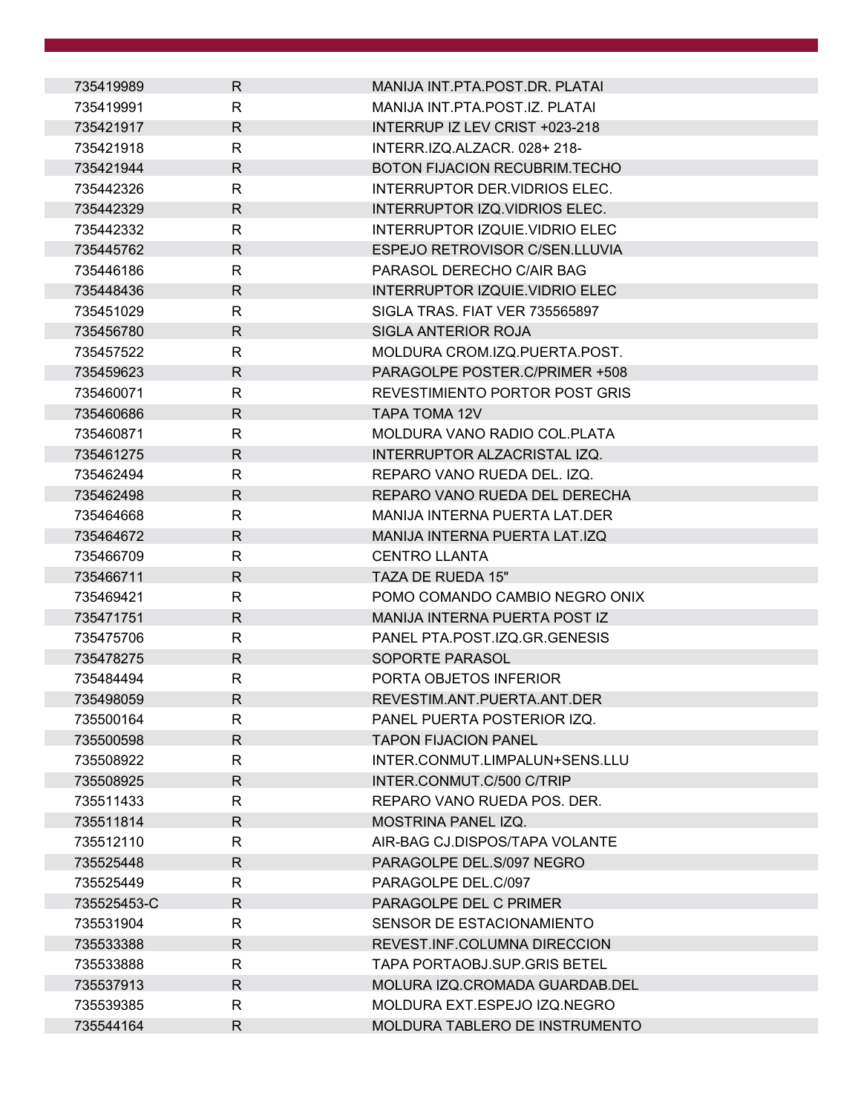| 735419989   | R            | MANIJA INT.PTA.POST.DR. PLATAI       |
|-------------|--------------|--------------------------------------|
| 735419991   | R            | MANIJA INT.PTA.POST.IZ. PLATAI       |
| 735421917   | $\mathsf{R}$ | INTERRUP IZ LEV CRIST +023-218       |
| 735421918   | R            | INTERR.IZQ.ALZACR. 028+218-          |
| 735421944   | R            | <b>BOTON FIJACION RECUBRIM.TECHO</b> |
| 735442326   | R            | INTERRUPTOR DER. VIDRIOS ELEC.       |
| 735442329   | R            | INTERRUPTOR IZQ.VIDRIOS ELEC.        |
| 735442332   | $\mathsf{R}$ | INTERRUPTOR IZQUIE.VIDRIO ELEC       |
| 735445762   | R            | ESPEJO RETROVISOR C/SEN.LLUVIA       |
| 735446186   | R            | PARASOL DERECHO C/AIR BAG            |
| 735448436   | R            | INTERRUPTOR IZQUIE.VIDRIO ELEC       |
| 735451029   | R            | SIGLA TRAS. FIAT VER 735565897       |
| 735456780   | R            | <b>SIGLA ANTERIOR ROJA</b>           |
| 735457522   | R            | MOLDURA CROM.IZQ.PUERTA.POST.        |
| 735459623   | $\mathsf{R}$ | PARAGOLPE POSTER.C/PRIMER +508       |
| 735460071   | R            | REVESTIMIENTO PORTOR POST GRIS       |
| 735460686   | R            | TAPA TOMA 12V                        |
| 735460871   | $\mathsf{R}$ | MOLDURA VANO RADIO COL. PLATA        |
| 735461275   | R            | INTERRUPTOR ALZACRISTAL IZQ.         |
| 735462494   | R            | REPARO VANO RUEDA DEL. IZQ.          |
| 735462498   | R.           | REPARO VANO RUEDA DEL DERECHA        |
| 735464668   | $\mathsf{R}$ | MANIJA INTERNA PUERTA LAT.DER        |
| 735464672   | R            | <b>MANIJA INTERNA PUERTA LAT.IZQ</b> |
| 735466709   | R            | <b>CENTRO LLANTA</b>                 |
| 735466711   | $\mathsf{R}$ | TAZA DE RUEDA 15"                    |
| 735469421   | R            | POMO COMANDO CAMBIO NEGRO ONIX       |
| 735471751   | $\mathsf{R}$ | MANIJA INTERNA PUERTA POST IZ        |
| 735475706   | R            | PANEL PTA.POST.IZQ.GR.GENESIS        |
| 735478275   | R            | SOPORTE PARASOL                      |
| 735484494   | $\mathsf{R}$ | PORTA OBJETOS INFERIOR               |
| 735498059   | R            | REVESTIM.ANT.PUERTA.ANT.DER          |
| 735500164   | R            | PANEL PUERTA POSTERIOR IZQ.          |
| 735500598   | R            | <b>TAPON FIJACION PANEL</b>          |
| 735508922   | $\mathsf{R}$ | INTER.CONMUT.LIMPALUN+SENS.LLU       |
| 735508925   | R            | INTER.CONMUT.C/500 C/TRIP            |
| 735511433   | R            | REPARO VANO RUEDA POS. DER.          |
| 735511814   | R.           | MOSTRINA PANEL IZQ.                  |
| 735512110   | R            | AIR-BAG CJ.DISPOS/TAPA VOLANTE       |
| 735525448   | R            | PARAGOLPE DEL.S/097 NEGRO            |
| 735525449   | R            | PARAGOLPE DEL.C/097                  |
| 735525453-C | $\mathsf{R}$ | PARAGOLPE DEL C PRIMER               |
| 735531904   | R            | SENSOR DE ESTACIONAMIENTO            |
| 735533388   | R.           | REVEST.INF.COLUMNA DIRECCION         |
| 735533888   | $\mathsf{R}$ | <b>TAPA PORTAOBJ.SUP.GRIS BETEL</b>  |
| 735537913   | R            | MOLURA IZQ.CROMADA GUARDAB.DEL       |
| 735539385   | $\mathsf{R}$ | MOLDURA EXT.ESPEJO IZQ.NEGRO         |
| 735544164   | R            | MOLDURA TABLERO DE INSTRUMENTO       |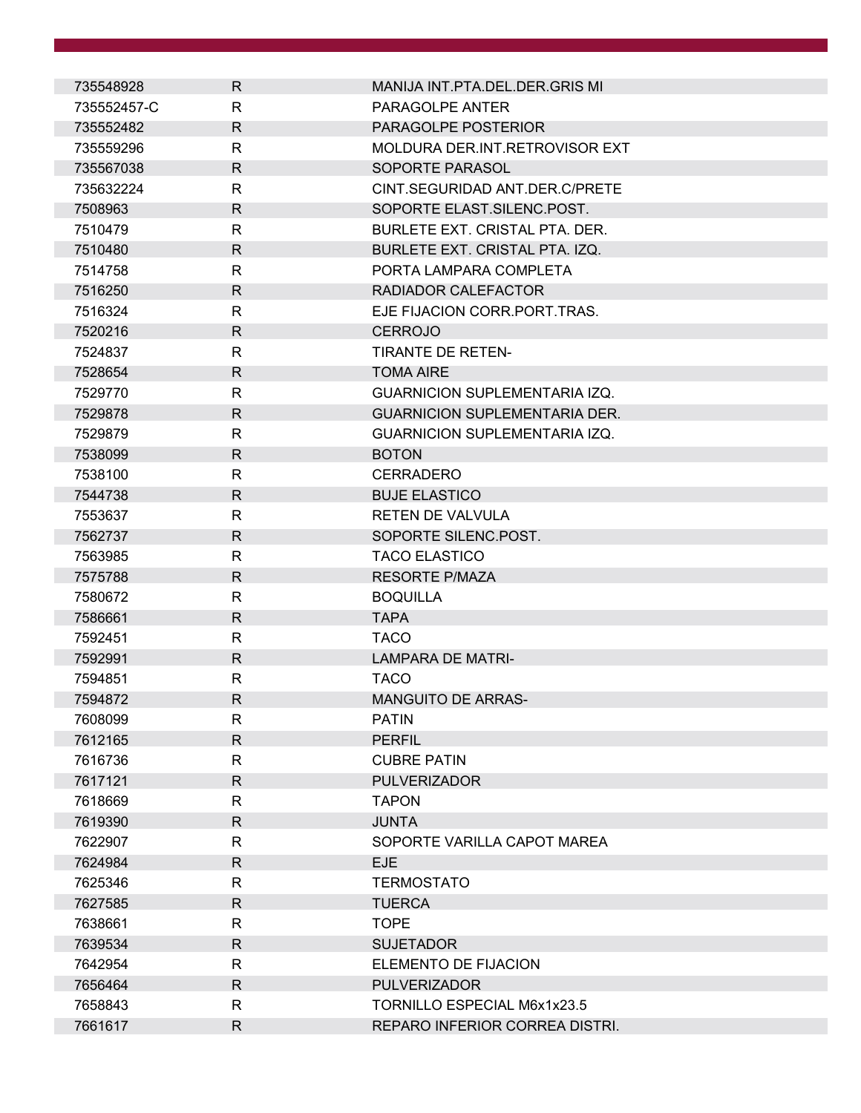| 735548928   | $\mathsf{R}$ | MANIJA INT.PTA.DEL.DER.GRIS MI       |
|-------------|--------------|--------------------------------------|
| 735552457-C | $\mathsf{R}$ | PARAGOLPE ANTER                      |
| 735552482   | $\mathsf{R}$ | PARAGOLPE POSTERIOR                  |
| 735559296   | R            | MOLDURA DER.INT.RETROVISOR EXT       |
| 735567038   | $\mathsf{R}$ | SOPORTE PARASOL                      |
| 735632224   | $\mathsf{R}$ | CINT.SEGURIDAD ANT.DER.C/PRETE       |
| 7508963     | $\mathsf{R}$ | SOPORTE ELAST.SILENC.POST.           |
| 7510479     | $\mathsf{R}$ | BURLETE EXT. CRISTAL PTA. DER.       |
| 7510480     | $\mathsf{R}$ | BURLETE EXT. CRISTAL PTA. IZQ.       |
| 7514758     | $\mathsf{R}$ | PORTA LAMPARA COMPLETA               |
| 7516250     | $\mathsf{R}$ | RADIADOR CALEFACTOR                  |
| 7516324     | $\mathsf{R}$ | EJE FIJACION CORR.PORT.TRAS.         |
| 7520216     | $\mathsf{R}$ | <b>CERROJO</b>                       |
| 7524837     | $\mathsf{R}$ | <b>TIRANTE DE RETEN-</b>             |
| 7528654     | $\mathsf{R}$ | <b>TOMA AIRE</b>                     |
| 7529770     | R            | <b>GUARNICION SUPLEMENTARIA IZQ.</b> |
| 7529878     | $\mathsf{R}$ | <b>GUARNICION SUPLEMENTARIA DER.</b> |
| 7529879     | R            | <b>GUARNICION SUPLEMENTARIA IZQ.</b> |
| 7538099     | $\mathsf{R}$ | <b>BOTON</b>                         |
| 7538100     | $\mathsf{R}$ | <b>CERRADERO</b>                     |
| 7544738     | $\mathsf{R}$ | <b>BUJE ELASTICO</b>                 |
| 7553637     | R            | <b>RETEN DE VALVULA</b>              |
| 7562737     | $\mathsf{R}$ | SOPORTE SILENC.POST.                 |
| 7563985     | R            | <b>TACO ELASTICO</b>                 |
| 7575788     | $\mathsf{R}$ | <b>RESORTE P/MAZA</b>                |
| 7580672     | R            | <b>BOQUILLA</b>                      |
| 7586661     | $\mathsf{R}$ | <b>TAPA</b>                          |
| 7592451     | R            | <b>TACO</b>                          |
| 7592991     | $\mathsf{R}$ | <b>LAMPARA DE MATRI-</b>             |
| 7594851     | $\mathsf{R}$ | <b>TACO</b>                          |
| 7594872     | R            | <b>MANGUITO DE ARRAS-</b>            |
| 7608099     | $\mathsf{R}$ | <b>PATIN</b>                         |
| 7612165     | $\mathsf{R}$ | <b>PERFIL</b>                        |
| 7616736     | $\mathsf{R}$ | <b>CUBRE PATIN</b>                   |
| 7617121     | $\mathsf{R}$ | <b>PULVERIZADOR</b>                  |
| 7618669     | R            | <b>TAPON</b>                         |
| 7619390     | $\mathsf{R}$ | <b>JUNTA</b>                         |
| 7622907     | R            | SOPORTE VARILLA CAPOT MAREA          |
| 7624984     | $\mathsf{R}$ | <b>EJE</b>                           |
| 7625346     | R            | <b>TERMOSTATO</b>                    |
| 7627585     | $\mathsf{R}$ | <b>TUERCA</b>                        |
| 7638661     | $\mathsf{R}$ | <b>TOPE</b>                          |
| 7639534     | $\mathsf{R}$ | <b>SUJETADOR</b>                     |
| 7642954     | $\mathsf{R}$ | ELEMENTO DE FIJACION                 |
| 7656464     | $\mathsf{R}$ | <b>PULVERIZADOR</b>                  |
| 7658843     | R            | TORNILLO ESPECIAL M6x1x23.5          |
| 7661617     | $\mathsf{R}$ | REPARO INFERIOR CORREA DISTRI.       |
|             |              |                                      |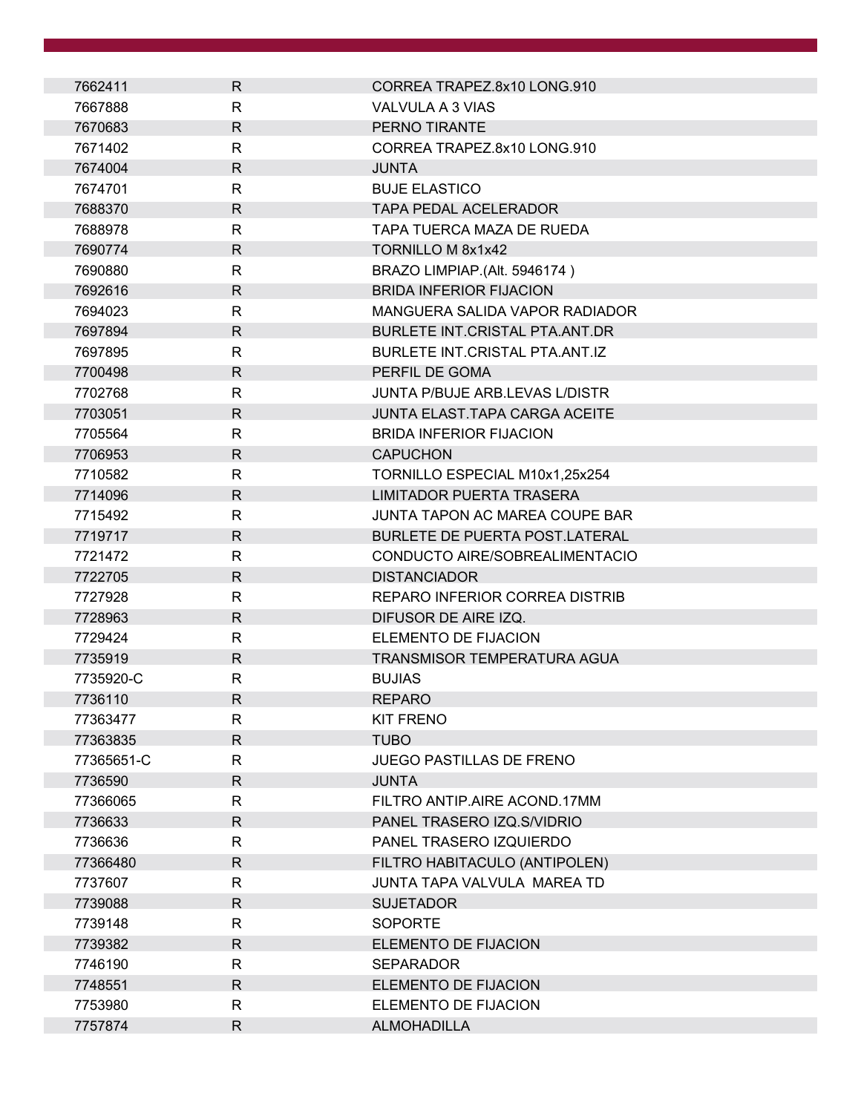| 7662411    | $\mathsf{R}$ | CORREA TRAPEZ.8x10 LONG.910           |  |
|------------|--------------|---------------------------------------|--|
| 7667888    | R            | VALVULA A 3 VIAS                      |  |
| 7670683    | $\mathsf{R}$ | PERNO TIRANTE                         |  |
| 7671402    | R            | CORREA TRAPEZ.8x10 LONG.910           |  |
| 7674004    | $\mathsf{R}$ | <b>JUNTA</b>                          |  |
| 7674701    | R            | <b>BUJE ELASTICO</b>                  |  |
| 7688370    | $\mathsf{R}$ | <b>TAPA PEDAL ACELERADOR</b>          |  |
| 7688978    | $\mathsf{R}$ | TAPA TUERCA MAZA DE RUEDA             |  |
| 7690774    | R            | TORNILLO M 8x1x42                     |  |
| 7690880    | R            | BRAZO LIMPIAP.(Alt. 5946174)          |  |
| 7692616    | R.           | <b>BRIDA INFERIOR FIJACION</b>        |  |
| 7694023    | R            | MANGUERA SALIDA VAPOR RADIADOR        |  |
| 7697894    | R            | BURLETE INT.CRISTAL PTA.ANT.DR        |  |
| 7697895    | R            | BURLETE INT.CRISTAL PTA.ANT.IZ        |  |
| 7700498    | $\mathsf{R}$ | PERFIL DE GOMA                        |  |
| 7702768    | R            | JUNTA P/BUJE ARB.LEVAS L/DISTR        |  |
| 7703051    | $\mathsf{R}$ | <b>JUNTA ELAST.TAPA CARGA ACEITE</b>  |  |
| 7705564    | $\mathsf{R}$ | <b>BRIDA INFERIOR FIJACION</b>        |  |
| 7706953    | $\mathsf{R}$ | <b>CAPUCHON</b>                       |  |
| 7710582    | $\mathsf{R}$ | TORNILLO ESPECIAL M10x1,25x254        |  |
| 7714096    | $\mathsf{R}$ | <b>LIMITADOR PUERTA TRASERA</b>       |  |
| 7715492    | R            | JUNTA TAPON AC MAREA COUPE BAR        |  |
| 7719717    | R.           | <b>BURLETE DE PUERTA POST.LATERAL</b> |  |
| 7721472    | R            | CONDUCTO AIRE/SOBREALIMENTACIO        |  |
| 7722705    | $\mathsf{R}$ | <b>DISTANCIADOR</b>                   |  |
| 7727928    | R            | REPARO INFERIOR CORREA DISTRIB        |  |
| 7728963    | R            | DIFUSOR DE AIRE IZQ.                  |  |
| 7729424    | R            | ELEMENTO DE FIJACION                  |  |
| 7735919    | $\mathsf{R}$ | TRANSMISOR TEMPERATURA AGUA           |  |
| 7735920-C  | R            | <b>BUJIAS</b>                         |  |
| 7736110    | R            | <b>REPARO</b>                         |  |
| 77363477   | R            | <b>KIT FRENO</b>                      |  |
| 77363835   | $\mathsf{R}$ | <b>TUBO</b>                           |  |
| 77365651-C | R            | <b>JUEGO PASTILLAS DE FRENO</b>       |  |
| 7736590    | R.           | <b>JUNTA</b>                          |  |
| 77366065   | R            | FILTRO ANTIP.AIRE ACOND.17MM          |  |
| 7736633    | $\mathsf{R}$ | PANEL TRASERO IZQ.S/VIDRIO            |  |
| 7736636    | R            | PANEL TRASERO IZQUIERDO               |  |
| 77366480   | R            | FILTRO HABITACULO (ANTIPOLEN)         |  |
| 7737607    | R            | JUNTA TAPA VALVULA MAREA TD           |  |
| 7739088    | $\mathsf{R}$ | <b>SUJETADOR</b>                      |  |
| 7739148    | R            | <b>SOPORTE</b>                        |  |
| 7739382    | $\mathsf{R}$ | ELEMENTO DE FIJACION                  |  |
| 7746190    | R            | <b>SEPARADOR</b>                      |  |
| 7748551    | R            | ELEMENTO DE FIJACION                  |  |
| 7753980    | R            | ELEMENTO DE FIJACION                  |  |
| 7757874    | R            | <b>ALMOHADILLA</b>                    |  |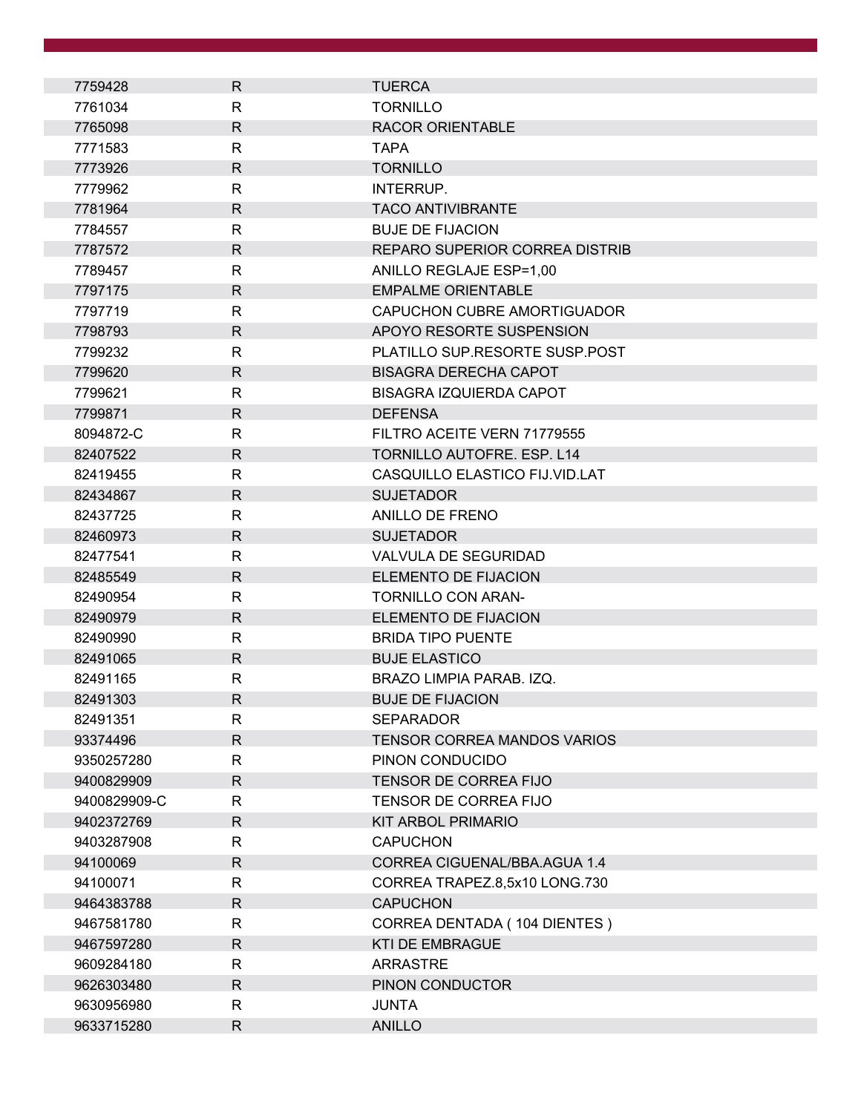| 7759428      | $\mathsf{R}$ | <b>TUERCA</b>                      |
|--------------|--------------|------------------------------------|
| 7761034      | $\mathsf{R}$ | <b>TORNILLO</b>                    |
| 7765098      | $\mathsf{R}$ | <b>RACOR ORIENTABLE</b>            |
| 7771583      | $\mathsf{R}$ | <b>TAPA</b>                        |
| 7773926      | $\mathsf{R}$ | <b>TORNILLO</b>                    |
| 7779962      | R            | INTERRUP.                          |
| 7781964      | $\mathsf{R}$ | <b>TACO ANTIVIBRANTE</b>           |
| 7784557      | $\mathsf{R}$ | <b>BUJE DE FIJACION</b>            |
| 7787572      | $\mathsf{R}$ | REPARO SUPERIOR CORREA DISTRIB     |
| 7789457      | R            | ANILLO REGLAJE ESP=1,00            |
| 7797175      | $\mathsf{R}$ | <b>EMPALME ORIENTABLE</b>          |
| 7797719      | $\mathsf{R}$ | CAPUCHON CUBRE AMORTIGUADOR        |
| 7798793      | $\mathsf{R}$ | APOYO RESORTE SUSPENSION           |
| 7799232      | $\mathsf{R}$ | PLATILLO SUP.RESORTE SUSP.POST     |
| 7799620      | $\mathsf{R}$ | <b>BISAGRA DERECHA CAPOT</b>       |
| 7799621      | $\mathsf{R}$ | <b>BISAGRA IZQUIERDA CAPOT</b>     |
| 7799871      | $\mathsf{R}$ | <b>DEFENSA</b>                     |
| 8094872-C    | R            | FILTRO ACEITE VERN 71779555        |
| 82407522     | $\mathsf{R}$ | TORNILLO AUTOFRE. ESP. L14         |
| 82419455     | R            | CASQUILLO ELASTICO FIJ.VID.LAT     |
| 82434867     | $\mathsf{R}$ | <b>SUJETADOR</b>                   |
| 82437725     | R            | ANILLO DE FRENO                    |
| 82460973     | $\mathsf{R}$ | <b>SUJETADOR</b>                   |
| 82477541     | $\mathsf{R}$ | <b>VALVULA DE SEGURIDAD</b>        |
| 82485549     | $\mathsf{R}$ | ELEMENTO DE FIJACION               |
| 82490954     | R            | <b>TORNILLO CON ARAN-</b>          |
| 82490979     | $\mathsf{R}$ | ELEMENTO DE FIJACION               |
| 82490990     | R            | <b>BRIDA TIPO PUENTE</b>           |
| 82491065     | $\mathsf{R}$ | <b>BUJE ELASTICO</b>               |
| 82491165     | R            | BRAZO LIMPIA PARAB. IZQ.           |
| 82491303     | $\mathsf{R}$ | <b>BUJE DE FIJACION</b>            |
| 82491351     | R            | <b>SEPARADOR</b>                   |
| 93374496     | $\mathsf{R}$ | <b>TENSOR CORREA MANDOS VARIOS</b> |
| 9350257280   | R            | PINON CONDUCIDO                    |
| 9400829909   | R            | <b>TENSOR DE CORREA FIJO</b>       |
| 9400829909-C | $\mathsf{R}$ | TENSOR DE CORREA FIJO              |
| 9402372769   | $\mathsf{R}$ | <b>KIT ARBOL PRIMARIO</b>          |
| 9403287908   | $\mathsf{R}$ | <b>CAPUCHON</b>                    |
| 94100069     | $\mathsf{R}$ | CORREA CIGUENAL/BBA.AGUA 1.4       |
| 94100071     | $\mathsf{R}$ | CORREA TRAPEZ.8,5x10 LONG.730      |
| 9464383788   | $\mathsf{R}$ | <b>CAPUCHON</b>                    |
| 9467581780   | $\mathsf{R}$ | CORREA DENTADA (104 DIENTES)       |
| 9467597280   | $\mathsf{R}$ | <b>KTI DE EMBRAGUE</b>             |
| 9609284180   | R            | <b>ARRASTRE</b>                    |
| 9626303480   | $\mathsf{R}$ | PINON CONDUCTOR                    |
| 9630956980   | R            | <b>JUNTA</b>                       |
| 9633715280   | $\mathsf{R}$ | <b>ANILLO</b>                      |
|              |              |                                    |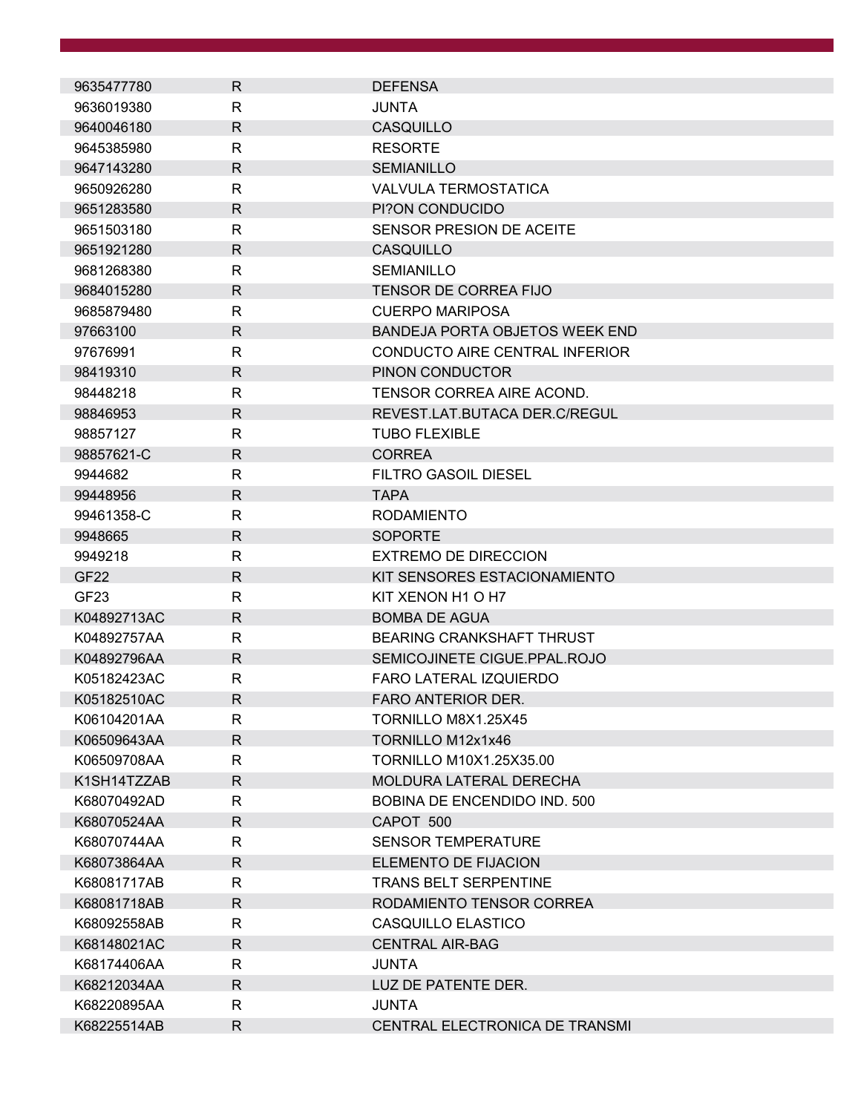| 9635477780                 | R            | <b>DEFENSA</b>                        |
|----------------------------|--------------|---------------------------------------|
| 9636019380                 | $\mathsf{R}$ | <b>JUNTA</b>                          |
| 9640046180                 | R            | CASQUILLO                             |
| 9645385980                 | R            | <b>RESORTE</b>                        |
| 9647143280                 | $\mathsf{R}$ | <b>SEMIANILLO</b>                     |
| 9650926280                 | $\mathsf{R}$ | <b>VALVULA TERMOSTATICA</b>           |
| 9651283580                 | $\mathsf{R}$ | PI?ON CONDUCIDO                       |
| 9651503180                 | R            | SENSOR PRESION DE ACEITE              |
| 9651921280                 | R            | <b>CASQUILLO</b>                      |
| 9681268380                 | R            | <b>SEMIANILLO</b>                     |
| 9684015280                 | $\mathsf{R}$ | <b>TENSOR DE CORREA FIJO</b>          |
|                            | $\mathsf{R}$ |                                       |
| 9685879480                 |              | <b>CUERPO MARIPOSA</b>                |
| 97663100                   | R            | <b>BANDEJA PORTA OBJETOS WEEK END</b> |
| 97676991                   | R            | CONDUCTO AIRE CENTRAL INFERIOR        |
| 98419310                   | $\mathsf{R}$ | PINON CONDUCTOR                       |
| 98448218                   | R            | TENSOR CORREA AIRE ACOND.             |
| 98846953                   | $\mathsf{R}$ | REVEST.LAT.BUTACA DER.C/REGUL         |
| 98857127                   | R            | <b>TUBO FLEXIBLE</b>                  |
| 98857621-C                 | $\mathsf{R}$ | <b>CORREA</b>                         |
| 9944682                    | R            | <b>FILTRO GASOIL DIESEL</b>           |
| 99448956                   | $\mathsf{R}$ | <b>TAPA</b>                           |
| 99461358-C                 | R            | <b>RODAMIENTO</b>                     |
| 9948665                    | R            | <b>SOPORTE</b>                        |
| 9949218                    | $\mathsf{R}$ | <b>EXTREMO DE DIRECCION</b>           |
| GF <sub>22</sub>           | $\mathsf{R}$ | KIT SENSORES ESTACIONAMIENTO          |
| GF <sub>23</sub>           | R            | KIT XENON H1 O H7                     |
| K04892713AC                | R            | <b>BOMBA DE AGUA</b>                  |
| K04892757AA                | R            | <b>BEARING CRANKSHAFT THRUST</b>      |
| K04892796AA                | $\mathsf{R}$ | SEMICOJINETE CIGUE.PPAL.ROJO          |
| K05182423AC                | R            | <b>FARO LATERAL IZQUIERDO</b>         |
| K05182510AC                | $\mathsf{R}$ | <b>FARO ANTERIOR DER.</b>             |
| K06104201AA                | R            | TORNILLO M8X1.25X45                   |
|                            | $\mathsf{R}$ | TORNILLO M12x1x46                     |
| K06509643AA<br>K06509708AA | $\mathsf{R}$ | TORNILLO M10X1.25X35.00               |
|                            |              |                                       |
| K1SH14TZZAB                | R            | <b>MOLDURA LATERAL DERECHA</b>        |
| K68070492AD                | $\mathsf{R}$ | <b>BOBINA DE ENCENDIDO IND. 500</b>   |
| K68070524AA                | $\mathsf{R}$ | CAPOT 500                             |
| K68070744AA                | $\mathsf{R}$ | <b>SENSOR TEMPERATURE</b>             |
| K68073864AA                | R            | ELEMENTO DE FIJACION                  |
| K68081717AB                | R            | <b>TRANS BELT SERPENTINE</b>          |
| K68081718AB                | $\mathsf{R}$ | RODAMIENTO TENSOR CORREA              |
| K68092558AB                | R            | CASQUILLO ELASTICO                    |
| K68148021AC                | $\mathsf{R}$ | <b>CENTRAL AIR-BAG</b>                |
| K68174406AA                | $\mathsf{R}$ | <b>JUNTA</b>                          |
| K68212034AA                | $\mathsf{R}$ | LUZ DE PATENTE DER.                   |
| K68220895AA                | R            | JUNTA                                 |
| K68225514AB                | R            | CENTRAL ELECTRONICA DE TRANSMI        |
|                            |              |                                       |